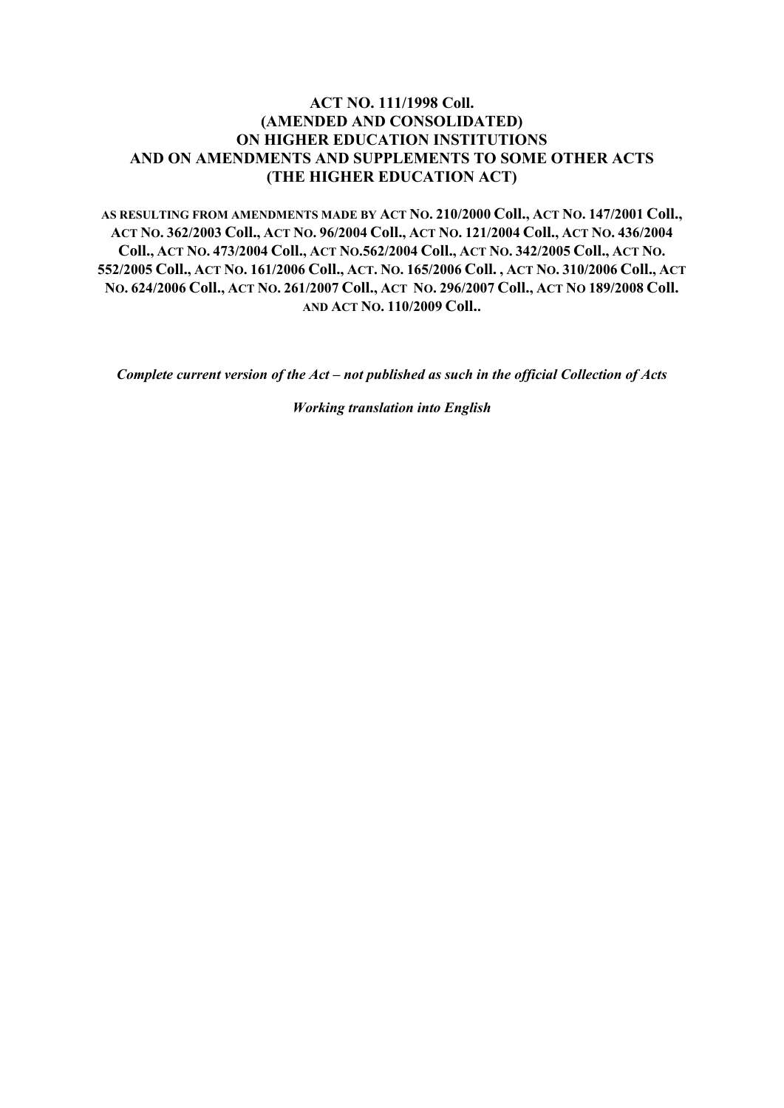### **ACT NO. 111/1998 Coll. (AMENDED AND CONSOLIDATED) ON HIGHER EDUCATION INSTITUTIONS AND ON AMENDMENTS AND SUPPLEMENTS TO SOME OTHER ACTS (THE HIGHER EDUCATION ACT)**

**AS RESULTING FROM AMENDMENTS MADE BY ACT NO. 210/2000 Coll., ACT NO. 147/2001 Coll., ACT NO. 362/2003 Coll., ACT NO. 96/2004 Coll., ACT NO. 121/2004 Coll., ACT NO. 436/2004 Coll., ACT NO. 473/2004 Coll., ACT NO.562/2004 Coll., ACT NO. 342/2005 Coll., ACT NO. 552/2005 Coll., ACT NO. 161/2006 Coll., ACT. NO. 165/2006 Coll. , ACT NO. 310/2006 Coll., ACT NO. 624/2006 Coll., ACT NO. 261/2007 Coll., ACT NO. 296/2007 Coll., ACT NO 189/2008 Coll. AND ACT NO. 110/2009 Coll..**

*Complete current version of the Act – not published as such in the official Collection of Acts*

*Working translation into English*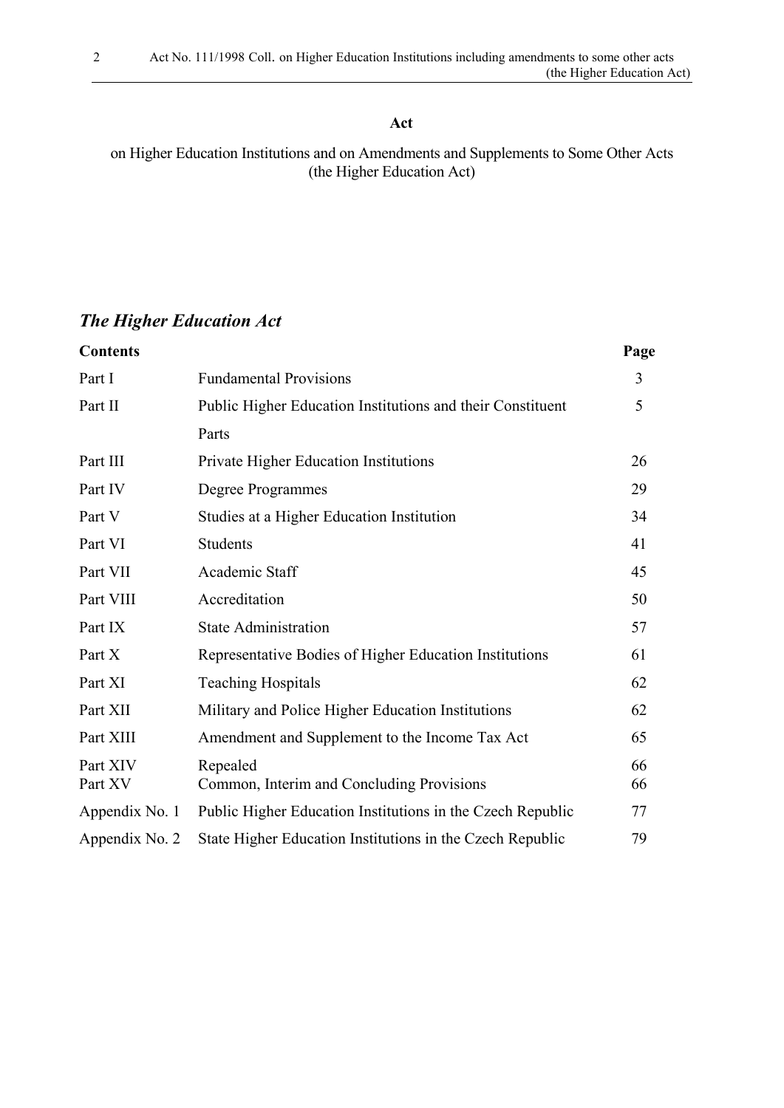### **Act**

on Higher Education Institutions and on Amendments and Supplements to Some Other Acts (the Higher Education Act)

# *The Higher Education Act*

| <b>Contents</b>     |                                                            | Page     |
|---------------------|------------------------------------------------------------|----------|
| Part I              | <b>Fundamental Provisions</b>                              | 3        |
| Part II             | Public Higher Education Institutions and their Constituent | 5        |
|                     | Parts                                                      |          |
| Part III            | Private Higher Education Institutions                      | 26       |
| Part IV             | Degree Programmes                                          | 29       |
| Part V              | Studies at a Higher Education Institution                  | 34       |
| Part VI             | <b>Students</b>                                            | 41       |
| Part VII            | Academic Staff                                             | 45       |
| Part VIII           | Accreditation                                              | 50       |
| Part IX             | <b>State Administration</b>                                | 57       |
| Part X              | Representative Bodies of Higher Education Institutions     | 61       |
| Part XI             | <b>Teaching Hospitals</b>                                  | 62       |
| Part XII            | Military and Police Higher Education Institutions          | 62       |
| Part XIII           | Amendment and Supplement to the Income Tax Act             | 65       |
| Part XIV<br>Part XV | Repealed<br>Common, Interim and Concluding Provisions      | 66<br>66 |
| Appendix No. 1      | Public Higher Education Institutions in the Czech Republic | 77       |
| Appendix No. 2      | State Higher Education Institutions in the Czech Republic  | 79       |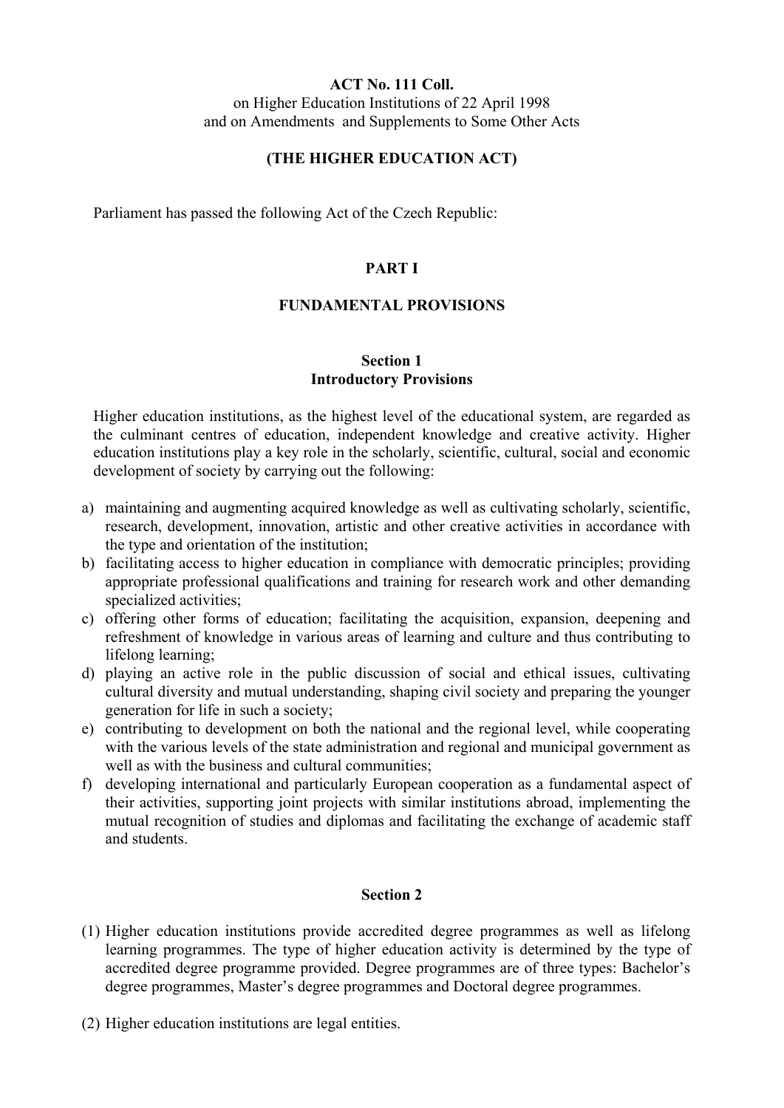#### **ACT No. 111 Coll.** on Higher Education Institutions of 22 April 1998

and on Amendments and Supplements to Some Other Acts

# **(THE HIGHER EDUCATION ACT)**

Parliament has passed the following Act of the Czech Republic:

### **PART I**

### **FUNDAMENTAL PROVISIONS**

### **Section 1 Introductory Provisions**

Higher education institutions, as the highest level of the educational system, are regarded as the culminant centres of education, independent knowledge and creative activity. Higher education institutions play a key role in the scholarly, scientific, cultural, social and economic development of society by carrying out the following:

- a) maintaining and augmenting acquired knowledge as well as cultivating scholarly, scientific, research, development, innovation, artistic and other creative activities in accordance with the type and orientation of the institution;
- b) facilitating access to higher education in compliance with democratic principles; providing appropriate professional qualifications and training for research work and other demanding specialized activities;
- c) offering other forms of education; facilitating the acquisition, expansion, deepening and refreshment of knowledge in various areas of learning and culture and thus contributing to lifelong learning;
- d) playing an active role in the public discussion of social and ethical issues, cultivating cultural diversity and mutual understanding, shaping civil society and preparing the younger generation for life in such a society;
- e) contributing to development on both the national and the regional level, while cooperating with the various levels of the state administration and regional and municipal government as well as with the business and cultural communities;
- f) developing international and particularly European cooperation as a fundamental aspect of their activities, supporting joint projects with similar institutions abroad, implementing the mutual recognition of studies and diplomas and facilitating the exchange of academic staff and students.

- (1) Higher education institutions provide accredited degree programmes as well as lifelong learning programmes. The type of higher education activity is determined by the type of accredited degree programme provided. Degree programmes are of three types: Bachelor's degree programmes, Master's degree programmes and Doctoral degree programmes.
- (2) Higher education institutions are legal entities.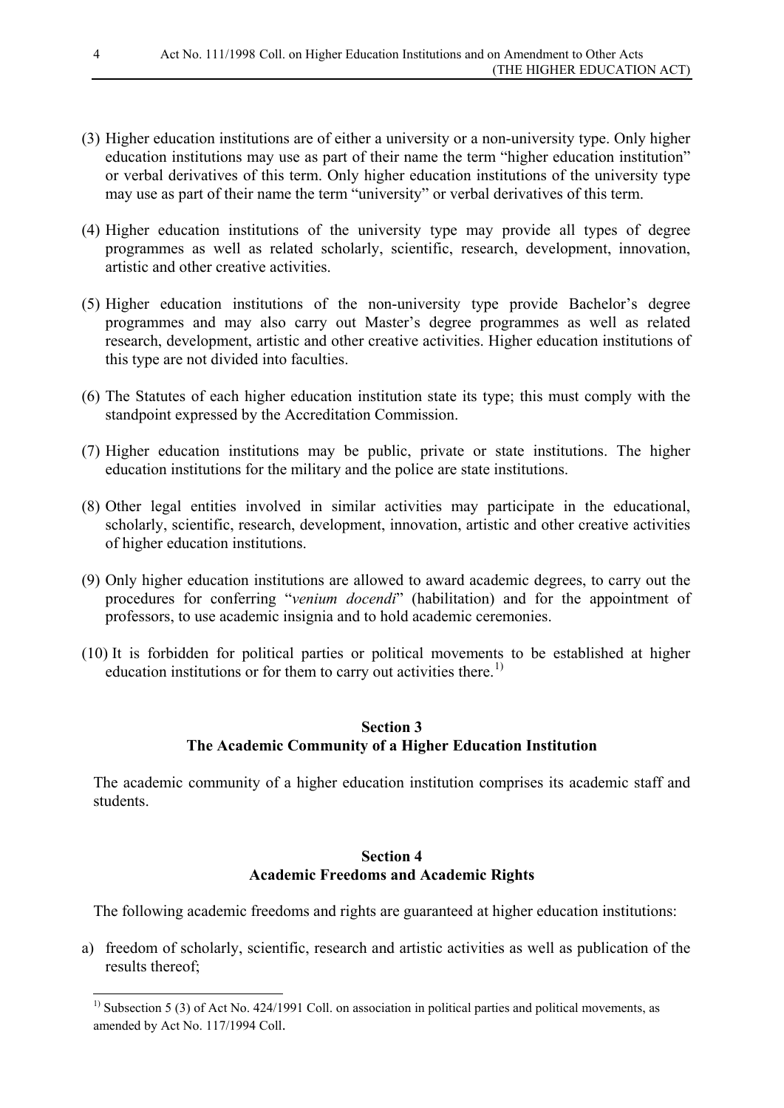- (3) Higher education institutions are of either a university or a non-university type. Only higher education institutions may use as part of their name the term "higher education institution" or verbal derivatives of this term. Only higher education institutions of the university type may use as part of their name the term "university" or verbal derivatives of this term.
- (4) Higher education institutions of the university type may provide all types of degree programmes as well as related scholarly, scientific, research, development, innovation, artistic and other creative activities.
- (5) Higher education institutions of the non-university type provide Bachelor's degree programmes and may also carry out Master's degree programmes as well as related research, development, artistic and other creative activities. Higher education institutions of this type are not divided into faculties.
- (6) The Statutes of each higher education institution state its type; this must comply with the standpoint expressed by the Accreditation Commission.
- (7) Higher education institutions may be public, private or state institutions. The higher education institutions for the military and the police are state institutions.
- (8) Other legal entities involved in similar activities may participate in the educational, scholarly, scientific, research, development, innovation, artistic and other creative activities of higher education institutions.
- (9) Only higher education institutions are allowed to award academic degrees, to carry out the procedures for conferring "*venium docendi*" (habilitation) and for the appointment of professors, to use academic insignia and to hold academic ceremonies.
- (10) It is forbidden for political parties or political movements to be established at higher education institutions or for them to carry out activities there.<sup>[1\)](#page-3-0)</sup>

### **Section 3 The Academic Community of a Higher Education Institution**

The academic community of a higher education institution comprises its academic staff and students.

### **Section 4 Academic Freedoms and Academic Rights**

The following academic freedoms and rights are guaranteed at higher education institutions:

a) freedom of scholarly, scientific, research and artistic activities as well as publication of the results thereof;

<span id="page-3-0"></span><sup>&</sup>lt;sup>1)</sup> Subsection 5 (3) of Act No. 424/1991 Coll. on association in political parties and political movements, as amended by Act No. 117/1994 Coll.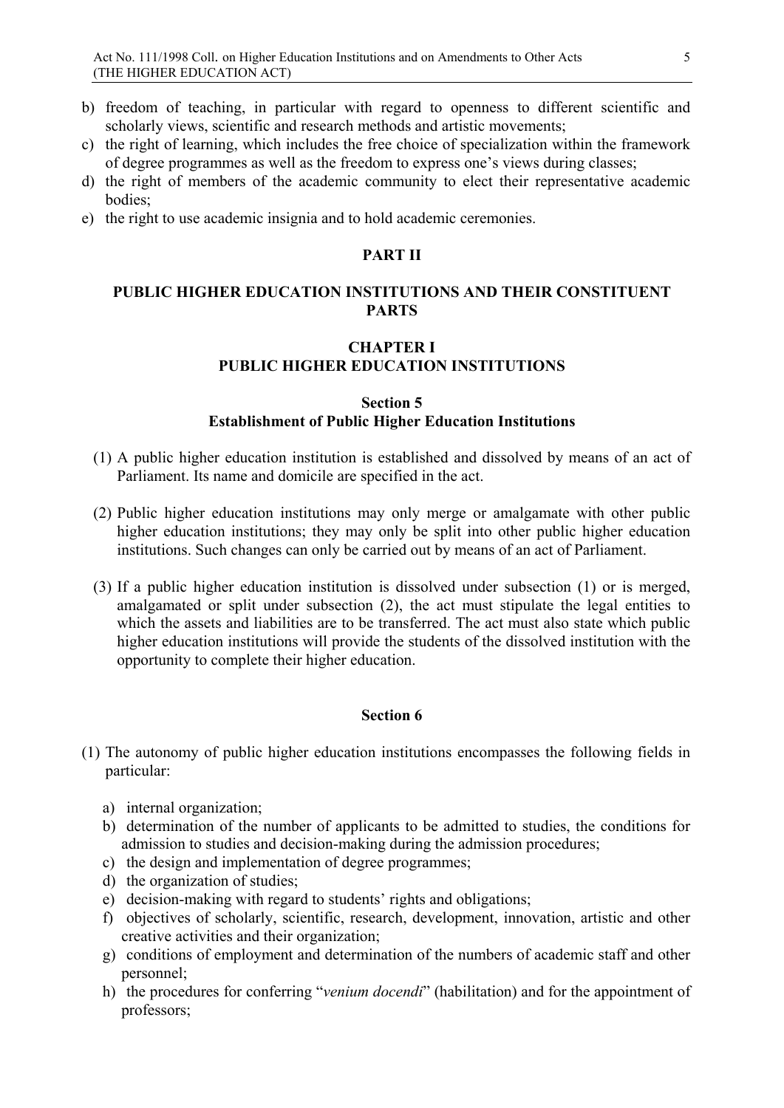- b) freedom of teaching, in particular with regard to openness to different scientific and scholarly views, scientific and research methods and artistic movements;
- c) the right of learning, which includes the free choice of specialization within the framework of degree programmes as well as the freedom to express one's views during classes;
- d) the right of members of the academic community to elect their representative academic bodies;
- e) the right to use academic insignia and to hold academic ceremonies.

#### **PART II**

### **PUBLIC HIGHER EDUCATION INSTITUTIONS AND THEIR CONSTITUENT PARTS**

### **CHAPTER I PUBLIC HIGHER EDUCATION INSTITUTIONS**

#### **Section 5 Establishment of Public Higher Education Institutions**

- (1) A public higher education institution is established and dissolved by means of an act of Parliament. Its name and domicile are specified in the act.
- (2) Public higher education institutions may only merge or amalgamate with other public higher education institutions; they may only be split into other public higher education institutions. Such changes can only be carried out by means of an act of Parliament.
- (3) If a public higher education institution is dissolved under subsection (1) or is merged, amalgamated or split under subsection (2), the act must stipulate the legal entities to which the assets and liabilities are to be transferred. The act must also state which public higher education institutions will provide the students of the dissolved institution with the opportunity to complete their higher education.

- (1) The autonomy of public higher education institutions encompasses the following fields in particular:
	- a) internal organization;
	- b) determination of the number of applicants to be admitted to studies, the conditions for admission to studies and decision-making during the admission procedures;
	- c) the design and implementation of degree programmes;
	- d) the organization of studies;
	- e) decision-making with regard to students' rights and obligations;
	- f) objectives of scholarly, scientific, research, development, innovation, artistic and other creative activities and their organization;
	- g) conditions of employment and determination of the numbers of academic staff and other personnel;
	- h) the procedures for conferring "*venium docendi*" (habilitation) and for the appointment of professors;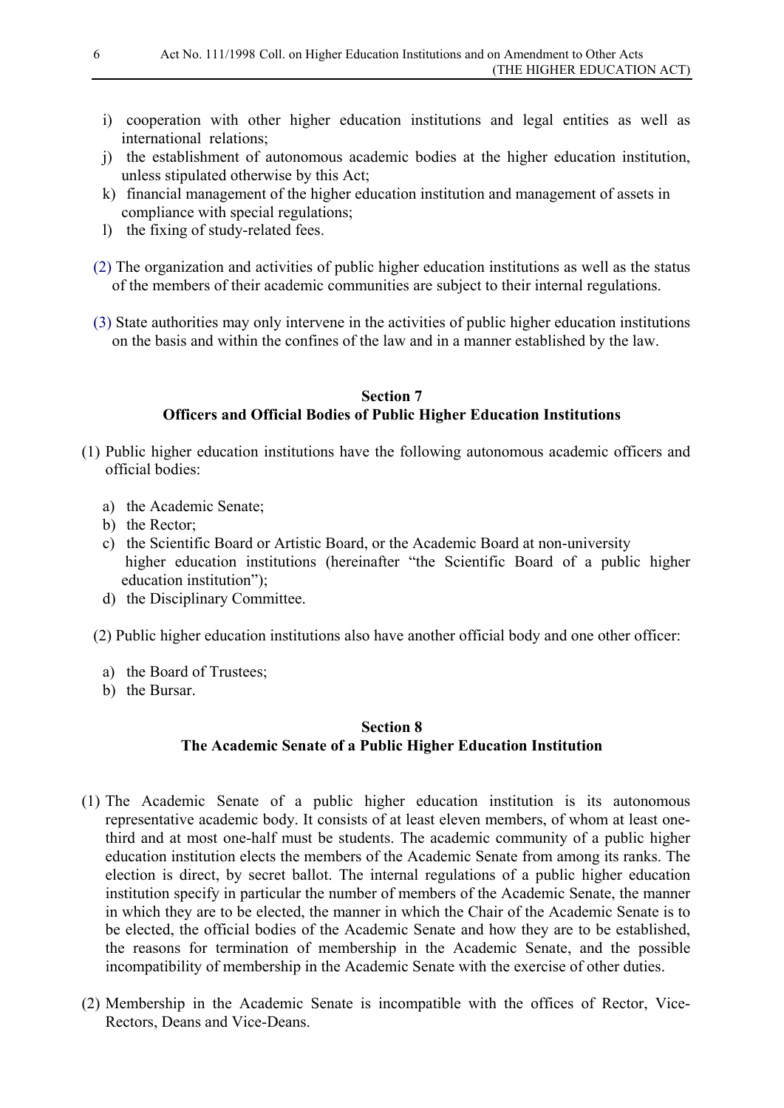- i) cooperation with other higher education institutions and legal entities as well as international relations;
- j) the establishment of autonomous academic bodies at the higher education institution, unless stipulated otherwise by this Act;
- k) financial management of the higher education institution and management of assets in compliance with special regulations;
- l) the fixing of study-related fees.
- (2) The organization and activities of public higher education institutions as well as the status of the members of their academic communities are subject to their internal regulations.
- (3) State authorities may only intervene in the activities of public higher education institutions on the basis and within the confines of the law and in a manner established by the law.

### **Section 7 Officers and Official Bodies of Public Higher Education Institutions**

- (1) Public higher education institutions have the following autonomous academic officers and official bodies:
	- a) the Academic Senate;
	- b) the Rector;
	- c) the Scientific Board or Artistic Board, or the Academic Board at non-university higher education institutions (hereinafter "the Scientific Board of a public higher education institution");
	- d) the Disciplinary Committee.
	- (2) Public higher education institutions also have another official body and one other officer:
		- a) the Board of Trustees;
		- b) the Bursar.

### **Section 8 The Academic Senate of a Public Higher Education Institution**

- (1) The Academic Senate of a public higher education institution is its autonomous representative academic body. It consists of at least eleven members, of whom at least onethird and at most one-half must be students. The academic community of a public higher education institution elects the members of the Academic Senate from among its ranks. The election is direct, by secret ballot. The internal regulations of a public higher education institution specify in particular the number of members of the Academic Senate, the manner in which they are to be elected, the manner in which the Chair of the Academic Senate is to be elected, the official bodies of the Academic Senate and how they are to be established, the reasons for termination of membership in the Academic Senate, and the possible incompatibility of membership in the Academic Senate with the exercise of other duties.
- (2) Membership in the Academic Senate is incompatible with the offices of Rector, Vice-Rectors, Deans and Vice-Deans.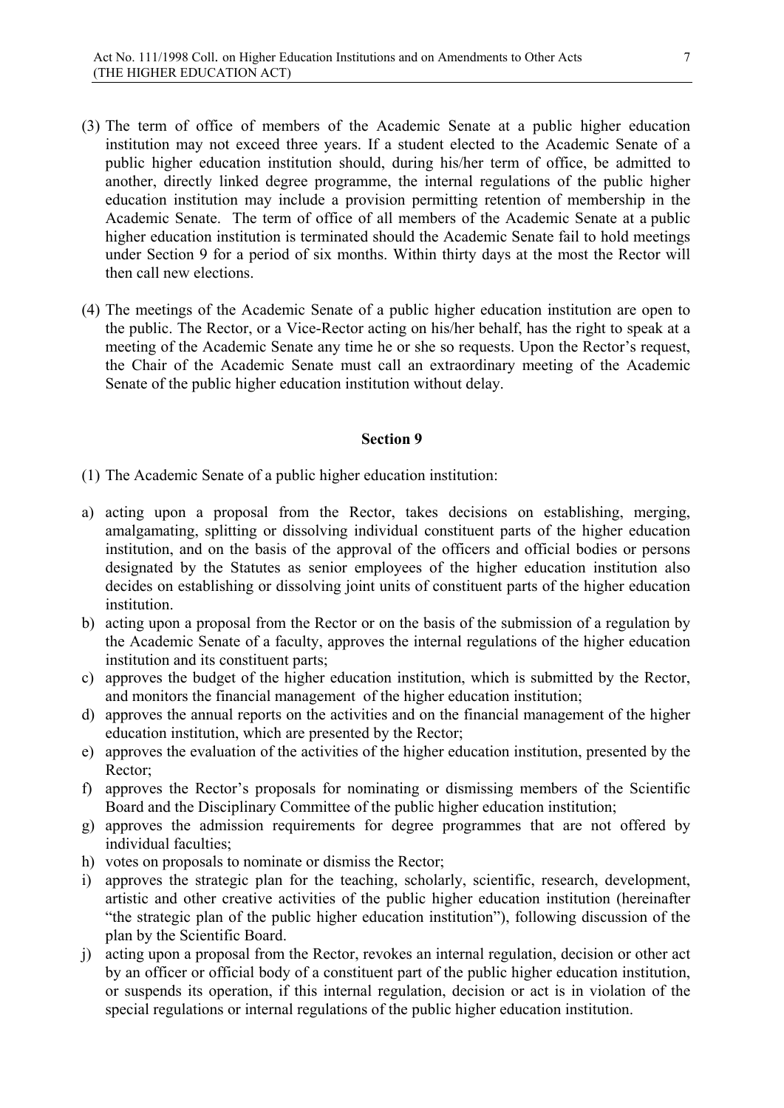- (3) The term of office of members of the Academic Senate at a public higher education institution may not exceed three years. If a student elected to the Academic Senate of a public higher education institution should, during his/her term of office, be admitted to another, directly linked degree programme, the internal regulations of the public higher education institution may include a provision permitting retention of membership in the Academic Senate. The term of office of all members of the Academic Senate at a public higher education institution is terminated should the Academic Senate fail to hold meetings under Section 9 for a period of six months. Within thirty days at the most the Rector will then call new elections.
- (4) The meetings of the Academic Senate of a public higher education institution are open to the public. The Rector, or a Vice-Rector acting on his/her behalf, has the right to speak at a meeting of the Academic Senate any time he or she so requests. Upon the Rector's request, the Chair of the Academic Senate must call an extraordinary meeting of the Academic Senate of the public higher education institution without delay.

- (1) The Academic Senate of a public higher education institution:
- a) acting upon a proposal from the Rector, takes decisions on establishing, merging, amalgamating, splitting or dissolving individual constituent parts of the higher education institution, and on the basis of the approval of the officers and official bodies or persons designated by the Statutes as senior employees of the higher education institution also decides on establishing or dissolving joint units of constituent parts of the higher education institution.
- b) acting upon a proposal from the Rector or on the basis of the submission of a regulation by the Academic Senate of a faculty, approves the internal regulations of the higher education institution and its constituent parts;
- c) approves the budget of the higher education institution, which is submitted by the Rector, and monitors the financial management of the higher education institution;
- d) approves the annual reports on the activities and on the financial management of the higher education institution, which are presented by the Rector;
- e) approves the evaluation of the activities of the higher education institution, presented by the Rector;
- f) approves the Rector's proposals for nominating or dismissing members of the Scientific Board and the Disciplinary Committee of the public higher education institution;
- g) approves the admission requirements for degree programmes that are not offered by individual faculties;
- h) votes on proposals to nominate or dismiss the Rector;
- i) approves the strategic plan for the teaching, scholarly, scientific, research, development, artistic and other creative activities of the public higher education institution (hereinafter "the strategic plan of the public higher education institution"), following discussion of the plan by the Scientific Board.
- j) acting upon a proposal from the Rector, revokes an internal regulation, decision or other act by an officer or official body of a constituent part of the public higher education institution, or suspends its operation, if this internal regulation, decision or act is in violation of the special regulations or internal regulations of the public higher education institution.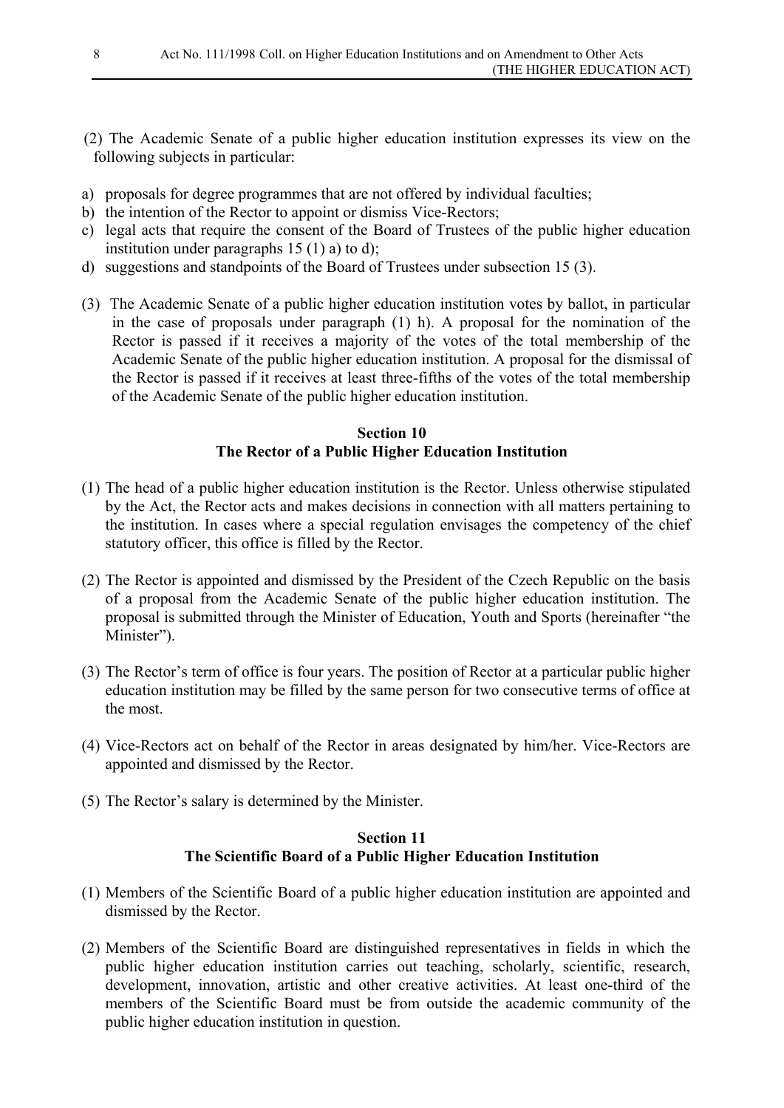- (2) The Academic Senate of a public higher education institution expresses its view on the following subjects in particular:
- a) proposals for degree programmes that are not offered by individual faculties;
- b) the intention of the Rector to appoint or dismiss Vice-Rectors;
- c) legal acts that require the consent of the Board of Trustees of the public higher education institution under paragraphs  $15(1)$  a) to d);
- d) suggestions and standpoints of the Board of Trustees under subsection 15 (3).
- (3) The Academic Senate of a public higher education institution votes by ballot, in particular in the case of proposals under paragraph (1) h). A proposal for the nomination of the Rector is passed if it receives a majority of the votes of the total membership of the Academic Senate of the public higher education institution. A proposal for the dismissal of the Rector is passed if it receives at least three-fifths of the votes of the total membership of the Academic Senate of the public higher education institution.

### **Section 10 The Rector of a Public Higher Education Institution**

- (1) The head of a public higher education institution is the Rector. Unless otherwise stipulated by the Act, the Rector acts and makes decisions in connection with all matters pertaining to the institution. In cases where a special regulation envisages the competency of the chief statutory officer, this office is filled by the Rector.
- (2) The Rector is appointed and dismissed by the President of the Czech Republic on the basis of a proposal from the Academic Senate of the public higher education institution. The proposal is submitted through the Minister of Education, Youth and Sports (hereinafter "the Minister").
- (3) The Rector's term of office is four years. The position of Rector at a particular public higher education institution may be filled by the same person for two consecutive terms of office at the most.
- (4) Vice-Rectors act on behalf of the Rector in areas designated by him/her. Vice-Rectors are appointed and dismissed by the Rector.
- (5) The Rector's salary is determined by the Minister.

### **Section 11 The Scientific Board of a Public Higher Education Institution**

- (1) Members of the Scientific Board of a public higher education institution are appointed and dismissed by the Rector.
- (2) Members of the Scientific Board are distinguished representatives in fields in which the public higher education institution carries out teaching, scholarly, scientific, research, development, innovation, artistic and other creative activities. At least one-third of the members of the Scientific Board must be from outside the academic community of the public higher education institution in question.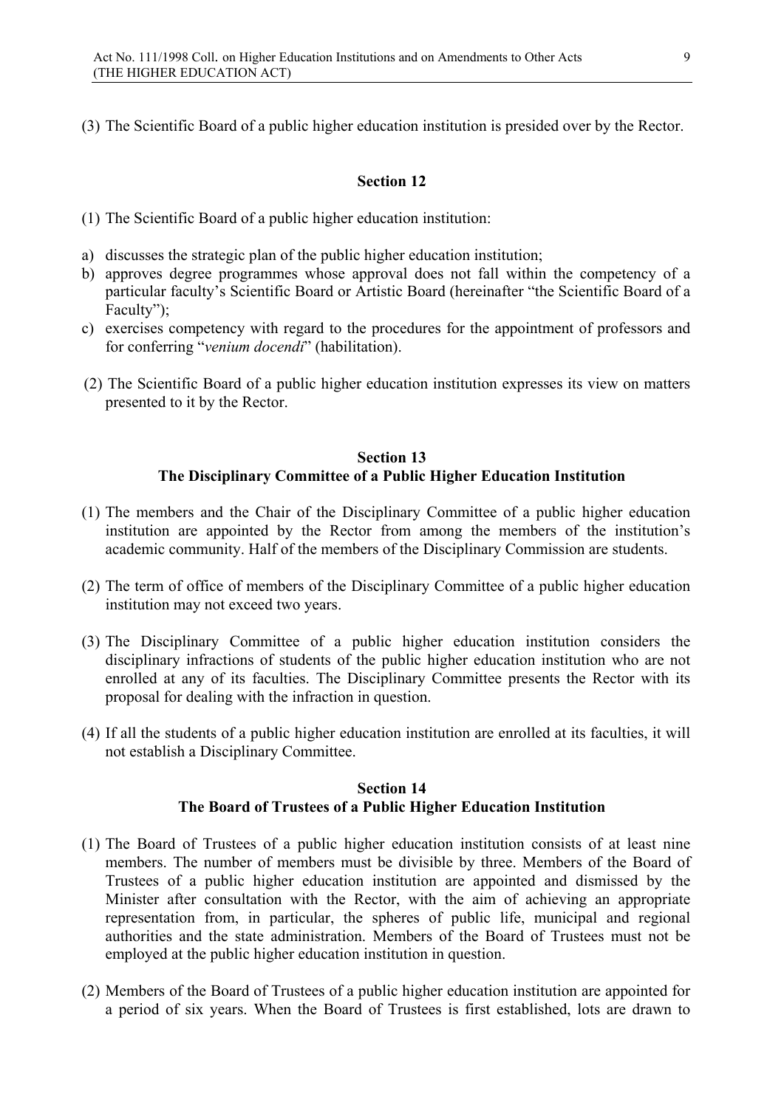(3) The Scientific Board of a public higher education institution is presided over by the Rector.

#### **Section 12**

(1) The Scientific Board of a public higher education institution:

- a) discusses the strategic plan of the public higher education institution;
- b) approves degree programmes whose approval does not fall within the competency of a particular faculty's Scientific Board or Artistic Board (hereinafter "the Scientific Board of a Faculty");
- c) exercises competency with regard to the procedures for the appointment of professors and for conferring "*venium docendi*" (habilitation).
- (2) The Scientific Board of a public higher education institution expresses its view on matters presented to it by the Rector.

### **Section 13 The Disciplinary Committee of a Public Higher Education Institution**

- (1) The members and the Chair of the Disciplinary Committee of a public higher education institution are appointed by the Rector from among the members of the institution's academic community. Half of the members of the Disciplinary Commission are students.
- (2) The term of office of members of the Disciplinary Committee of a public higher education institution may not exceed two years.
- (3) The Disciplinary Committee of a public higher education institution considers the disciplinary infractions of students of the public higher education institution who are not enrolled at any of its faculties. The Disciplinary Committee presents the Rector with its proposal for dealing with the infraction in question.
- (4) If all the students of a public higher education institution are enrolled at its faculties, it will not establish a Disciplinary Committee.

#### **Section 14 The Board of Trustees of a Public Higher Education Institution**

- (1) The Board of Trustees of a public higher education institution consists of at least nine members. The number of members must be divisible by three. Members of the Board of Trustees of a public higher education institution are appointed and dismissed by the Minister after consultation with the Rector, with the aim of achieving an appropriate representation from, in particular, the spheres of public life, municipal and regional authorities and the state administration. Members of the Board of Trustees must not be employed at the public higher education institution in question.
- (2) Members of the Board of Trustees of a public higher education institution are appointed for a period of six years. When the Board of Trustees is first established, lots are drawn to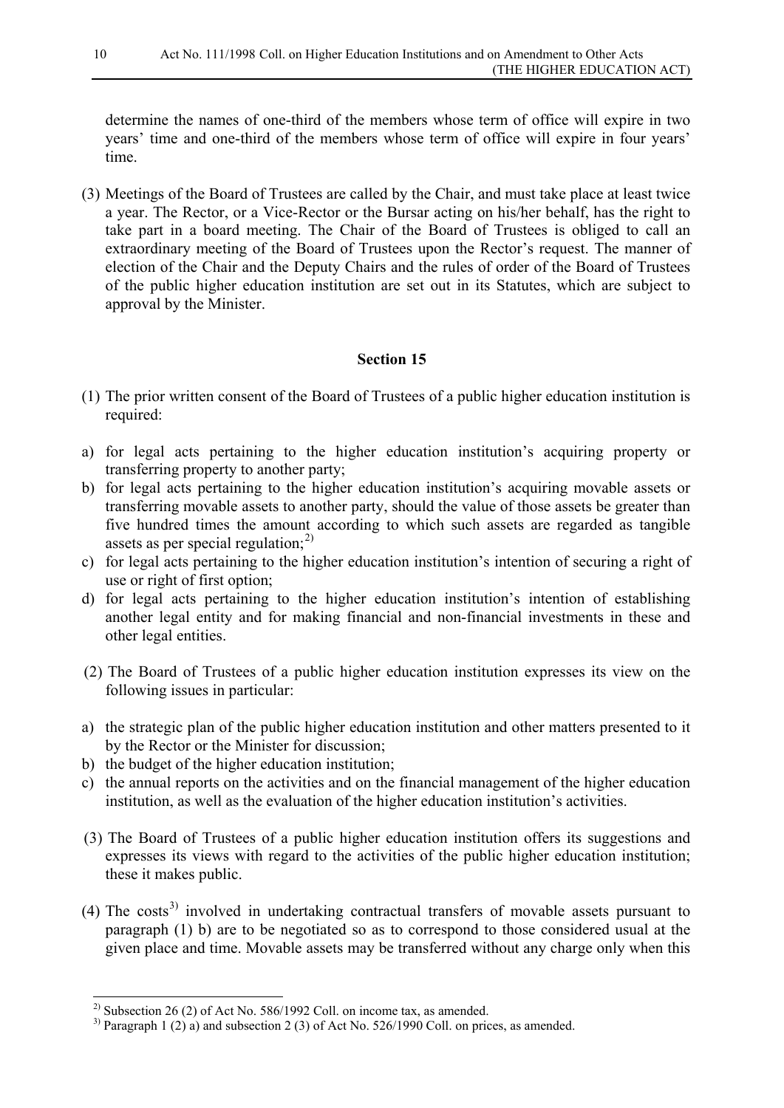determine the names of one-third of the members whose term of office will expire in two years' time and one-third of the members whose term of office will expire in four years' time.

(3) Meetings of the Board of Trustees are called by the Chair, and must take place at least twice a year. The Rector, or a Vice-Rector or the Bursar acting on his/her behalf, has the right to take part in a board meeting. The Chair of the Board of Trustees is obliged to call an extraordinary meeting of the Board of Trustees upon the Rector's request. The manner of election of the Chair and the Deputy Chairs and the rules of order of the Board of Trustees of the public higher education institution are set out in its Statutes, which are subject to approval by the Minister.

- (1) The prior written consent of the Board of Trustees of a public higher education institution is required:
- a) for legal acts pertaining to the higher education institution's acquiring property or transferring property to another party;
- b) for legal acts pertaining to the higher education institution's acquiring movable assets or transferring movable assets to another party, should the value of those assets be greater than five hundred times the amount according to which such assets are regarded as tangible assets as per special regulation; $^{2)}$  $^{2)}$  $^{2)}$
- c) for legal acts pertaining to the higher education institution's intention of securing a right of use or right of first option;
- d) for legal acts pertaining to the higher education institution's intention of establishing another legal entity and for making financial and non-financial investments in these and other legal entities.
- (2) The Board of Trustees of a public higher education institution expresses its view on the following issues in particular:
- a) the strategic plan of the public higher education institution and other matters presented to it by the Rector or the Minister for discussion;
- b) the budget of the higher education institution;
- c) the annual reports on the activities and on the financial management of the higher education institution, as well as the evaluation of the higher education institution's activities.
- (3) The Board of Trustees of a public higher education institution offers its suggestions and expresses its views with regard to the activities of the public higher education institution; these it makes public.
- (4) The costs<sup>[3\)](#page-9-1)</sup> involved in undertaking contractual transfers of movable assets pursuant to paragraph (1) b) are to be negotiated so as to correspond to those considered usual at the given place and time. Movable assets may be transferred without any charge only when this

<span id="page-9-0"></span><sup>&</sup>lt;sup>2)</sup> Subsection 26 (2) of Act No. 586/1992 Coll. on income tax, as amended.

<span id="page-9-1"></span><sup>&</sup>lt;sup>3)</sup> Paragraph 1 (2) a) and subsection 2 (3) of Act No. 526/1990 Coll. on prices, as amended.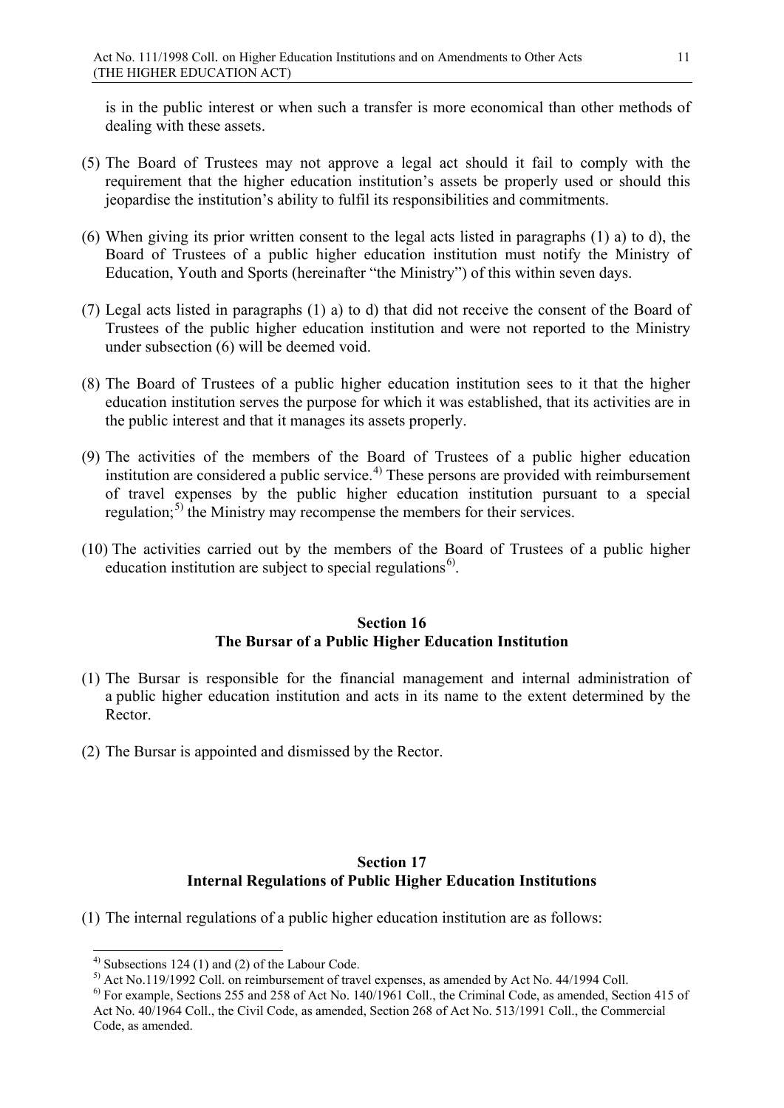is in the public interest or when such a transfer is more economical than other methods of dealing with these assets.

- (5) The Board of Trustees may not approve a legal act should it fail to comply with the requirement that the higher education institution's assets be properly used or should this jeopardise the institution's ability to fulfil its responsibilities and commitments.
- (6) When giving its prior written consent to the legal acts listed in paragraphs (1) a) to d), the Board of Trustees of a public higher education institution must notify the Ministry of Education, Youth and Sports (hereinafter "the Ministry") of this within seven days.
- (7) Legal acts listed in paragraphs (1) a) to d) that did not receive the consent of the Board of Trustees of the public higher education institution and were not reported to the Ministry under subsection (6) will be deemed void.
- (8) The Board of Trustees of a public higher education institution sees to it that the higher education institution serves the purpose for which it was established, that its activities are in the public interest and that it manages its assets properly.
- (9) The activities of the members of the Board of Trustees of a public higher education institution are considered a public service.<sup>[4\)](#page-10-0)</sup> These persons are provided with reimbursement of travel expenses by the public higher education institution pursuant to a special regulation;<sup>[5\)](#page-10-1)</sup> the Ministry may recompense the members for their services.
- (10) The activities carried out by the members of the Board of Trustees of a public higher education institution are subject to special regulations<sup>6)</sup>.

### **Section 16 The Bursar of a Public Higher Education Institution**

- (1) The Bursar is responsible for the financial management and internal administration of a public higher education institution and acts in its name to the extent determined by the Rector.
- (2) The Bursar is appointed and dismissed by the Rector.

### **Section 17 Internal Regulations of Public Higher Education Institutions**

(1) The internal regulations of a public higher education institution are as follows:

<span id="page-10-0"></span> $^{4)}$  Subsections 124 (1) and (2) of the Labour Code.

<sup>&</sup>lt;sup>5)</sup> Act No.119/1992 Coll. on reimbursement of travel expenses, as amended by Act No. 44/1994 Coll.

<span id="page-10-2"></span><span id="page-10-1"></span><sup>&</sup>lt;sup>6)</sup> For example, Sections 255 and 258 of Act No. 140/1961 Coll., the Criminal Code, as amended, Section 415 of Act No. 40/1964 Coll., the Civil Code, as amended, Section 268 of Act No. 513/1991 Coll., the Commercial Code, as amended.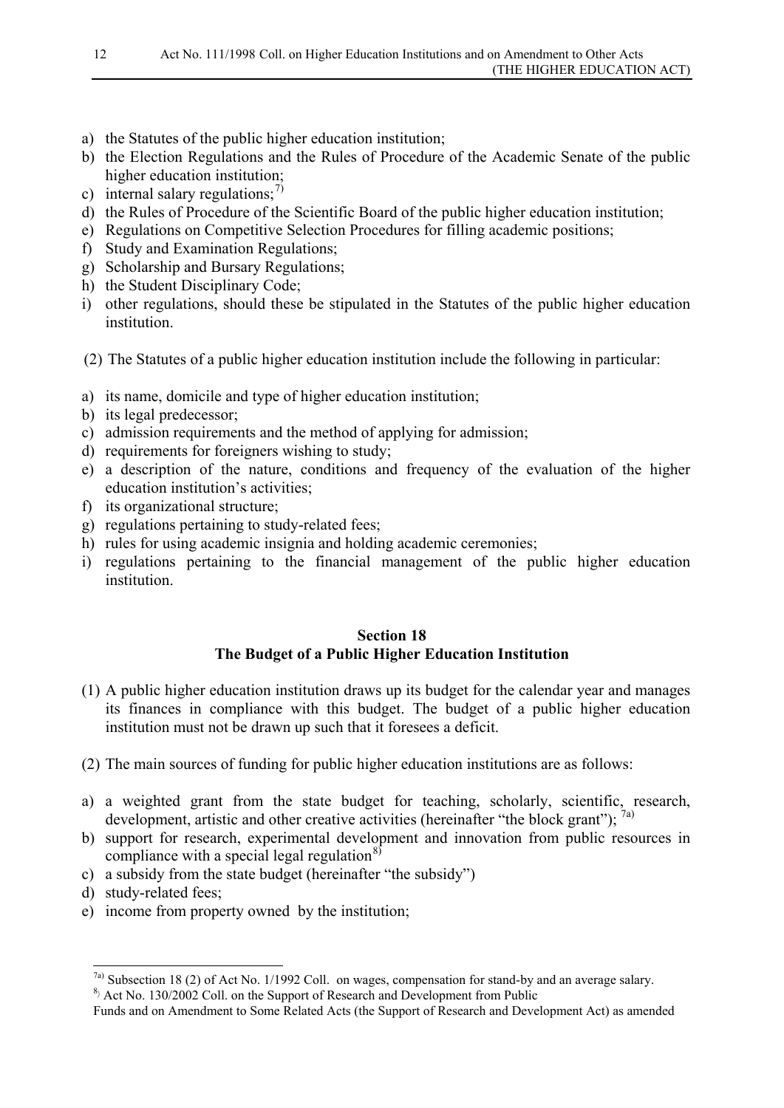- a) the Statutes of the public higher education institution;
- b) the Election Regulations and the Rules of Procedure of the Academic Senate of the public higher education institution;
- c) internal salary regulations; $\frac{7}{2}$
- d) the Rules of Procedure of the Scientific Board of the public higher education institution;
- e) Regulations on Competitive Selection Procedures for filling academic positions;
- f) Study and Examination Regulations;
- g) Scholarship and Bursary Regulations;
- h) the Student Disciplinary Code;
- i) other regulations, should these be stipulated in the Statutes of the public higher education institution.
- (2) The Statutes of a public higher education institution include the following in particular:
- a) its name, domicile and type of higher education institution;
- b) its legal predecessor;
- c) admission requirements and the method of applying for admission;
- d) requirements for foreigners wishing to study;
- e) a description of the nature, conditions and frequency of the evaluation of the higher education institution's activities;
- f) its organizational structure;
- g) regulations pertaining to study-related fees;
- h) rules for using academic insignia and holding academic ceremonies;
- i) regulations pertaining to the financial management of the public higher education institution.

### **Section 18 The Budget of a Public Higher Education Institution**

- (1) A public higher education institution draws up its budget for the calendar year and manages its finances in compliance with this budget. The budget of a public higher education institution must not be drawn up such that it foresees a deficit.
- (2) The main sources of funding for public higher education institutions are as follows:
- a) a weighted grant from the state budget for teaching, scholarly, scientific, research, development, artistic and other creative activities (hereinafter "the block grant");  $^{7a}$ )
- b) support for research, experimental development and innovation from public resources in compliance with a special legal regulation $^{8)}$  $^{8)}$  $^{8)}$
- c) a subsidy from the state budget (hereinafter "the subsidy")
- d) study-related fees;
- e) income from property owned by the institution;

<span id="page-11-0"></span><sup>&</sup>lt;sup>7a)</sup> Subsection 18 (2) of Act No. 1/1992 Coll. on wages, compensation for stand-by and an average salary. <sup>8</sup>) Act No. 130/2002 Coll. on the Support of Research and Development from Public

<span id="page-11-1"></span>

Funds and on Amendment to Some Related Acts (the Support of Research and Development Act) as amended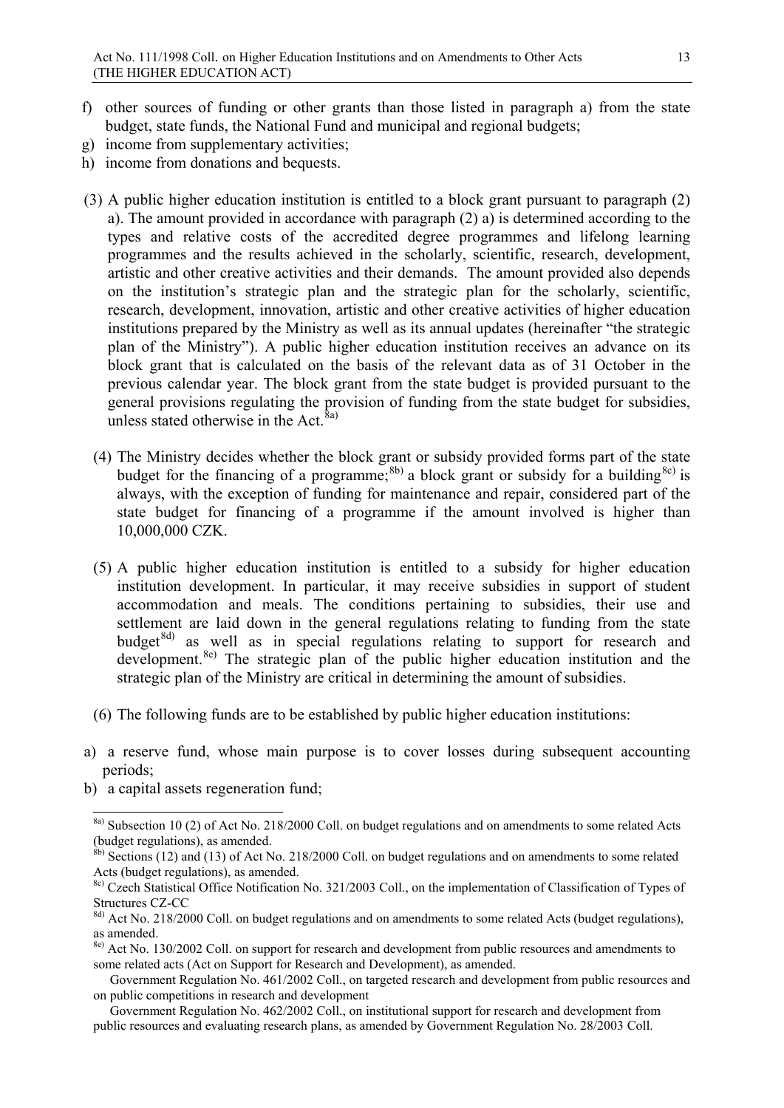- f) other sources of funding or other grants than those listed in paragraph a) from the state budget, state funds, the National Fund and municipal and regional budgets;
- g) income from supplementary activities;
- h) income from donations and bequests.
- (3) A public higher education institution is entitled to a block grant pursuant to paragraph (2) a). The amount provided in accordance with paragraph (2) a) is determined according to the types and relative costs of the accredited degree programmes and lifelong learning programmes and the results achieved in the scholarly, scientific, research, development, artistic and other creative activities and their demands. The amount provided also depends on the institution's strategic plan and the strategic plan for the scholarly, scientific, research, development, innovation, artistic and other creative activities of higher education institutions prepared by the Ministry as well as its annual updates (hereinafter "the strategic plan of the Ministry"). A public higher education institution receives an advance on its block grant that is calculated on the basis of the relevant data as of 31 October in the previous calendar year. The block grant from the state budget is provided pursuant to the general provisions regulating the provision of funding from the state budget for subsidies, unless stated otherwise in the Act. $\bar{8}a$ )
	- (4) The Ministry decides whether the block grant or subsidy provided forms part of the state budget for the financing of a programme;<sup>[8b\)](#page-12-1)</sup> a block grant or subsidy for a building<sup>[8c\)](#page-12-2)</sup> is always, with the exception of funding for maintenance and repair, considered part of the state budget for financing of a programme if the amount involved is higher than 10,000,000 CZK.
	- (5) A public higher education institution is entitled to a subsidy for higher education institution development. In particular, it may receive subsidies in support of student accommodation and meals. The conditions pertaining to subsidies, their use and settlement are laid down in the general regulations relating to funding from the state budget $8d$  as well as in special regulations relating to support for research and development.<sup>[8e\)](#page-12-4)</sup> The strategic plan of the public higher education institution and the strategic plan of the Ministry are critical in determining the amount of subsidies.
	- (6) The following funds are to be established by public higher education institutions:
- a) a reserve fund, whose main purpose is to cover losses during subsequent accounting periods;
- b) a capital assets regeneration fund;

<span id="page-12-0"></span><sup>&</sup>lt;sup>8a)</sup> Subsection 10 (2) of Act No. 218/2000 Coll. on budget regulations and on amendments to some related Acts (budget regulations), as amended.

<span id="page-12-1"></span><sup>8</sup>b) Sections (12) and (13) of Act No. 218/2000 Coll. on budget regulations and on amendments to some related Acts (budget regulations), as amended.

<span id="page-12-2"></span><sup>&</sup>lt;sup>8c)</sup> Czech Statistical Office Notification No. 321/2003 Coll., on the implementation of Classification of Types of Structures CZ-CC

<span id="page-12-3"></span><sup>&</sup>lt;sup>8d)</sup> Act No. 218/2000 Coll. on budget regulations and on amendments to some related Acts (budget regulations), as amended.

<span id="page-12-4"></span><sup>&</sup>lt;sup>8e)</sup> Act No. 130/2002 Coll. on support for research and development from public resources and amendments to some related acts (Act on Support for Research and Development), as amended.

Government Regulation No. 461/2002 Coll., on targeted research and development from public resources and on public competitions in research and development

Government Regulation No. 462/2002 Coll., on institutional support for research and development from public resources and evaluating research plans, as amended by Government Regulation No. 28/2003 Coll.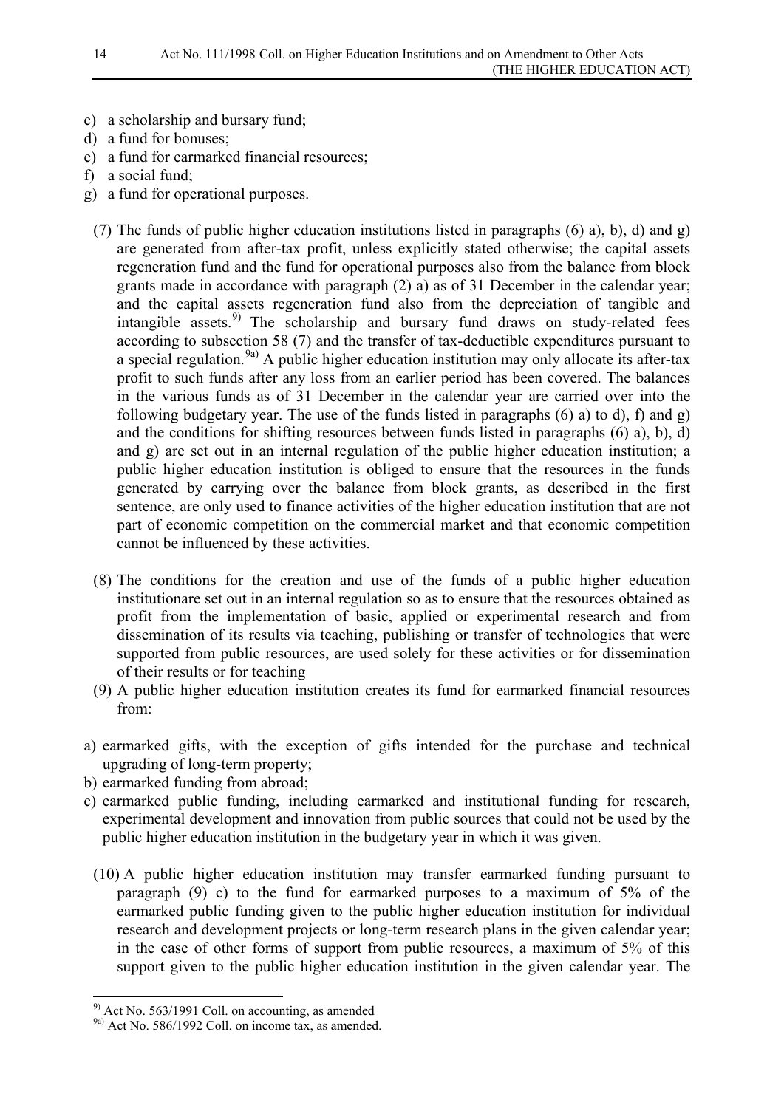- c) a scholarship and bursary fund;
- d) a fund for bonuses;
- e) a fund for earmarked financial resources;
- f) a social fund;
- g) a fund for operational purposes.
- (7) The funds of public higher education institutions listed in paragraphs (6) a), b), d) and g) are generated from after-tax profit, unless explicitly stated otherwise; the capital assets regeneration fund and the fund for operational purposes also from the balance from block grants made in accordance with paragraph (2) a) as of 31 December in the calendar year; and the capital assets regeneration fund also from the depreciation of tangible and intangible assets.<sup>[9\)](#page-13-0)</sup> The scholarship and bursary fund draws on study-related fees according to subsection 58 (7) and the transfer of tax-deductible expenditures pursuant to a special regulation.<sup>[9a\)](#page-13-1)</sup> A public higher education institution may only allocate its after-tax profit to such funds after any loss from an earlier period has been covered. The balances in the various funds as of 31 December in the calendar year are carried over into the following budgetary year. The use of the funds listed in paragraphs (6) a) to d), f) and g) and the conditions for shifting resources between funds listed in paragraphs (6) a), b), d) and g) are set out in an internal regulation of the public higher education institution; a public higher education institution is obliged to ensure that the resources in the funds generated by carrying over the balance from block grants, as described in the first sentence, are only used to finance activities of the higher education institution that are not part of economic competition on the commercial market and that economic competition cannot be influenced by these activities.
- (8) The conditions for the creation and use of the funds of a public higher education institutionare set out in an internal regulation so as to ensure that the resources obtained as profit from the implementation of basic, applied or experimental research and from dissemination of its results via teaching, publishing or transfer of technologies that were supported from public resources, are used solely for these activities or for dissemination of their results or for teaching
- (9) A public higher education institution creates its fund for earmarked financial resources from:
- a) earmarked gifts, with the exception of gifts intended for the purchase and technical upgrading of long-term property;
- b) earmarked funding from abroad;
- c) earmarked public funding, including earmarked and institutional funding for research, experimental development and innovation from public sources that could not be used by the public higher education institution in the budgetary year in which it was given.
	- (10) A public higher education institution may transfer earmarked funding pursuant to paragraph (9) c) to the fund for earmarked purposes to a maximum of 5% of the earmarked public funding given to the public higher education institution for individual research and development projects or long-term research plans in the given calendar year; in the case of other forms of support from public resources, a maximum of 5% of this support given to the public higher education institution in the given calendar year. The

<span id="page-13-0"></span> <sup>9)</sup> Act No. 563/1991 Coll. on accounting, as amended

<span id="page-13-1"></span><sup>&</sup>lt;sup>9a)</sup> Act No. 586/1992 Coll. on income tax, as amended.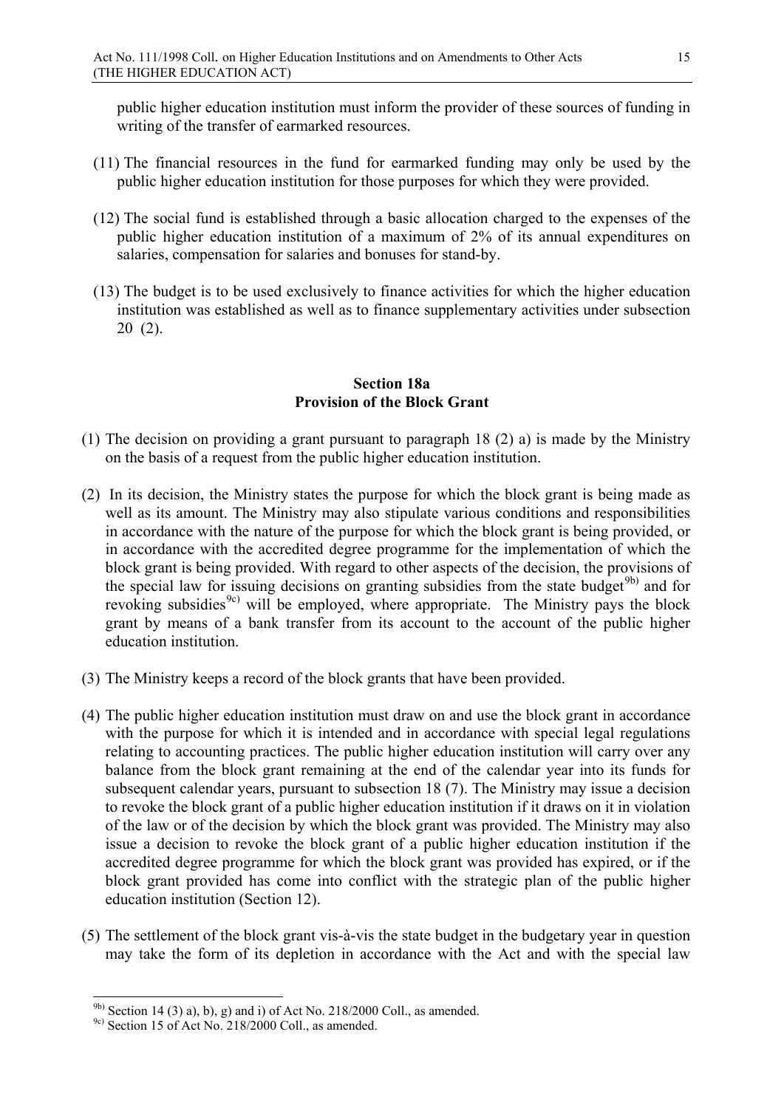public higher education institution must inform the provider of these sources of funding in writing of the transfer of earmarked resources.

- (11) The financial resources in the fund for earmarked funding may only be used by the public higher education institution for those purposes for which they were provided.
- (12) The social fund is established through a basic allocation charged to the expenses of the public higher education institution of a maximum of 2% of its annual expenditures on salaries, compensation for salaries and bonuses for stand-by.
- (13) The budget is to be used exclusively to finance activities for which the higher education institution was established as well as to finance supplementary activities under subsection 20 (2).

#### **Section 18a Provision of the Block Grant**

- (1) The decision on providing a grant pursuant to paragraph 18 (2) a) is made by the Ministry on the basis of a request from the public higher education institution.
- (2) In its decision, the Ministry states the purpose for which the block grant is being made as well as its amount. The Ministry may also stipulate various conditions and responsibilities in accordance with the nature of the purpose for which the block grant is being provided, or in accordance with the accredited degree programme for the implementation of which the block grant is being provided. With regard to other aspects of the decision, the provisions of the special law for issuing decisions on granting subsidies from the state budget<sup>[9b\)](#page-14-0)</sup> and for revoking subsidies<sup>[9c\)](#page-14-1)</sup> will be employed, where appropriate. The Ministry pays the block grant by means of a bank transfer from its account to the account of the public higher education institution.
- (3) The Ministry keeps a record of the block grants that have been provided.
- (4) The public higher education institution must draw on and use the block grant in accordance with the purpose for which it is intended and in accordance with special legal regulations relating to accounting practices. The public higher education institution will carry over any balance from the block grant remaining at the end of the calendar year into its funds for subsequent calendar years, pursuant to subsection 18 (7). The Ministry may issue a decision to revoke the block grant of a public higher education institution if it draws on it in violation of the law or of the decision by which the block grant was provided. The Ministry may also issue a decision to revoke the block grant of a public higher education institution if the accredited degree programme for which the block grant was provided has expired, or if the block grant provided has come into conflict with the strategic plan of the public higher education institution (Section 12).
- (5) The settlement of the block grant vis-à-vis the state budget in the budgetary year in question may take the form of its depletion in accordance with the Act and with the special law

<span id="page-14-0"></span> $9<sup>b)</sup>$  Section 14 (3) a), b), g) and i) of Act No. 218/2000 Coll., as amended.

<span id="page-14-1"></span><sup>9</sup>c) Section 15 of Act No. 218/2000 Coll., as amended.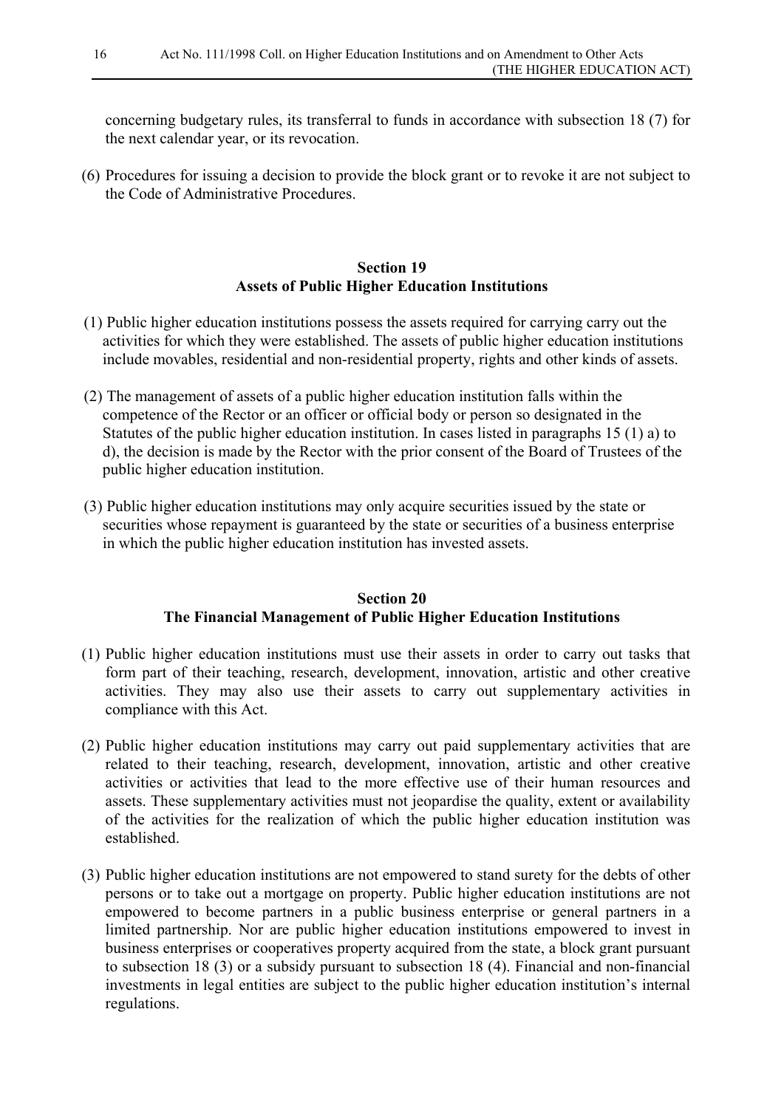concerning budgetary rules, its transferral to funds in accordance with subsection 18 (7) for the next calendar year, or its revocation.

(6) Procedures for issuing a decision to provide the block grant or to revoke it are not subject to the Code of Administrative Procedures.

### **Section 19 Assets of Public Higher Education Institutions**

- (1) Public higher education institutions possess the assets required for carrying carry out the activities for which they were established. The assets of public higher education institutions include movables, residential and non-residential property, rights and other kinds of assets.
- (2) The management of assets of a public higher education institution falls within the competence of the Rector or an officer or official body or person so designated in the Statutes of the public higher education institution. In cases listed in paragraphs 15 (1) a) to d), the decision is made by the Rector with the prior consent of the Board of Trustees of the public higher education institution.
- (3) Public higher education institutions may only acquire securities issued by the state or securities whose repayment is guaranteed by the state or securities of a business enterprise in which the public higher education institution has invested assets.

### **Section 20 The Financial Management of Public Higher Education Institutions**

- (1) Public higher education institutions must use their assets in order to carry out tasks that form part of their teaching, research, development, innovation, artistic and other creative activities. They may also use their assets to carry out supplementary activities in compliance with this Act.
- (2) Public higher education institutions may carry out paid supplementary activities that are related to their teaching, research, development, innovation, artistic and other creative activities or activities that lead to the more effective use of their human resources and assets. These supplementary activities must not jeopardise the quality, extent or availability of the activities for the realization of which the public higher education institution was established.
- (3) Public higher education institutions are not empowered to stand surety for the debts of other persons or to take out a mortgage on property. Public higher education institutions are not empowered to become partners in a public business enterprise or general partners in a limited partnership. Nor are public higher education institutions empowered to invest in business enterprises or cooperatives property acquired from the state, a block grant pursuant to subsection 18 (3) or a subsidy pursuant to subsection 18 (4). Financial and non-financial investments in legal entities are subject to the public higher education institution's internal regulations.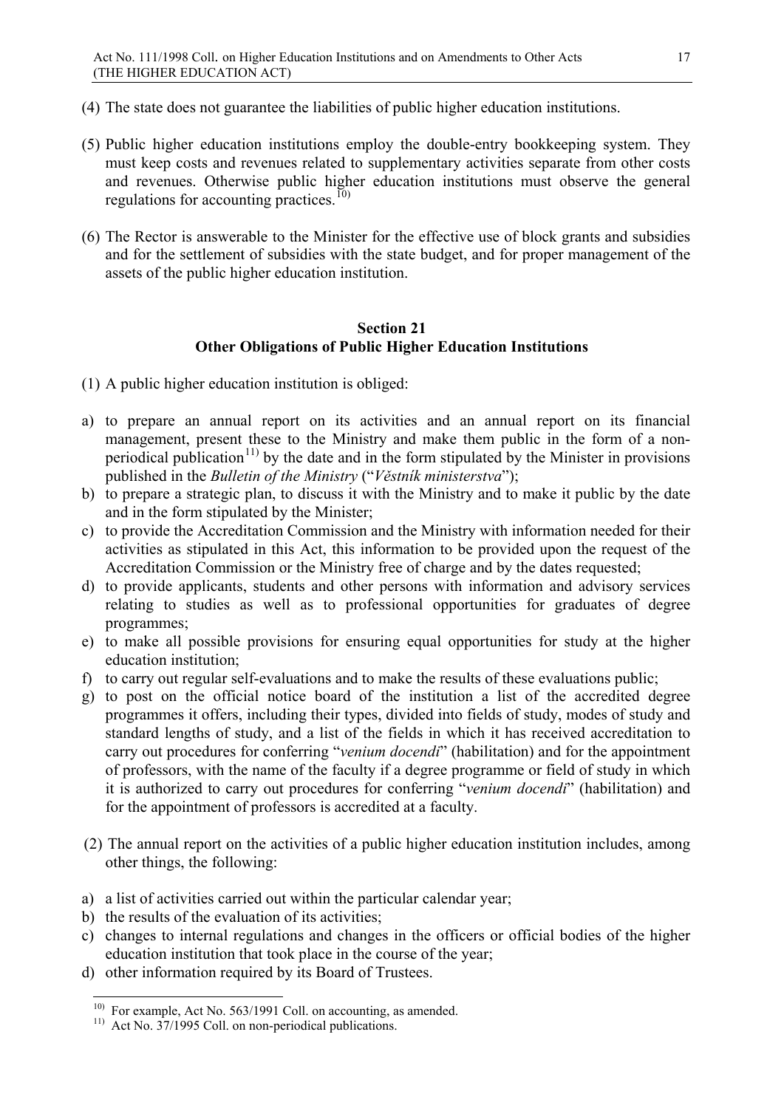- (4) The state does not guarantee the liabilities of public higher education institutions.
- (5) Public higher education institutions employ the double-entry bookkeeping system. They must keep costs and revenues related to supplementary activities separate from other costs and revenues. Otherwise public higher education institutions must observe the general regulations for accounting practices.<sup>[10\)](#page-16-0)</sup>
- (6) The Rector is answerable to the Minister for the effective use of block grants and subsidies and for the settlement of subsidies with the state budget, and for proper management of the assets of the public higher education institution.

#### **Section 21 Other Obligations of Public Higher Education Institutions**

- (1) A public higher education institution is obliged:
- a) to prepare an annual report on its activities and an annual report on its financial management, present these to the Ministry and make them public in the form of a non-periodical publication<sup>[11\)](#page-16-1)</sup> by the date and in the form stipulated by the Minister in provisions published in the *Bulletin of the Ministry* ("*Věstník ministerstva*");
- b) to prepare a strategic plan, to discuss it with the Ministry and to make it public by the date and in the form stipulated by the Minister;
- c) to provide the Accreditation Commission and the Ministry with information needed for their activities as stipulated in this Act, this information to be provided upon the request of the Accreditation Commission or the Ministry free of charge and by the dates requested;
- d) to provide applicants, students and other persons with information and advisory services relating to studies as well as to professional opportunities for graduates of degree programmes;
- e) to make all possible provisions for ensuring equal opportunities for study at the higher education institution;
- f) to carry out regular self-evaluations and to make the results of these evaluations public;
- g) to post on the official notice board of the institution a list of the accredited degree programmes it offers, including their types, divided into fields of study, modes of study and standard lengths of study, and a list of the fields in which it has received accreditation to carry out procedures for conferring "*venium docendi*" (habilitation) and for the appointment of professors, with the name of the faculty if a degree programme or field of study in which it is authorized to carry out procedures for conferring "*venium docendi*" (habilitation) and for the appointment of professors is accredited at a faculty.
- (2) The annual report on the activities of a public higher education institution includes, among other things, the following:
- a) a list of activities carried out within the particular calendar year;
- b) the results of the evaluation of its activities;
- c) changes to internal regulations and changes in the officers or official bodies of the higher education institution that took place in the course of the year;
- <span id="page-16-0"></span>d) other information required by its Board of Trustees.

<span id="page-16-1"></span><sup>&</sup>lt;sup>10)</sup> For example, Act No. 563/1991 Coll. on accounting, as amended.

 $11)$  Act No. 37/1995 Coll. on non-periodical publications.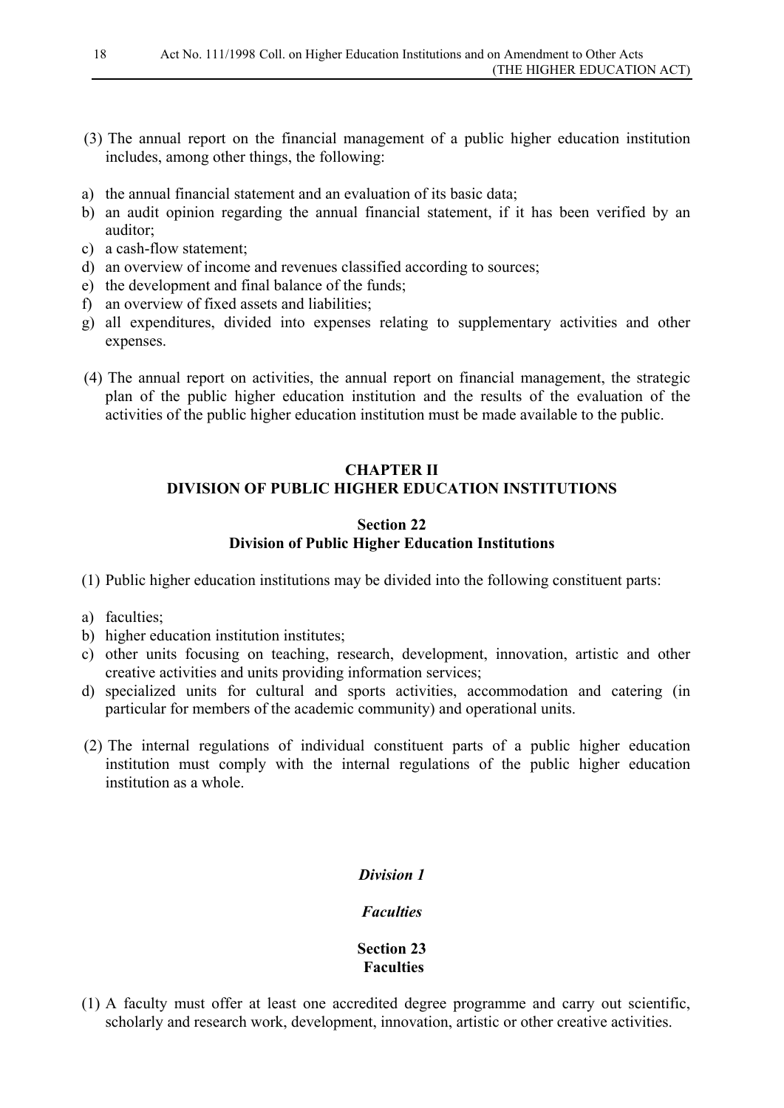- (3) The annual report on the financial management of a public higher education institution includes, among other things, the following:
- a) the annual financial statement and an evaluation of its basic data;
- b) an audit opinion regarding the annual financial statement, if it has been verified by an auditor;
- c) a cash-flow statement;
- d) an overview of income and revenues classified according to sources;
- e) the development and final balance of the funds;
- f) an overview of fixed assets and liabilities;
- g) all expenditures, divided into expenses relating to supplementary activities and other expenses.
- (4) The annual report on activities, the annual report on financial management, the strategic plan of the public higher education institution and the results of the evaluation of the activities of the public higher education institution must be made available to the public.

# **CHAPTER II DIVISION OF PUBLIC HIGHER EDUCATION INSTITUTIONS**

#### **Section 22 Division of Public Higher Education Institutions**

(1) Public higher education institutions may be divided into the following constituent parts:

- a) faculties;
- b) higher education institution institutes;
- c) other units focusing on teaching, research, development, innovation, artistic and other creative activities and units providing information services;
- d) specialized units for cultural and sports activities, accommodation and catering (in particular for members of the academic community) and operational units.
- (2) The internal regulations of individual constituent parts of a public higher education institution must comply with the internal regulations of the public higher education institution as a whole.

#### *Division 1*

#### *Faculties*

#### **Section 23 Faculties**

(1) A faculty must offer at least one accredited degree programme and carry out scientific, scholarly and research work, development, innovation, artistic or other creative activities.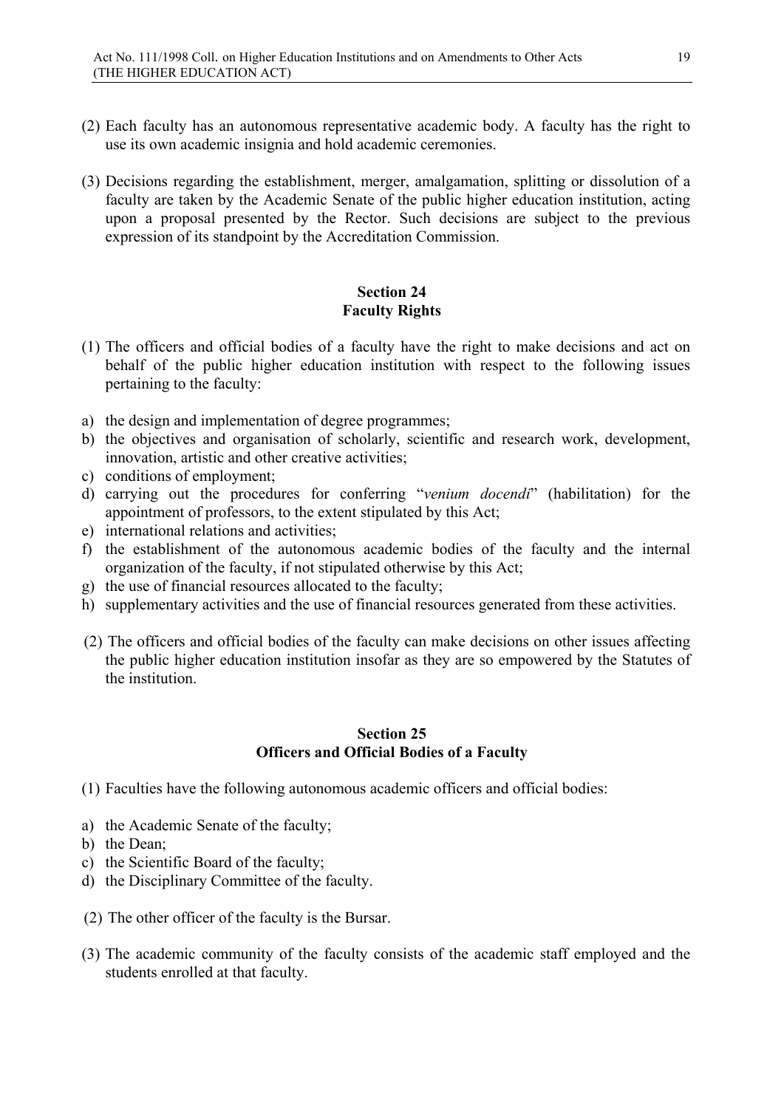- (2) Each faculty has an autonomous representative academic body. A faculty has the right to use its own academic insignia and hold academic ceremonies.
- (3) Decisions regarding the establishment, merger, amalgamation, splitting or dissolution of a faculty are taken by the Academic Senate of the public higher education institution, acting upon a proposal presented by the Rector. Such decisions are subject to the previous expression of its standpoint by the Accreditation Commission.

### **Section 24 Faculty Rights**

- (1) The officers and official bodies of a faculty have the right to make decisions and act on behalf of the public higher education institution with respect to the following issues pertaining to the faculty:
- a) the design and implementation of degree programmes;
- b) the objectives and organisation of scholarly, scientific and research work, development, innovation, artistic and other creative activities;
- c) conditions of employment;
- d) carrying out the procedures for conferring "*venium docendi*" (habilitation) for the appointment of professors, to the extent stipulated by this Act;
- e) international relations and activities;
- f) the establishment of the autonomous academic bodies of the faculty and the internal organization of the faculty, if not stipulated otherwise by this Act;
- g) the use of financial resources allocated to the faculty;
- h) supplementary activities and the use of financial resources generated from these activities.
- (2) The officers and official bodies of the faculty can make decisions on other issues affecting the public higher education institution insofar as they are so empowered by the Statutes of the institution.

### **Section 25 Officers and Official Bodies of a Faculty**

- (1) Faculties have the following autonomous academic officers and official bodies:
- a) the Academic Senate of the faculty;
- b) the Dean;
- c) the Scientific Board of the faculty;
- d) the Disciplinary Committee of the faculty.
- (2) The other officer of the faculty is the Bursar.
- (3) The academic community of the faculty consists of the academic staff employed and the students enrolled at that faculty.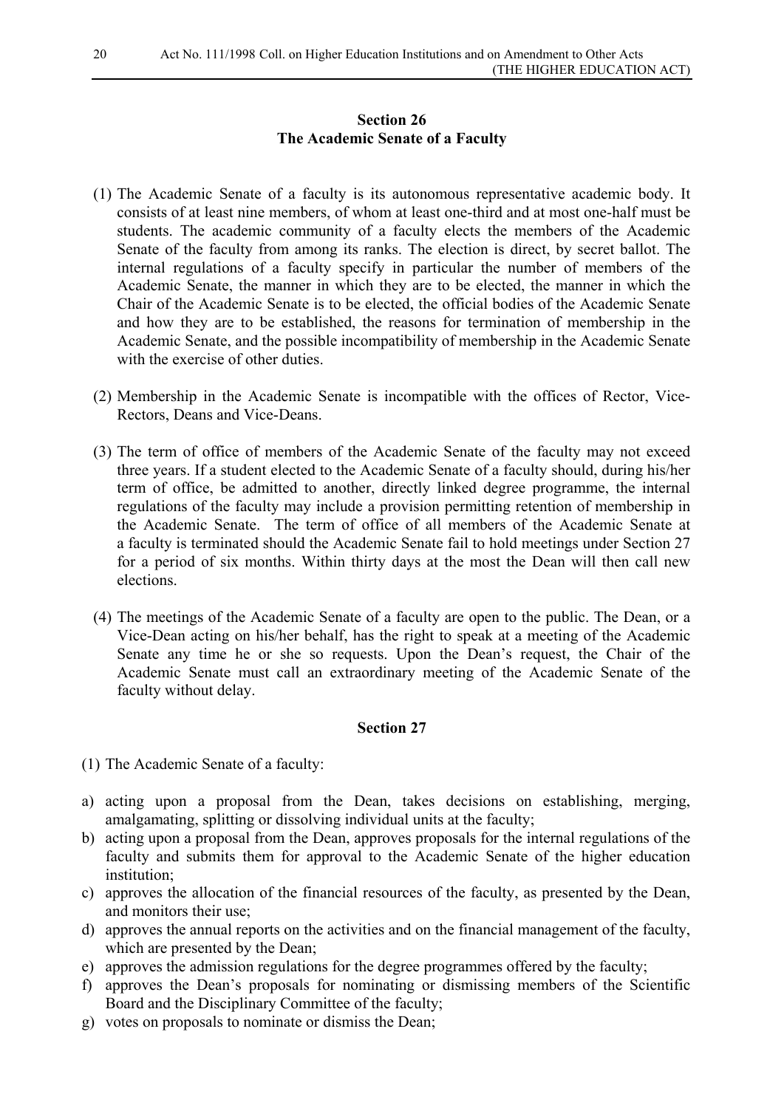### **Section 26 The Academic Senate of a Faculty**

- (1) The Academic Senate of a faculty is its autonomous representative academic body. It consists of at least nine members, of whom at least one-third and at most one-half must be students. The academic community of a faculty elects the members of the Academic Senate of the faculty from among its ranks. The election is direct, by secret ballot. The internal regulations of a faculty specify in particular the number of members of the Academic Senate, the manner in which they are to be elected, the manner in which the Chair of the Academic Senate is to be elected, the official bodies of the Academic Senate and how they are to be established, the reasons for termination of membership in the Academic Senate, and the possible incompatibility of membership in the Academic Senate with the exercise of other duties.
- (2) Membership in the Academic Senate is incompatible with the offices of Rector, Vice-Rectors, Deans and Vice-Deans.
- (3) The term of office of members of the Academic Senate of the faculty may not exceed three years. If a student elected to the Academic Senate of a faculty should, during his/her term of office, be admitted to another, directly linked degree programme, the internal regulations of the faculty may include a provision permitting retention of membership in the Academic Senate. The term of office of all members of the Academic Senate at a faculty is terminated should the Academic Senate fail to hold meetings under Section 27 for a period of six months. Within thirty days at the most the Dean will then call new elections.
- (4) The meetings of the Academic Senate of a faculty are open to the public. The Dean, or a Vice-Dean acting on his/her behalf, has the right to speak at a meeting of the Academic Senate any time he or she so requests. Upon the Dean's request, the Chair of the Academic Senate must call an extraordinary meeting of the Academic Senate of the faculty without delay.

- (1) The Academic Senate of a faculty:
- a) acting upon a proposal from the Dean, takes decisions on establishing, merging, amalgamating, splitting or dissolving individual units at the faculty;
- b) acting upon a proposal from the Dean, approves proposals for the internal regulations of the faculty and submits them for approval to the Academic Senate of the higher education institution;
- c) approves the allocation of the financial resources of the faculty, as presented by the Dean, and monitors their use;
- d) approves the annual reports on the activities and on the financial management of the faculty, which are presented by the Dean:
- e) approves the admission regulations for the degree programmes offered by the faculty;
- f) approves the Dean's proposals for nominating or dismissing members of the Scientific Board and the Disciplinary Committee of the faculty;
- g) votes on proposals to nominate or dismiss the Dean;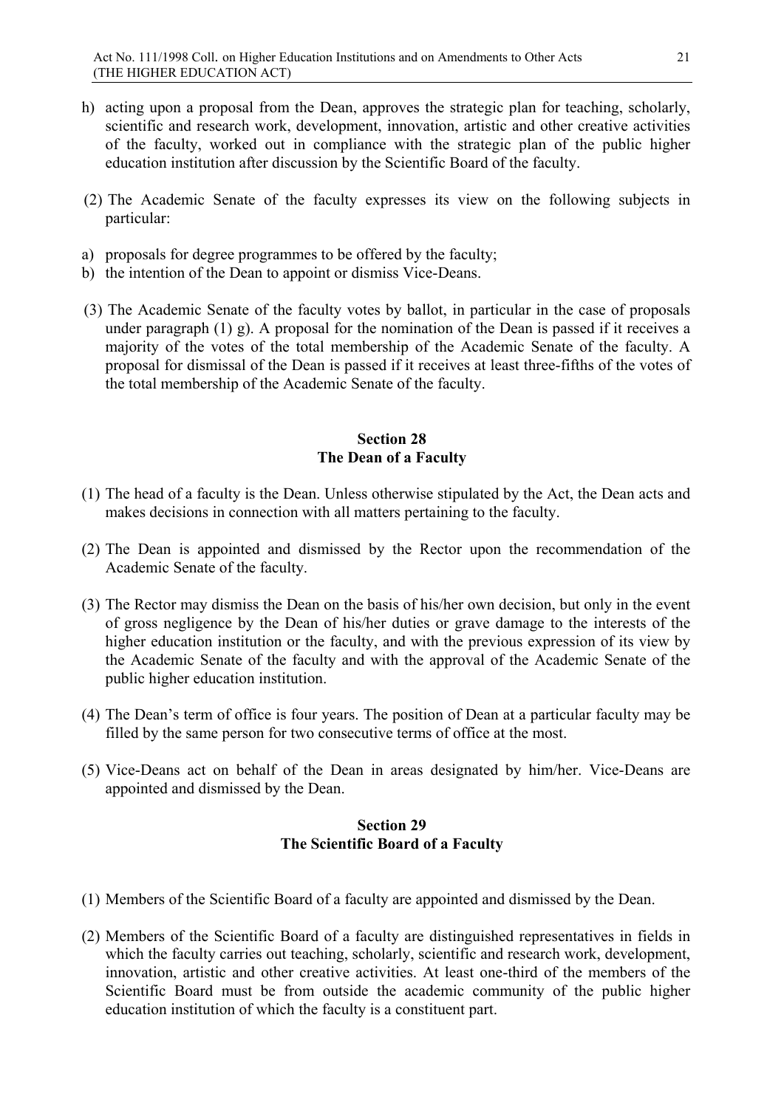- h) acting upon a proposal from the Dean, approves the strategic plan for teaching, scholarly, scientific and research work, development, innovation, artistic and other creative activities of the faculty, worked out in compliance with the strategic plan of the public higher education institution after discussion by the Scientific Board of the faculty.
- (2) The Academic Senate of the faculty expresses its view on the following subjects in particular:
- a) proposals for degree programmes to be offered by the faculty;
- b) the intention of the Dean to appoint or dismiss Vice-Deans.
- (3) The Academic Senate of the faculty votes by ballot, in particular in the case of proposals under paragraph (1) g). A proposal for the nomination of the Dean is passed if it receives a majority of the votes of the total membership of the Academic Senate of the faculty. A proposal for dismissal of the Dean is passed if it receives at least three-fifths of the votes of the total membership of the Academic Senate of the faculty.

### **Section 28 The Dean of a Faculty**

- (1) The head of a faculty is the Dean. Unless otherwise stipulated by the Act, the Dean acts and makes decisions in connection with all matters pertaining to the faculty.
- (2) The Dean is appointed and dismissed by the Rector upon the recommendation of the Academic Senate of the faculty.
- (3) The Rector may dismiss the Dean on the basis of his/her own decision, but only in the event of gross negligence by the Dean of his/her duties or grave damage to the interests of the higher education institution or the faculty, and with the previous expression of its view by the Academic Senate of the faculty and with the approval of the Academic Senate of the public higher education institution.
- (4) The Dean's term of office is four years. The position of Dean at a particular faculty may be filled by the same person for two consecutive terms of office at the most.
- (5) Vice-Deans act on behalf of the Dean in areas designated by him/her. Vice-Deans are appointed and dismissed by the Dean.

### **Section 29 The Scientific Board of a Faculty**

- (1) Members of the Scientific Board of a faculty are appointed and dismissed by the Dean.
- (2) Members of the Scientific Board of a faculty are distinguished representatives in fields in which the faculty carries out teaching, scholarly, scientific and research work, development, innovation, artistic and other creative activities. At least one-third of the members of the Scientific Board must be from outside the academic community of the public higher education institution of which the faculty is a constituent part.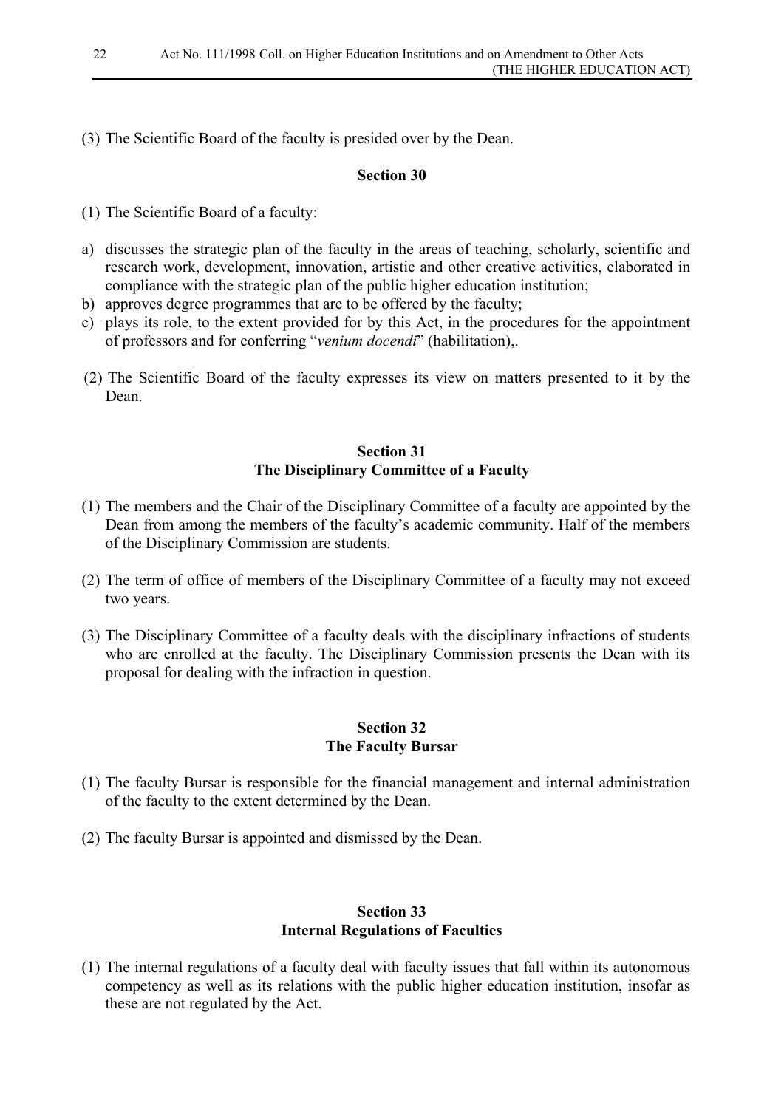(3) The Scientific Board of the faculty is presided over by the Dean.

#### **Section 30**

- (1) The Scientific Board of a faculty:
- a) discusses the strategic plan of the faculty in the areas of teaching, scholarly, scientific and research work, development, innovation, artistic and other creative activities, elaborated in compliance with the strategic plan of the public higher education institution;
- b) approves degree programmes that are to be offered by the faculty;
- c) plays its role, to the extent provided for by this Act, in the procedures for the appointment of professors and for conferring "*venium docendi*" (habilitation),.
- (2) The Scientific Board of the faculty expresses its view on matters presented to it by the Dean.

#### **Section 31 The Disciplinary Committee of a Faculty**

- (1) The members and the Chair of the Disciplinary Committee of a faculty are appointed by the Dean from among the members of the faculty's academic community. Half of the members of the Disciplinary Commission are students.
- (2) The term of office of members of the Disciplinary Committee of a faculty may not exceed two years.
- (3) The Disciplinary Committee of a faculty deals with the disciplinary infractions of students who are enrolled at the faculty. The Disciplinary Commission presents the Dean with its proposal for dealing with the infraction in question.

#### **Section 32 The Faculty Bursar**

- (1) The faculty Bursar is responsible for the financial management and internal administration of the faculty to the extent determined by the Dean.
- (2) The faculty Bursar is appointed and dismissed by the Dean.

#### **Section 33 Internal Regulations of Faculties**

(1) The internal regulations of a faculty deal with faculty issues that fall within its autonomous competency as well as its relations with the public higher education institution, insofar as these are not regulated by the Act.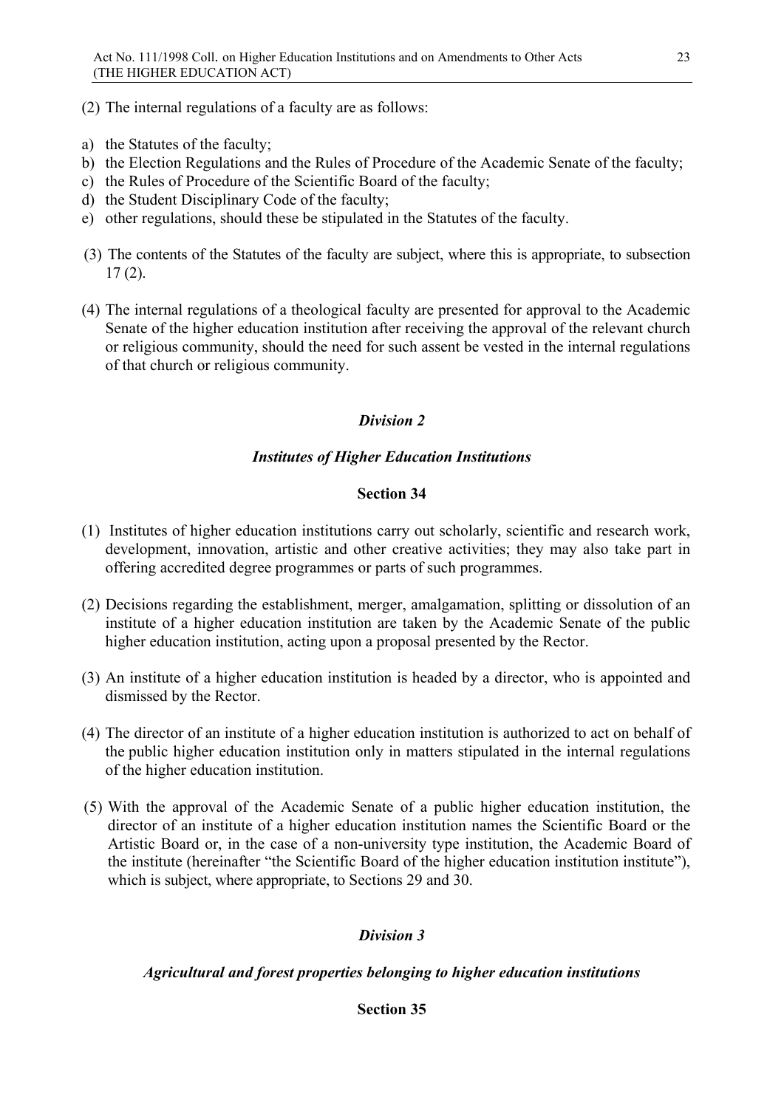(2) The internal regulations of a faculty are as follows:

- a) the Statutes of the faculty;
- b) the Election Regulations and the Rules of Procedure of the Academic Senate of the faculty;
- c) the Rules of Procedure of the Scientific Board of the faculty;
- d) the Student Disciplinary Code of the faculty;
- e) other regulations, should these be stipulated in the Statutes of the faculty.
- (3) The contents of the Statutes of the faculty are subject, where this is appropriate, to subsection 17 (2).
- (4) The internal regulations of a theological faculty are presented for approval to the Academic Senate of the higher education institution after receiving the approval of the relevant church or religious community, should the need for such assent be vested in the internal regulations of that church or religious community.

# *Division 2*

# *Institutes of Higher Education Institutions*

### **Section 34**

- (1) Institutes of higher education institutions carry out scholarly, scientific and research work, development, innovation, artistic and other creative activities; they may also take part in offering accredited degree programmes or parts of such programmes.
- (2) Decisions regarding the establishment, merger, amalgamation, splitting or dissolution of an institute of a higher education institution are taken by the Academic Senate of the public higher education institution, acting upon a proposal presented by the Rector.
- (3) An institute of a higher education institution is headed by a director, who is appointed and dismissed by the Rector.
- (4) The director of an institute of a higher education institution is authorized to act on behalf of the public higher education institution only in matters stipulated in the internal regulations of the higher education institution.
- (5) With the approval of the Academic Senate of a public higher education institution, the director of an institute of a higher education institution names the Scientific Board or the Artistic Board or, in the case of a non-university type institution, the Academic Board of the institute (hereinafter "the Scientific Board of the higher education institution institute"), which is subject, where appropriate, to Sections 29 and 30.

# *Division 3*

### *Agricultural and forest properties belonging to higher education institutions*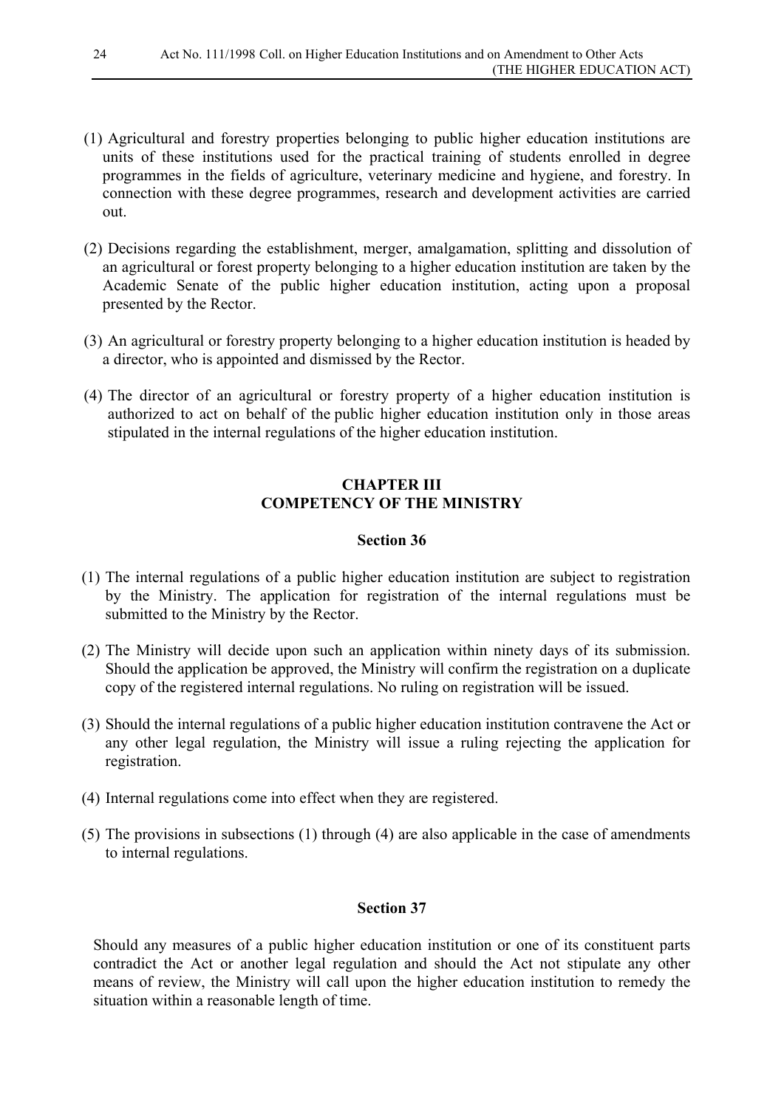- (1) Agricultural and forestry properties belonging to public higher education institutions are units of these institutions used for the practical training of students enrolled in degree programmes in the fields of agriculture, veterinary medicine and hygiene, and forestry. In connection with these degree programmes, research and development activities are carried out.
- (2) Decisions regarding the establishment, merger, amalgamation, splitting and dissolution of an agricultural or forest property belonging to a higher education institution are taken by the Academic Senate of the public higher education institution, acting upon a proposal presented by the Rector.
- (3) An agricultural or forestry property belonging to a higher education institution is headed by a director, who is appointed and dismissed by the Rector.
- (4) The director of an agricultural or forestry property of a higher education institution is authorized to act on behalf of the public higher education institution only in those areas stipulated in the internal regulations of the higher education institution.

### **CHAPTER III COMPETENCY OF THE MINISTRY**

#### **Section 36**

- (1) The internal regulations of a public higher education institution are subject to registration by the Ministry. The application for registration of the internal regulations must be submitted to the Ministry by the Rector.
- (2) The Ministry will decide upon such an application within ninety days of its submission. Should the application be approved, the Ministry will confirm the registration on a duplicate copy of the registered internal regulations. No ruling on registration will be issued.
- (3) Should the internal regulations of a public higher education institution contravene the Act or any other legal regulation, the Ministry will issue a ruling rejecting the application for registration.
- (4) Internal regulations come into effect when they are registered.
- (5) The provisions in subsections (1) through (4) are also applicable in the case of amendments to internal regulations.

#### **Section 37**

Should any measures of a public higher education institution or one of its constituent parts contradict the Act or another legal regulation and should the Act not stipulate any other means of review, the Ministry will call upon the higher education institution to remedy the situation within a reasonable length of time.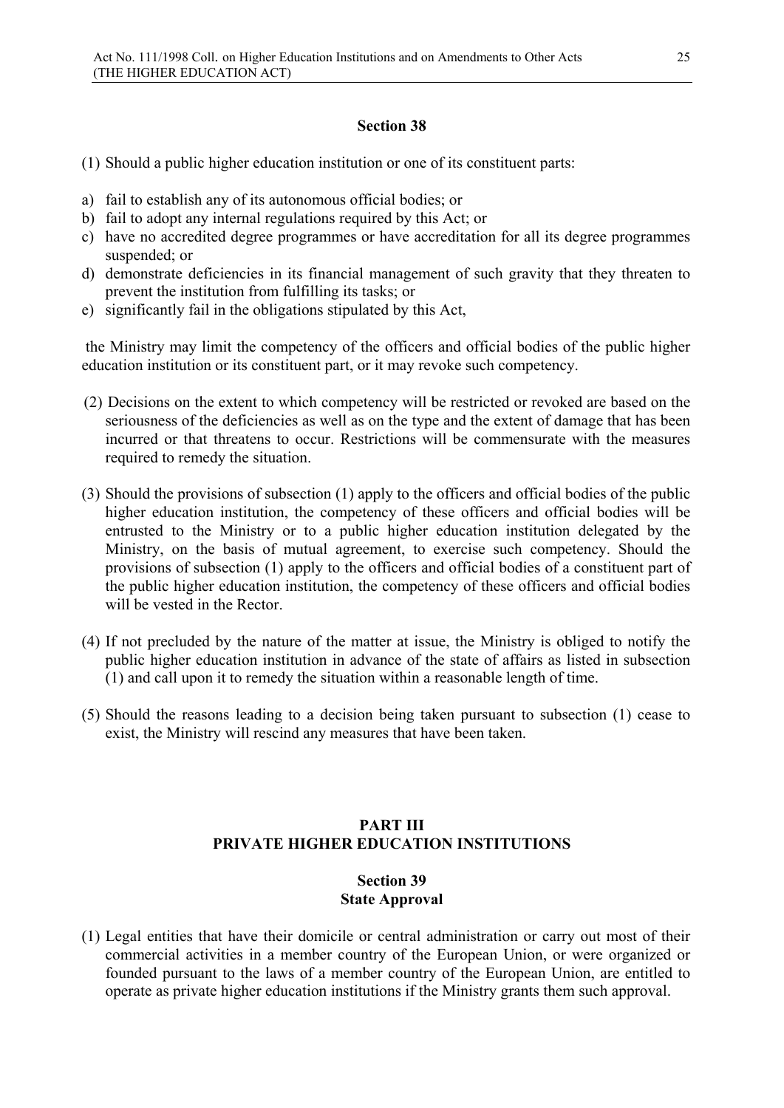### **Section 38**

- (1) Should a public higher education institution or one of its constituent parts:
- a) fail to establish any of its autonomous official bodies; or
- b) fail to adopt any internal regulations required by this Act; or
- c) have no accredited degree programmes or have accreditation for all its degree programmes suspended; or
- d) demonstrate deficiencies in its financial management of such gravity that they threaten to prevent the institution from fulfilling its tasks; or
- e) significantly fail in the obligations stipulated by this Act,

the Ministry may limit the competency of the officers and official bodies of the public higher education institution or its constituent part, or it may revoke such competency.

- (2) Decisions on the extent to which competency will be restricted or revoked are based on the seriousness of the deficiencies as well as on the type and the extent of damage that has been incurred or that threatens to occur. Restrictions will be commensurate with the measures required to remedy the situation.
- (3) Should the provisions of subsection (1) apply to the officers and official bodies of the public higher education institution, the competency of these officers and official bodies will be entrusted to the Ministry or to a public higher education institution delegated by the Ministry, on the basis of mutual agreement, to exercise such competency. Should the provisions of subsection (1) apply to the officers and official bodies of a constituent part of the public higher education institution, the competency of these officers and official bodies will be vested in the Rector.
- (4) If not precluded by the nature of the matter at issue, the Ministry is obliged to notify the public higher education institution in advance of the state of affairs as listed in subsection (1) and call upon it to remedy the situation within a reasonable length of time.
- (5) Should the reasons leading to a decision being taken pursuant to subsection (1) cease to exist, the Ministry will rescind any measures that have been taken.

# **PART III PRIVATE HIGHER EDUCATION INSTITUTIONS**

### **Section 39 State Approval**

(1) Legal entities that have their domicile or central administration or carry out most of their commercial activities in a member country of the European Union, or were organized or founded pursuant to the laws of a member country of the European Union, are entitled to operate as private higher education institutions if the Ministry grants them such approval.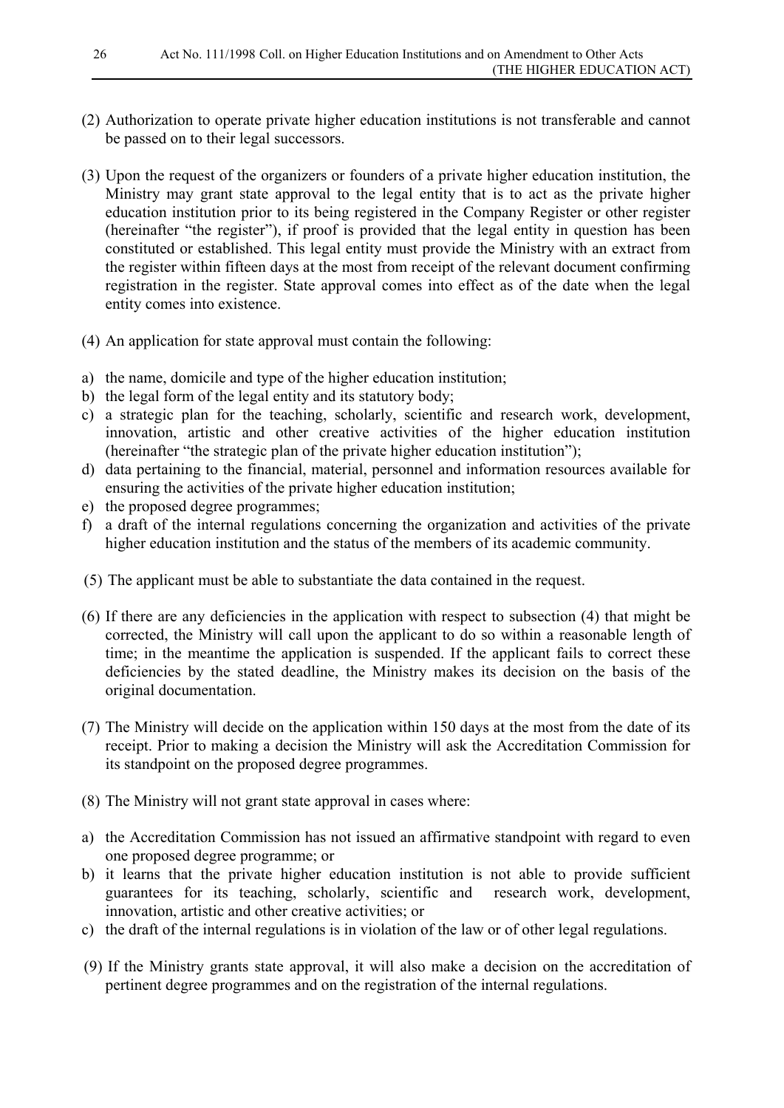- (2) Authorization to operate private higher education institutions is not transferable and cannot be passed on to their legal successors.
- (3) Upon the request of the organizers or founders of a private higher education institution, the Ministry may grant state approval to the legal entity that is to act as the private higher education institution prior to its being registered in the Company Register or other register (hereinafter "the register"), if proof is provided that the legal entity in question has been constituted or established. This legal entity must provide the Ministry with an extract from the register within fifteen days at the most from receipt of the relevant document confirming registration in the register. State approval comes into effect as of the date when the legal entity comes into existence.
- (4) An application for state approval must contain the following:
- a) the name, domicile and type of the higher education institution;
- b) the legal form of the legal entity and its statutory body;
- c) a strategic plan for the teaching, scholarly, scientific and research work, development, innovation, artistic and other creative activities of the higher education institution (hereinafter "the strategic plan of the private higher education institution");
- d) data pertaining to the financial, material, personnel and information resources available for ensuring the activities of the private higher education institution;
- e) the proposed degree programmes;
- f) a draft of the internal regulations concerning the organization and activities of the private higher education institution and the status of the members of its academic community.
- (5) The applicant must be able to substantiate the data contained in the request.
- (6) If there are any deficiencies in the application with respect to subsection (4) that might be corrected, the Ministry will call upon the applicant to do so within a reasonable length of time; in the meantime the application is suspended. If the applicant fails to correct these deficiencies by the stated deadline, the Ministry makes its decision on the basis of the original documentation.
- (7) The Ministry will decide on the application within 150 days at the most from the date of its receipt. Prior to making a decision the Ministry will ask the Accreditation Commission for its standpoint on the proposed degree programmes.
- (8) The Ministry will not grant state approval in cases where:
- a) the Accreditation Commission has not issued an affirmative standpoint with regard to even one proposed degree programme; or
- b) it learns that the private higher education institution is not able to provide sufficient guarantees for its teaching, scholarly, scientific and research work, development, innovation, artistic and other creative activities; or
- c) the draft of the internal regulations is in violation of the law or of other legal regulations.
- (9) If the Ministry grants state approval, it will also make a decision on the accreditation of pertinent degree programmes and on the registration of the internal regulations.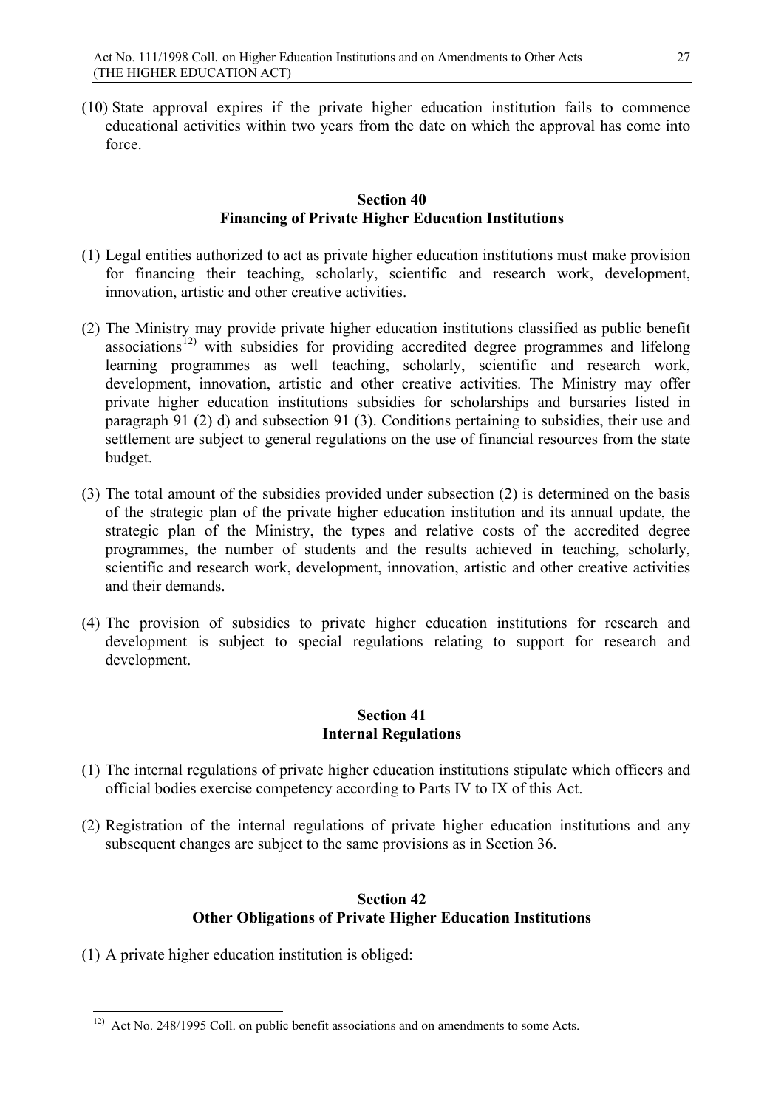(10) State approval expires if the private higher education institution fails to commence educational activities within two years from the date on which the approval has come into force.

#### **Section 40 Financing of Private Higher Education Institutions**

- (1) Legal entities authorized to act as private higher education institutions must make provision for financing their teaching, scholarly, scientific and research work, development, innovation, artistic and other creative activities.
- (2) The Ministry may provide private higher education institutions classified as public benefit associations<sup>[12\)](#page-26-0)</sup> with subsidies for providing accredited degree programmes and lifelong learning programmes as well teaching, scholarly, scientific and research work, development, innovation, artistic and other creative activities. The Ministry may offer private higher education institutions subsidies for scholarships and bursaries listed in paragraph 91 (2) d) and subsection 91 (3). Conditions pertaining to subsidies, their use and settlement are subject to general regulations on the use of financial resources from the state budget.
- (3) The total amount of the subsidies provided under subsection (2) is determined on the basis of the strategic plan of the private higher education institution and its annual update, the strategic plan of the Ministry, the types and relative costs of the accredited degree programmes, the number of students and the results achieved in teaching, scholarly, scientific and research work, development, innovation, artistic and other creative activities and their demands.
- (4) The provision of subsidies to private higher education institutions for research and development is subject to special regulations relating to support for research and development.

### **Section 41 Internal Regulations**

- (1) The internal regulations of private higher education institutions stipulate which officers and official bodies exercise competency according to Parts IV to IX of this Act.
- (2) Registration of the internal regulations of private higher education institutions and any subsequent changes are subject to the same provisions as in Section 36.

# **Section 42 Other Obligations of Private Higher Education Institutions**

(1) A private higher education institution is obliged:

<span id="page-26-0"></span><sup>&</sup>lt;sup>12)</sup> Act No. 248/1995 Coll. on public benefit associations and on amendments to some Acts.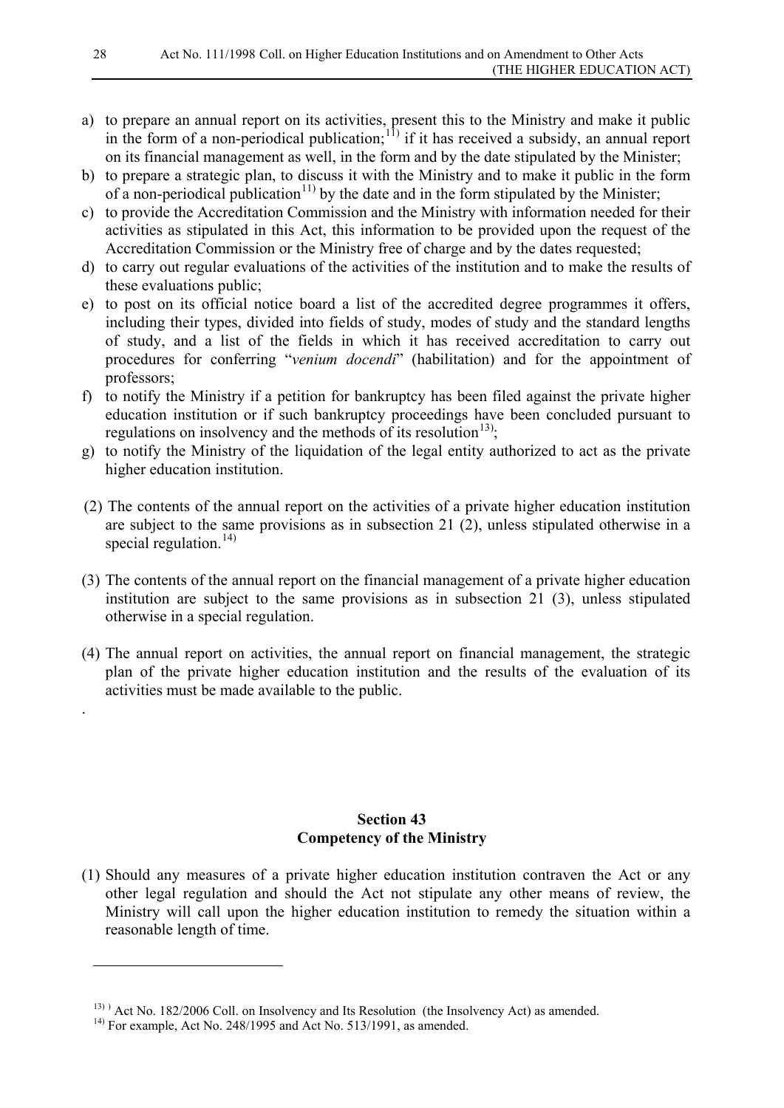- a) to prepare an annual report on its activities, present this to the Ministry and make it public in the form of a non-periodical publication;<sup>[11\)](#page-27-0)</sup> if it has received a subsidy, an annual report on its financial management as well, in the form and by the date stipulated by the Minister;
- b) to prepare a strategic plan, to discuss it with the Ministry and to make it public in the form of a non-periodical publication<sup>[11\)](#page-27-1)</sup> by the date and in the form stipulated by the Minister;
- c) to provide the Accreditation Commission and the Ministry with information needed for their activities as stipulated in this Act, this information to be provided upon the request of the Accreditation Commission or the Ministry free of charge and by the dates requested;
- d) to carry out regular evaluations of the activities of the institution and to make the results of these evaluations public;
- e) to post on its official notice board a list of the accredited degree programmes it offers, including their types, divided into fields of study, modes of study and the standard lengths of study, and a list of the fields in which it has received accreditation to carry out procedures for conferring "*venium docendi*" (habilitation) and for the appointment of professors;
- f) to notify the Ministry if a petition for bankruptcy has been filed against the private higher education institution or if such bankruptcy proceedings have been concluded pursuant to regulations on insolvency and the methods of its resolution<sup>13)</sup>;
- g) to notify the Ministry of the liquidation of the legal entity authorized to act as the private higher education institution.
- (2) The contents of the annual report on the activities of a private higher education institution are subject to the same provisions as in subsection 21 (2), unless stipulated otherwise in a special regulation.<sup>[14\)](#page-27-3)</sup>
- (3) The contents of the annual report on the financial management of a private higher education institution are subject to the same provisions as in subsection 21 (3), unless stipulated otherwise in a special regulation.
- (4) The annual report on activities, the annual report on financial management, the strategic plan of the private higher education institution and the results of the evaluation of its activities must be made available to the public.

### **Section 43 Competency of the Ministry**

(1) Should any measures of a private higher education institution contraven the Act or any other legal regulation and should the Act not stipulate any other means of review, the Ministry will call upon the higher education institution to remedy the situation within a reasonable length of time.

.

<span id="page-27-0"></span>-

<span id="page-27-2"></span><span id="page-27-1"></span><sup>13)</sup> ) Act No. 182/2006 Coll. on Insolvency and Its Resolution (the Insolvency Act) as amended.

<span id="page-27-3"></span> $14)$  For example, Act No. 248/1995 and Act No. 513/1991, as amended.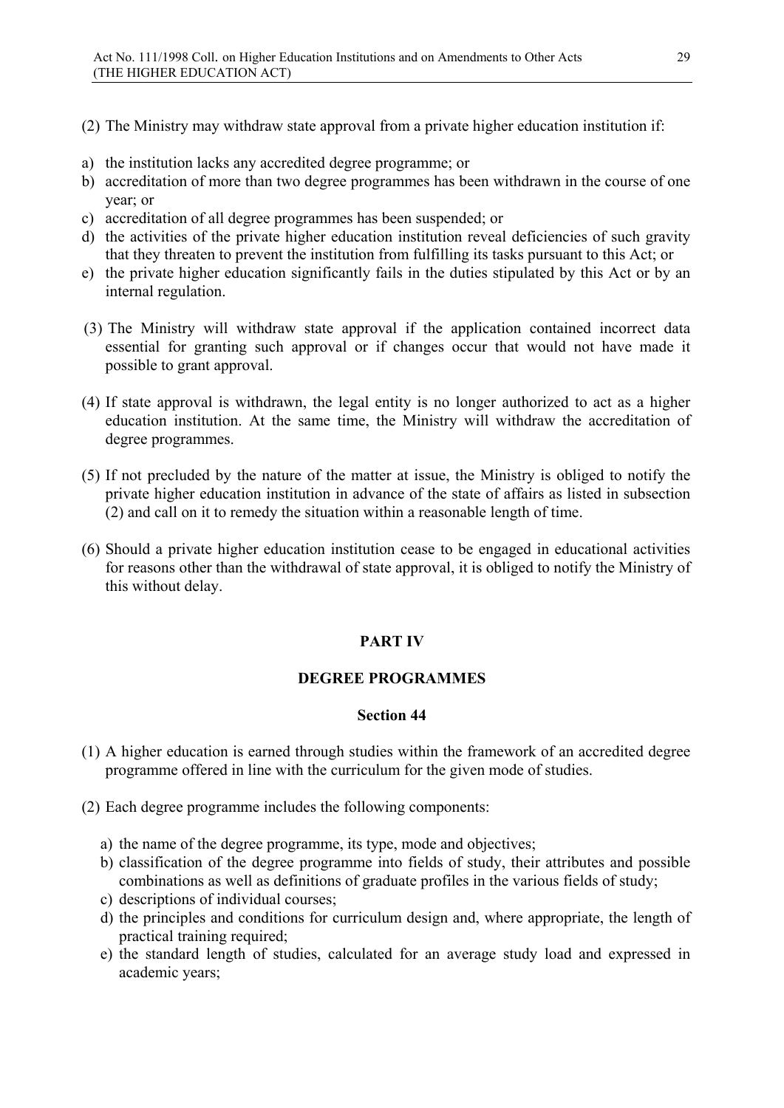(2) The Ministry may withdraw state approval from a private higher education institution if:

- a) the institution lacks any accredited degree programme; or
- b) accreditation of more than two degree programmes has been withdrawn in the course of one year; or
- c) accreditation of all degree programmes has been suspended; or
- d) the activities of the private higher education institution reveal deficiencies of such gravity that they threaten to prevent the institution from fulfilling its tasks pursuant to this Act; or
- e) the private higher education significantly fails in the duties stipulated by this Act or by an internal regulation.
- (3) The Ministry will withdraw state approval if the application contained incorrect data essential for granting such approval or if changes occur that would not have made it possible to grant approval.
- (4) If state approval is withdrawn, the legal entity is no longer authorized to act as a higher education institution. At the same time, the Ministry will withdraw the accreditation of degree programmes.
- (5) If not precluded by the nature of the matter at issue, the Ministry is obliged to notify the private higher education institution in advance of the state of affairs as listed in subsection (2) and call on it to remedy the situation within a reasonable length of time.
- (6) Should a private higher education institution cease to be engaged in educational activities for reasons other than the withdrawal of state approval, it is obliged to notify the Ministry of this without delay.

### **PART IV**

#### **DEGREE PROGRAMMES**

- (1) A higher education is earned through studies within the framework of an accredited degree programme offered in line with the curriculum for the given mode of studies.
- (2) Each degree programme includes the following components:
	- a) the name of the degree programme, its type, mode and objectives;
	- b) classification of the degree programme into fields of study, their attributes and possible combinations as well as definitions of graduate profiles in the various fields of study;
	- c) descriptions of individual courses;
	- d) the principles and conditions for curriculum design and, where appropriate, the length of practical training required;
	- e) the standard length of studies, calculated for an average study load and expressed in academic years;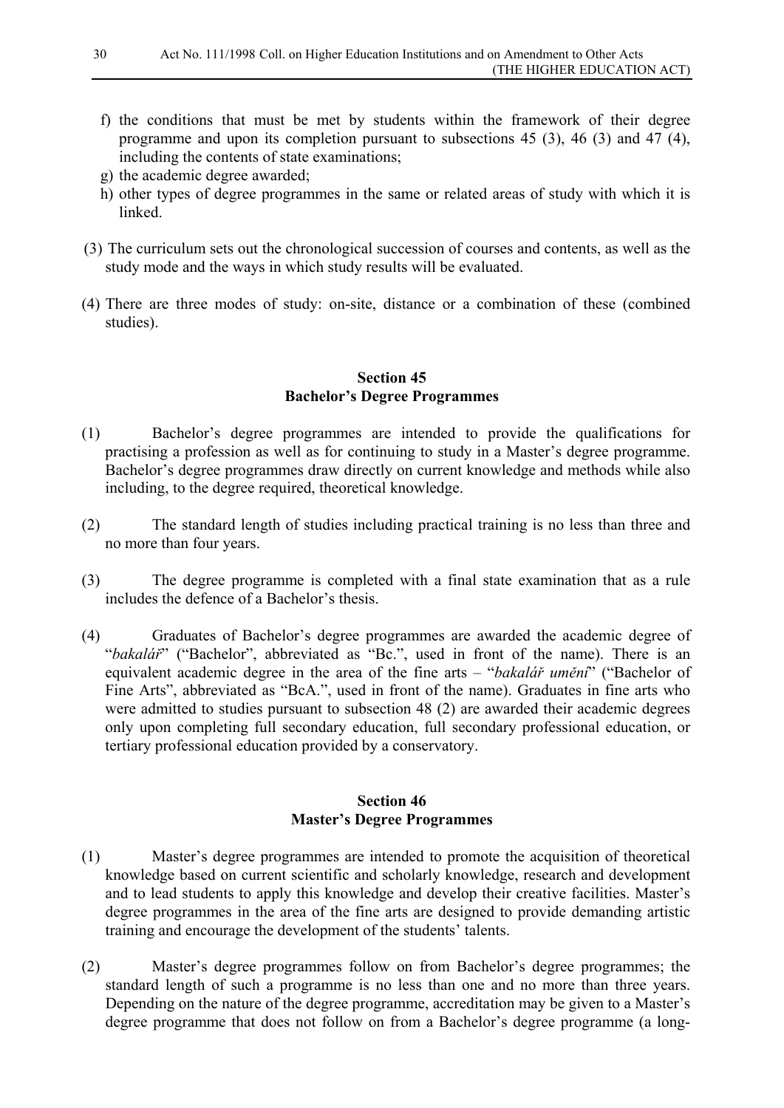- f) the conditions that must be met by students within the framework of their degree programme and upon its completion pursuant to subsections 45 (3), 46 (3) and 47 (4), including the contents of state examinations;
- g) the academic degree awarded;
- h) other types of degree programmes in the same or related areas of study with which it is linked.
- (3) The curriculum sets out the chronological succession of courses and contents, as well as the study mode and the ways in which study results will be evaluated.
- (4) There are three modes of study: on-site, distance or a combination of these (combined studies).

#### **Section 45 Bachelor's Degree Programmes**

- (1) Bachelor's degree programmes are intended to provide the qualifications for practising a profession as well as for continuing to study in a Master's degree programme. Bachelor's degree programmes draw directly on current knowledge and methods while also including, to the degree required, theoretical knowledge.
- (2) The standard length of studies including practical training is no less than three and no more than four years.
- (3) The degree programme is completed with a final state examination that as a rule includes the defence of a Bachelor's thesis.
- (4) Graduates of Bachelor's degree programmes are awarded the academic degree of "*bakalář*" ("Bachelor", abbreviated as "Bc.", used in front of the name). There is an equivalent academic degree in the area of the fine arts – "*bakalář umění*" ("Bachelor of Fine Arts", abbreviated as "BcA.", used in front of the name). Graduates in fine arts who were admitted to studies pursuant to subsection 48 (2) are awarded their academic degrees only upon completing full secondary education, full secondary professional education, or tertiary professional education provided by a conservatory.

### **Section 46 Master's Degree Programmes**

- (1) Master's degree programmes are intended to promote the acquisition of theoretical knowledge based on current scientific and scholarly knowledge, research and development and to lead students to apply this knowledge and develop their creative facilities. Master's degree programmes in the area of the fine arts are designed to provide demanding artistic training and encourage the development of the students' talents.
- (2) Master's degree programmes follow on from Bachelor's degree programmes; the standard length of such a programme is no less than one and no more than three years. Depending on the nature of the degree programme, accreditation may be given to a Master's degree programme that does not follow on from a Bachelor's degree programme (a long-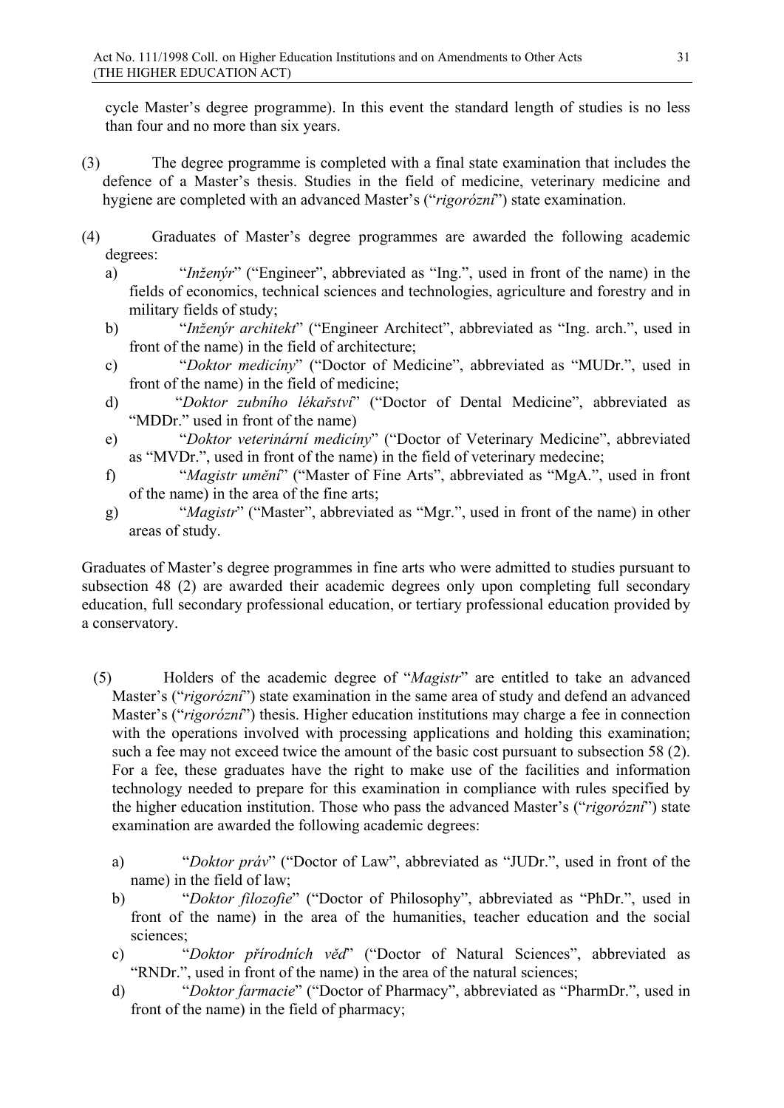cycle Master's degree programme). In this event the standard length of studies is no less than four and no more than six years.

- (3) The degree programme is completed with a final state examination that includes the defence of a Master's thesis. Studies in the field of medicine, veterinary medicine and hygiene are completed with an advanced Master's ("*rigorózní*") state examination.
- (4) Graduates of Master's degree programmes are awarded the following academic degrees:
	- a) "*Inženýr*" ("Engineer", abbreviated as "Ing.", used in front of the name) in the fields of economics, technical sciences and technologies, agriculture and forestry and in military fields of study;
	- b) "*Inženýr architekt*" ("Engineer Architect", abbreviated as "Ing. arch.", used in front of the name) in the field of architecture;
	- c) "*Doktor medicíny*" ("Doctor of Medicine", abbreviated as "MUDr.", used in front of the name) in the field of medicine;
	- d) "*Doktor zubního lékařství*" ("Doctor of Dental Medicine", abbreviated as "MDDr." used in front of the name)
	- e) "*Doktor veterinární medicíny*" ("Doctor of Veterinary Medicine", abbreviated as "MVDr.", used in front of the name) in the field of veterinary medecine;
	- f) "*Magistr umění*" ("Master of Fine Arts", abbreviated as "MgA.", used in front of the name) in the area of the fine arts;
	- g) "*Magistr*" ("Master", abbreviated as "Mgr.", used in front of the name) in other areas of study.

Graduates of Master's degree programmes in fine arts who were admitted to studies pursuant to subsection 48 (2) are awarded their academic degrees only upon completing full secondary education, full secondary professional education, or tertiary professional education provided by a conservatory.

- (5) Holders of the academic degree of "*Magistr*" are entitled to take an advanced Master's ("*rigorózní*") state examination in the same area of study and defend an advanced Master's ("*rigorózní*") thesis. Higher education institutions may charge a fee in connection with the operations involved with processing applications and holding this examination; such a fee may not exceed twice the amount of the basic cost pursuant to subsection 58 (2). For a fee, these graduates have the right to make use of the facilities and information technology needed to prepare for this examination in compliance with rules specified by the higher education institution. Those who pass the advanced Master's ("*rigorózní*") state examination are awarded the following academic degrees:
	- a) "*Doktor práv*" ("Doctor of Law", abbreviated as "JUDr.", used in front of the name) in the field of law;
	- b) "*Doktor filozofie*" ("Doctor of Philosophy", abbreviated as "PhDr.", used in front of the name) in the area of the humanities, teacher education and the social sciences;
	- c) "*Doktor přírodních věd*" ("Doctor of Natural Sciences", abbreviated as "RNDr.", used in front of the name) in the area of the natural sciences;
	- d) "*Doktor farmacie*" ("Doctor of Pharmacy", abbreviated as "PharmDr.", used in front of the name) in the field of pharmacy;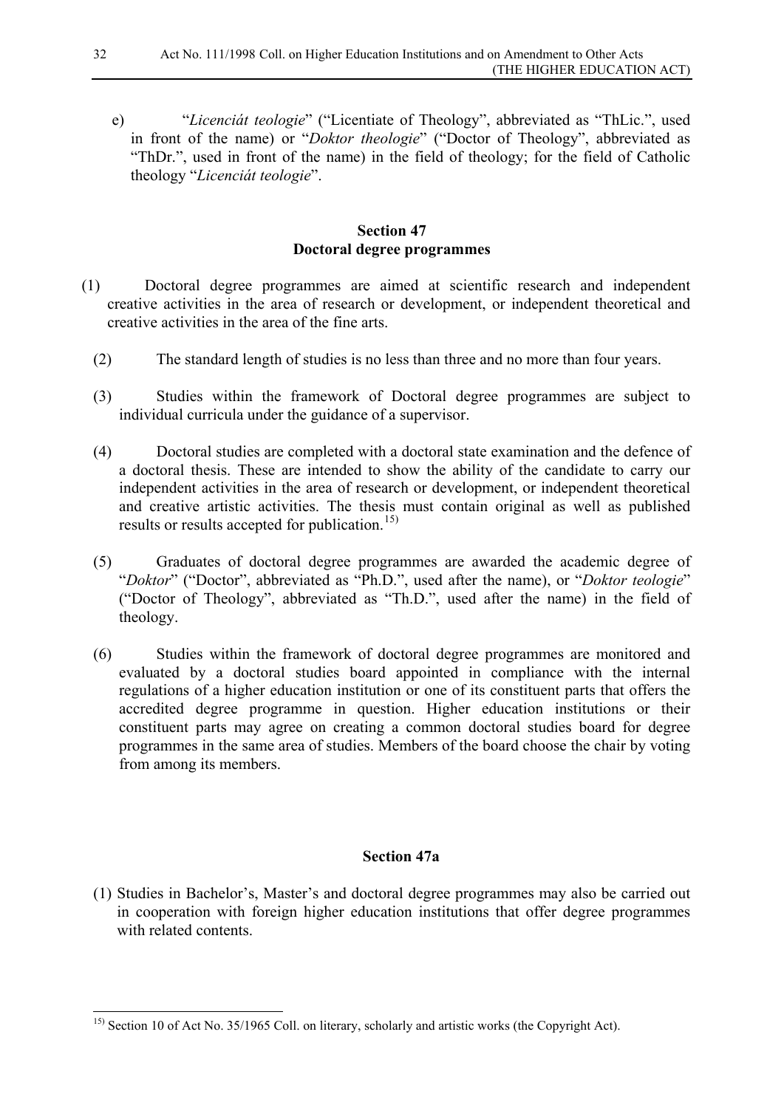e) "*Licenciát teologie*" ("Licentiate of Theology", abbreviated as "ThLic.", used in front of the name) or "*Doktor theologie*" ("Doctor of Theology", abbreviated as "ThDr.", used in front of the name) in the field of theology; for the field of Catholic theology "*Licenciát teologie*".

### **Section 47 Doctoral degree programmes**

- (1) Doctoral degree programmes are aimed at scientific research and independent creative activities in the area of research or development, or independent theoretical and creative activities in the area of the fine arts.
	- (2) The standard length of studies is no less than three and no more than four years.
	- (3) Studies within the framework of Doctoral degree programmes are subject to individual curricula under the guidance of a supervisor.
	- (4) Doctoral studies are completed with a doctoral state examination and the defence of a doctoral thesis. These are intended to show the ability of the candidate to carry our independent activities in the area of research or development, or independent theoretical and creative artistic activities. The thesis must contain original as well as published results or results accepted for publication.<sup>[15\)](#page-31-0)</sup>
	- (5) Graduates of doctoral degree programmes are awarded the academic degree of "*Doktor*" ("Doctor", abbreviated as "Ph.D.", used after the name), or "*Doktor teologie*" ("Doctor of Theology", abbreviated as "Th.D.", used after the name) in the field of theology.
	- (6) Studies within the framework of doctoral degree programmes are monitored and evaluated by a doctoral studies board appointed in compliance with the internal regulations of a higher education institution or one of its constituent parts that offers the accredited degree programme in question. Higher education institutions or their constituent parts may agree on creating a common doctoral studies board for degree programmes in the same area of studies. Members of the board choose the chair by voting from among its members.

### **Section 47a**

(1) Studies in Bachelor's, Master's and doctoral degree programmes may also be carried out in cooperation with foreign higher education institutions that offer degree programmes with related contents.

<span id="page-31-0"></span> <sup>15)</sup> Section 10 of Act No. 35/1965 Coll. on literary, scholarly and artistic works (the Copyright Act).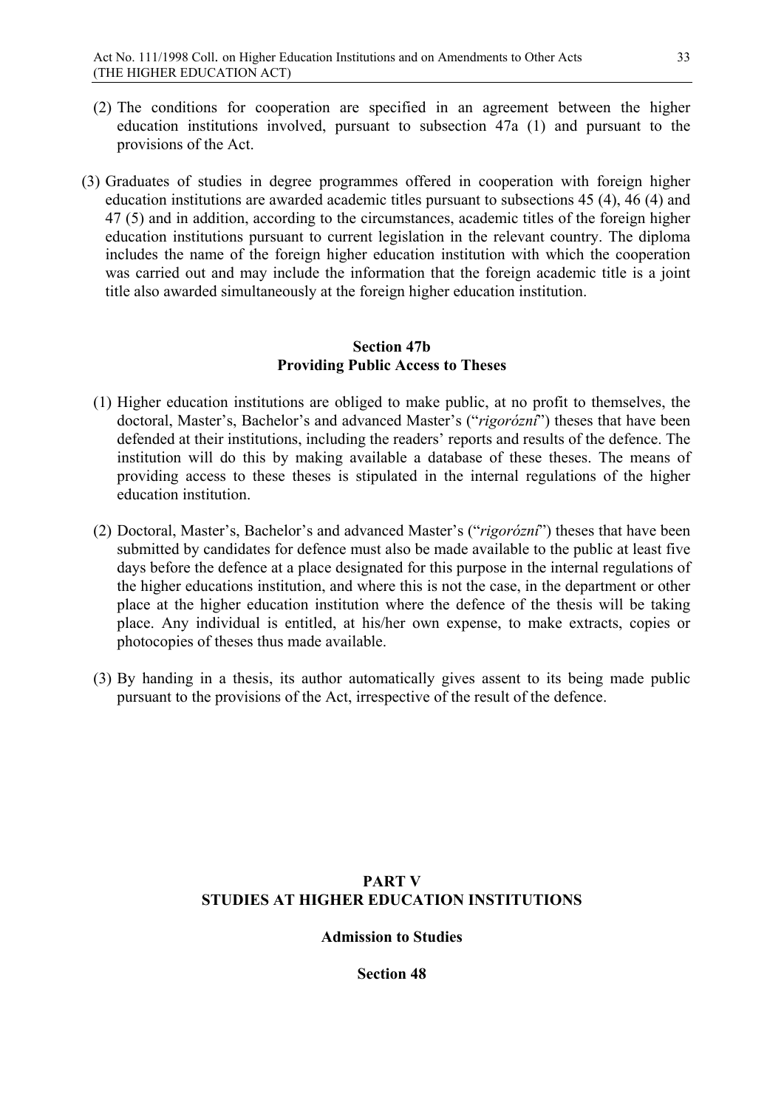- (2) The conditions for cooperation are specified in an agreement between the higher education institutions involved, pursuant to subsection 47a (1) and pursuant to the provisions of the Act.
- (3) Graduates of studies in degree programmes offered in cooperation with foreign higher education institutions are awarded academic titles pursuant to subsections 45 (4), 46 (4) and 47 (5) and in addition, according to the circumstances, academic titles of the foreign higher education institutions pursuant to current legislation in the relevant country. The diploma includes the name of the foreign higher education institution with which the cooperation was carried out and may include the information that the foreign academic title is a joint title also awarded simultaneously at the foreign higher education institution.

#### **Section 47b Providing Public Access to Theses**

- (1) Higher education institutions are obliged to make public, at no profit to themselves, the doctoral, Master's, Bachelor's and advanced Master's ("*rigorózní*") theses that have been defended at their institutions, including the readers' reports and results of the defence. The institution will do this by making available a database of these theses. The means of providing access to these theses is stipulated in the internal regulations of the higher education institution.
- (2) Doctoral, Master's, Bachelor's and advanced Master's ("*rigorózní*") theses that have been submitted by candidates for defence must also be made available to the public at least five days before the defence at a place designated for this purpose in the internal regulations of the higher educations institution, and where this is not the case, in the department or other place at the higher education institution where the defence of the thesis will be taking place. Any individual is entitled, at his/her own expense, to make extracts, copies or photocopies of theses thus made available.
- (3) By handing in a thesis, its author automatically gives assent to its being made public pursuant to the provisions of the Act, irrespective of the result of the defence.

# **PART V STUDIES AT HIGHER EDUCATION INSTITUTIONS**

**Admission to Studies**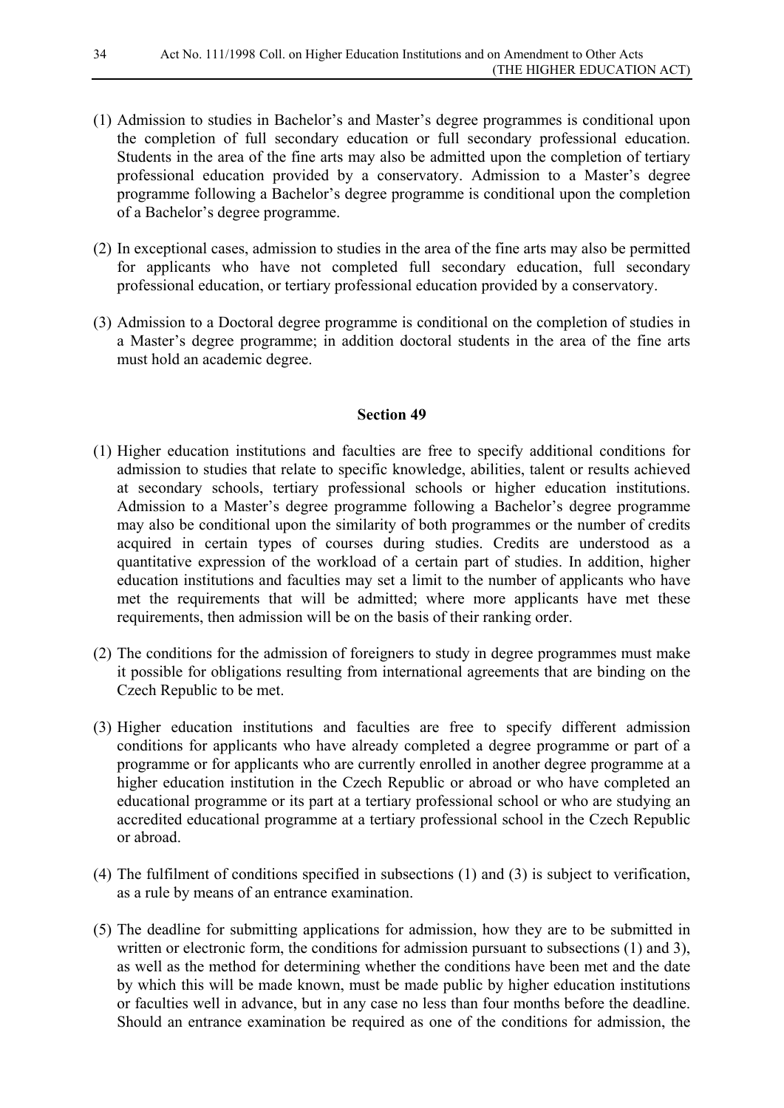- (1) Admission to studies in Bachelor's and Master's degree programmes is conditional upon the completion of full secondary education or full secondary professional education. Students in the area of the fine arts may also be admitted upon the completion of tertiary professional education provided by a conservatory. Admission to a Master's degree programme following a Bachelor's degree programme is conditional upon the completion of a Bachelor's degree programme.
- (2) In exceptional cases, admission to studies in the area of the fine arts may also be permitted for applicants who have not completed full secondary education, full secondary professional education, or tertiary professional education provided by a conservatory.
- (3) Admission to a Doctoral degree programme is conditional on the completion of studies in a Master's degree programme; in addition doctoral students in the area of the fine arts must hold an academic degree.

- (1) Higher education institutions and faculties are free to specify additional conditions for admission to studies that relate to specific knowledge, abilities, talent or results achieved at secondary schools, tertiary professional schools or higher education institutions. Admission to a Master's degree programme following a Bachelor's degree programme may also be conditional upon the similarity of both programmes or the number of credits acquired in certain types of courses during studies. Credits are understood as a quantitative expression of the workload of a certain part of studies. In addition, higher education institutions and faculties may set a limit to the number of applicants who have met the requirements that will be admitted; where more applicants have met these requirements, then admission will be on the basis of their ranking order.
- (2) The conditions for the admission of foreigners to study in degree programmes must make it possible for obligations resulting from international agreements that are binding on the Czech Republic to be met.
- (3) Higher education institutions and faculties are free to specify different admission conditions for applicants who have already completed a degree programme or part of a programme or for applicants who are currently enrolled in another degree programme at a higher education institution in the Czech Republic or abroad or who have completed an educational programme or its part at a tertiary professional school or who are studying an accredited educational programme at a tertiary professional school in the Czech Republic or abroad.
- (4) The fulfilment of conditions specified in subsections (1) and (3) is subject to verification, as a rule by means of an entrance examination.
- (5) The deadline for submitting applications for admission, how they are to be submitted in written or electronic form, the conditions for admission pursuant to subsections (1) and 3). as well as the method for determining whether the conditions have been met and the date by which this will be made known, must be made public by higher education institutions or faculties well in advance, but in any case no less than four months before the deadline. Should an entrance examination be required as one of the conditions for admission, the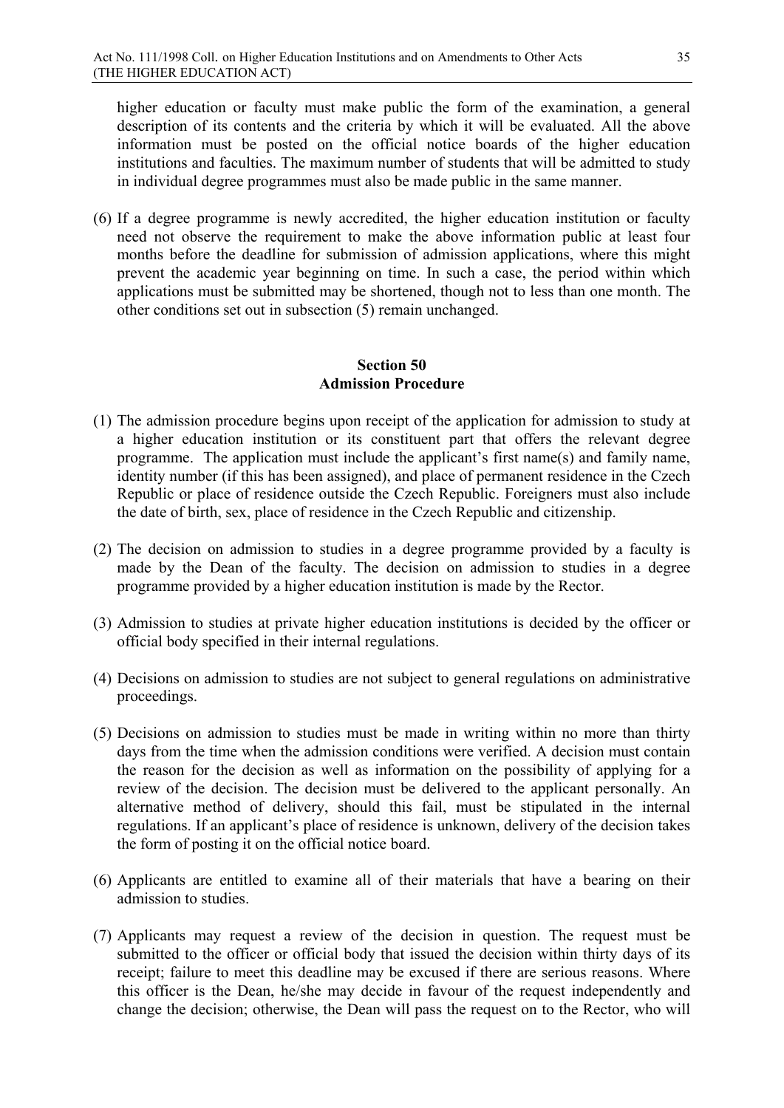higher education or faculty must make public the form of the examination, a general description of its contents and the criteria by which it will be evaluated. All the above information must be posted on the official notice boards of the higher education institutions and faculties. The maximum number of students that will be admitted to study in individual degree programmes must also be made public in the same manner.

(6) If a degree programme is newly accredited, the higher education institution or faculty need not observe the requirement to make the above information public at least four months before the deadline for submission of admission applications, where this might prevent the academic year beginning on time. In such a case, the period within which applications must be submitted may be shortened, though not to less than one month. The other conditions set out in subsection (5) remain unchanged.

#### **Section 50 Admission Procedure**

- (1) The admission procedure begins upon receipt of the application for admission to study at a higher education institution or its constituent part that offers the relevant degree programme. The application must include the applicant's first name(s) and family name, identity number (if this has been assigned), and place of permanent residence in the Czech Republic or place of residence outside the Czech Republic. Foreigners must also include the date of birth, sex, place of residence in the Czech Republic and citizenship.
- (2) The decision on admission to studies in a degree programme provided by a faculty is made by the Dean of the faculty. The decision on admission to studies in a degree programme provided by a higher education institution is made by the Rector.
- (3) Admission to studies at private higher education institutions is decided by the officer or official body specified in their internal regulations.
- (4) Decisions on admission to studies are not subject to general regulations on administrative proceedings.
- (5) Decisions on admission to studies must be made in writing within no more than thirty days from the time when the admission conditions were verified. A decision must contain the reason for the decision as well as information on the possibility of applying for a review of the decision. The decision must be delivered to the applicant personally. An alternative method of delivery, should this fail, must be stipulated in the internal regulations. If an applicant's place of residence is unknown, delivery of the decision takes the form of posting it on the official notice board.
- (6) Applicants are entitled to examine all of their materials that have a bearing on their admission to studies.
- (7) Applicants may request a review of the decision in question. The request must be submitted to the officer or official body that issued the decision within thirty days of its receipt; failure to meet this deadline may be excused if there are serious reasons. Where this officer is the Dean, he/she may decide in favour of the request independently and change the decision; otherwise, the Dean will pass the request on to the Rector, who will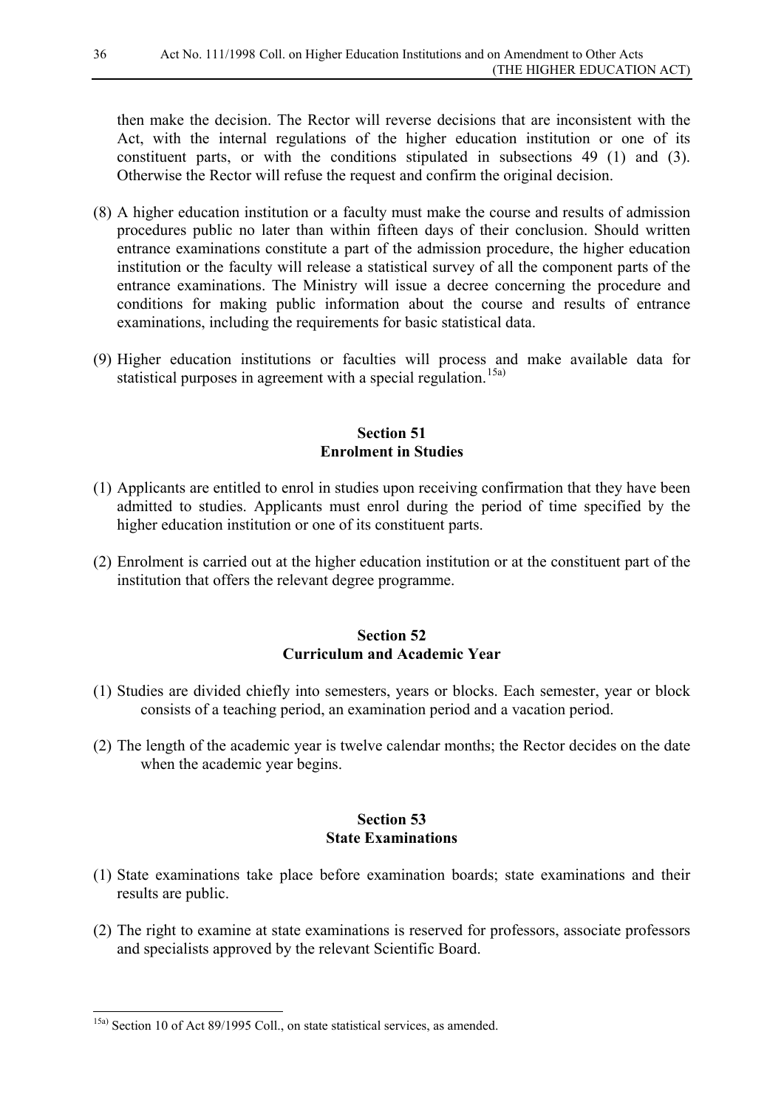then make the decision. The Rector will reverse decisions that are inconsistent with the Act, with the internal regulations of the higher education institution or one of its constituent parts, or with the conditions stipulated in subsections 49 (1) and (3). Otherwise the Rector will refuse the request and confirm the original decision.

- (8) A higher education institution or a faculty must make the course and results of admission procedures public no later than within fifteen days of their conclusion. Should written entrance examinations constitute a part of the admission procedure, the higher education institution or the faculty will release a statistical survey of all the component parts of the entrance examinations. The Ministry will issue a decree concerning the procedure and conditions for making public information about the course and results of entrance examinations, including the requirements for basic statistical data.
- (9) Higher education institutions or faculties will process and make available data for statistical purposes in agreement with a special regulation.<sup>[15a\)](#page-35-0)</sup>

#### **Section 51 Enrolment in Studies**

- (1) Applicants are entitled to enrol in studies upon receiving confirmation that they have been admitted to studies. Applicants must enrol during the period of time specified by the higher education institution or one of its constituent parts.
- (2) Enrolment is carried out at the higher education institution or at the constituent part of the institution that offers the relevant degree programme.

#### **Section 52 Curriculum and Academic Year**

- (1) Studies are divided chiefly into semesters, years or blocks. Each semester, year or block consists of a teaching period, an examination period and a vacation period.
- (2) The length of the academic year is twelve calendar months; the Rector decides on the date when the academic year begins.

#### **Section 53 State Examinations**

- (1) State examinations take place before examination boards; state examinations and their results are public.
- (2) The right to examine at state examinations is reserved for professors, associate professors and specialists approved by the relevant Scientific Board.

<span id="page-35-0"></span> <sup>15</sup>a) Section 10 of Act 89/1995 Coll., on state statistical services, as amended.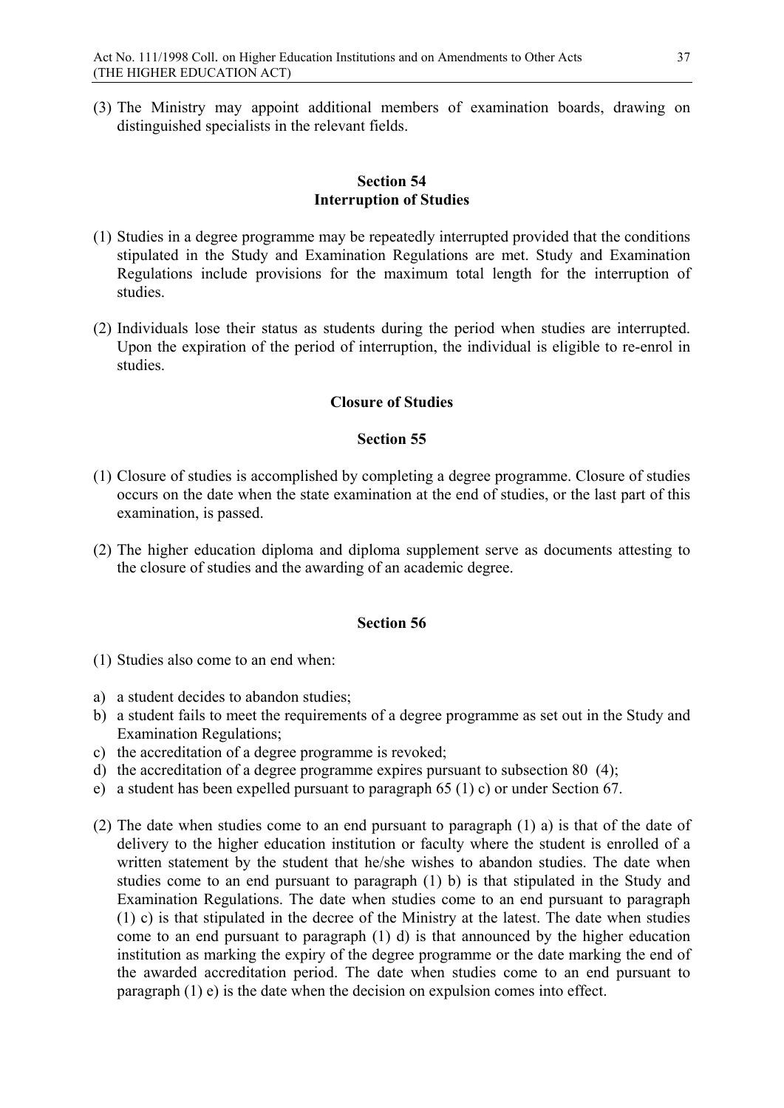(3) The Ministry may appoint additional members of examination boards, drawing on distinguished specialists in the relevant fields.

## **Section 54 Interruption of Studies**

- (1) Studies in a degree programme may be repeatedly interrupted provided that the conditions stipulated in the Study and Examination Regulations are met. Study and Examination Regulations include provisions for the maximum total length for the interruption of studies.
- (2) Individuals lose their status as students during the period when studies are interrupted. Upon the expiration of the period of interruption, the individual is eligible to re-enrol in studies.

## **Closure of Studies**

## **Section 55**

- (1) Closure of studies is accomplished by completing a degree programme. Closure of studies occurs on the date when the state examination at the end of studies, or the last part of this examination, is passed.
- (2) The higher education diploma and diploma supplement serve as documents attesting to the closure of studies and the awarding of an academic degree.

- (1) Studies also come to an end when:
- a) a student decides to abandon studies;
- b) a student fails to meet the requirements of a degree programme as set out in the Study and Examination Regulations;
- c) the accreditation of a degree programme is revoked;
- d) the accreditation of a degree programme expires pursuant to subsection 80 (4);
- e) a student has been expelled pursuant to paragraph 65 (1) c) or under Section 67.
- (2) The date when studies come to an end pursuant to paragraph (1) a) is that of the date of delivery to the higher education institution or faculty where the student is enrolled of a written statement by the student that he/she wishes to abandon studies. The date when studies come to an end pursuant to paragraph (1) b) is that stipulated in the Study and Examination Regulations. The date when studies come to an end pursuant to paragraph (1) c) is that stipulated in the decree of the Ministry at the latest. The date when studies come to an end pursuant to paragraph (1) d) is that announced by the higher education institution as marking the expiry of the degree programme or the date marking the end of the awarded accreditation period. The date when studies come to an end pursuant to paragraph (1) e) is the date when the decision on expulsion comes into effect.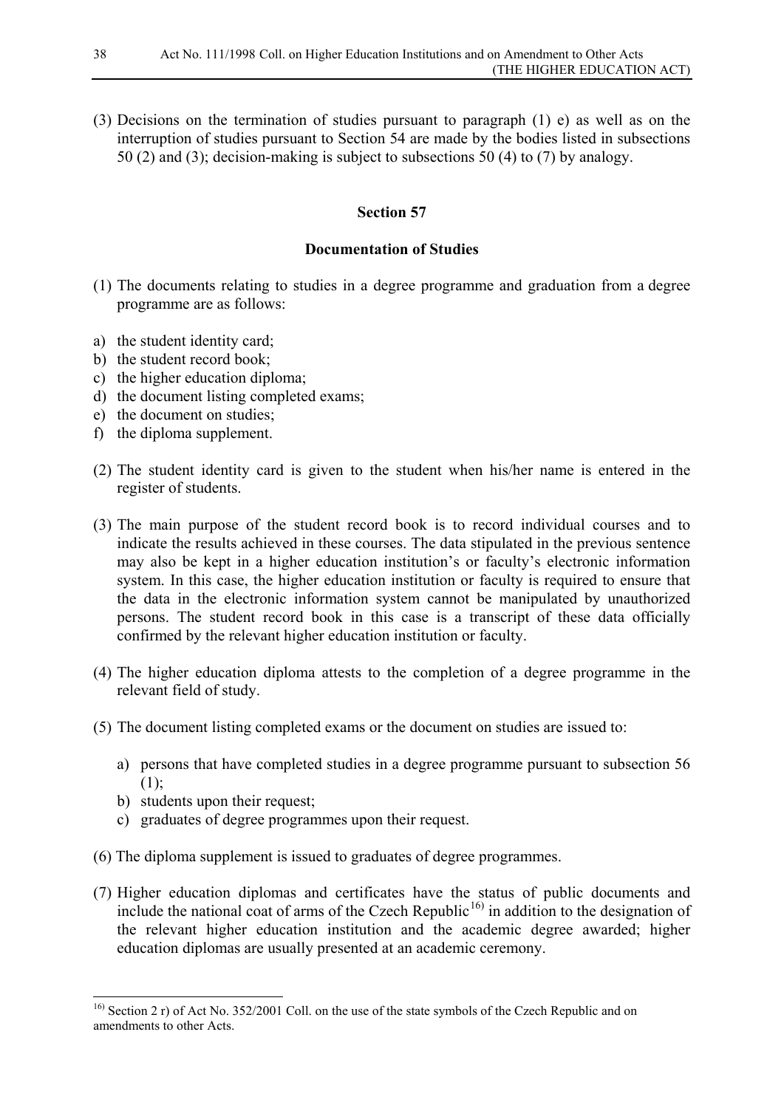(3) Decisions on the termination of studies pursuant to paragraph (1) e) as well as on the interruption of studies pursuant to Section 54 are made by the bodies listed in subsections 50 (2) and (3); decision-making is subject to subsections 50 (4) to (7) by analogy.

## **Section 57**

## **Documentation of Studies**

- (1) The documents relating to studies in a degree programme and graduation from a degree programme are as follows:
- a) the student identity card;
- b) the student record book;
- c) the higher education diploma;
- d) the document listing completed exams;
- e) the document on studies;
- f) the diploma supplement.
- (2) The student identity card is given to the student when his/her name is entered in the register of students.
- (3) The main purpose of the student record book is to record individual courses and to indicate the results achieved in these courses. The data stipulated in the previous sentence may also be kept in a higher education institution's or faculty's electronic information system. In this case, the higher education institution or faculty is required to ensure that the data in the electronic information system cannot be manipulated by unauthorized persons. The student record book in this case is a transcript of these data officially confirmed by the relevant higher education institution or faculty.
- (4) The higher education diploma attests to the completion of a degree programme in the relevant field of study.
- (5) The document listing completed exams or the document on studies are issued to:
	- a) persons that have completed studies in a degree programme pursuant to subsection 56  $(1)$ :
	- b) students upon their request;
	- c) graduates of degree programmes upon their request.
- (6) The diploma supplement is issued to graduates of degree programmes.
- (7) Higher education diplomas and certificates have the status of public documents and include the national coat of arms of the Czech Republic<sup>[16\)](#page-37-0)</sup> in addition to the designation of the relevant higher education institution and the academic degree awarded; higher education diplomas are usually presented at an academic ceremony.

<span id="page-37-0"></span><sup>&</sup>lt;sup>16)</sup> Section 2 r) of Act No. 352/2001 Coll. on the use of the state symbols of the Czech Republic and on amendments to other Acts.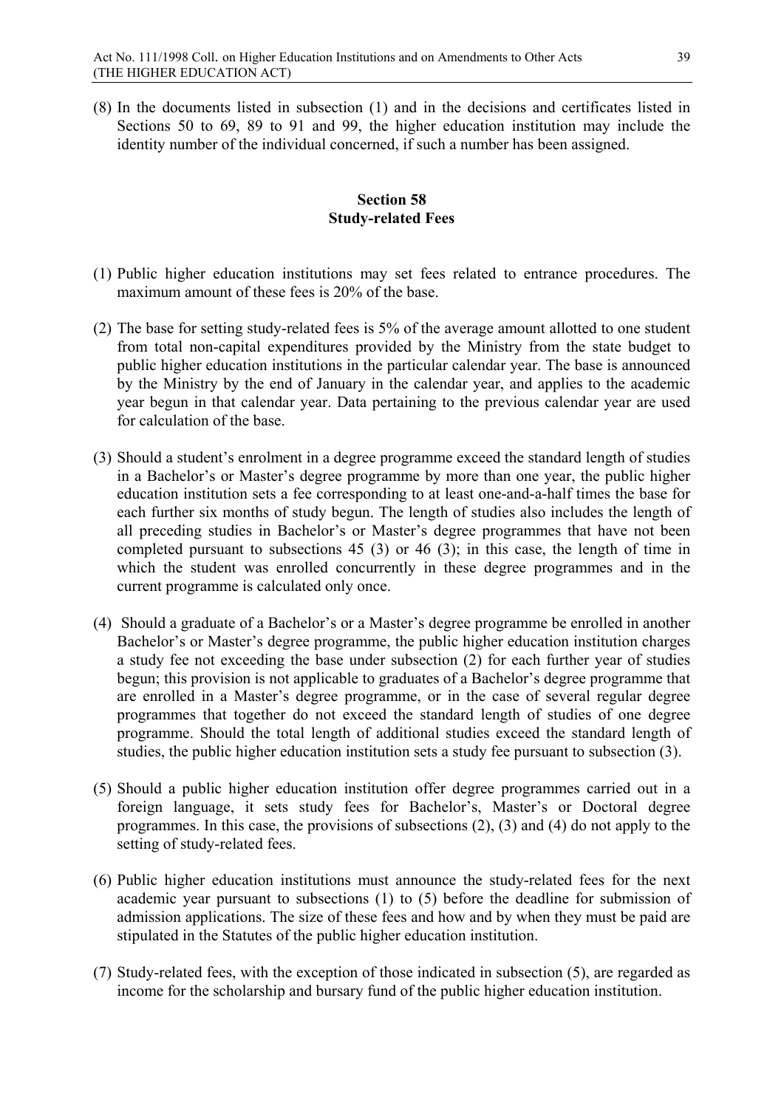(8) In the documents listed in subsection (1) and in the decisions and certificates listed in Sections 50 to 69, 89 to 91 and 99, the higher education institution may include the identity number of the individual concerned, if such a number has been assigned.

# **Section 58 Study-related Fees**

- (1) Public higher education institutions may set fees related to entrance procedures. The maximum amount of these fees is 20% of the base.
- (2) The base for setting study-related fees is 5% of the average amount allotted to one student from total non-capital expenditures provided by the Ministry from the state budget to public higher education institutions in the particular calendar year. The base is announced by the Ministry by the end of January in the calendar year, and applies to the academic year begun in that calendar year. Data pertaining to the previous calendar year are used for calculation of the base.
- (3) Should a student's enrolment in a degree programme exceed the standard length of studies in a Bachelor's or Master's degree programme by more than one year, the public higher education institution sets a fee corresponding to at least one-and-a-half times the base for each further six months of study begun. The length of studies also includes the length of all preceding studies in Bachelor's or Master's degree programmes that have not been completed pursuant to subsections 45 (3) or 46 (3); in this case, the length of time in which the student was enrolled concurrently in these degree programmes and in the current programme is calculated only once.
- (4) Should a graduate of a Bachelor's or a Master's degree programme be enrolled in another Bachelor's or Master's degree programme, the public higher education institution charges a study fee not exceeding the base under subsection (2) for each further year of studies begun; this provision is not applicable to graduates of a Bachelor's degree programme that are enrolled in a Master's degree programme, or in the case of several regular degree programmes that together do not exceed the standard length of studies of one degree programme. Should the total length of additional studies exceed the standard length of studies, the public higher education institution sets a study fee pursuant to subsection (3).
- (5) Should a public higher education institution offer degree programmes carried out in a foreign language, it sets study fees for Bachelor's, Master's or Doctoral degree programmes. In this case, the provisions of subsections (2), (3) and (4) do not apply to the setting of study-related fees.
- (6) Public higher education institutions must announce the study-related fees for the next academic year pursuant to subsections (1) to (5) before the deadline for submission of admission applications. The size of these fees and how and by when they must be paid are stipulated in the Statutes of the public higher education institution.
- (7) Study-related fees, with the exception of those indicated in subsection (5), are regarded as income for the scholarship and bursary fund of the public higher education institution.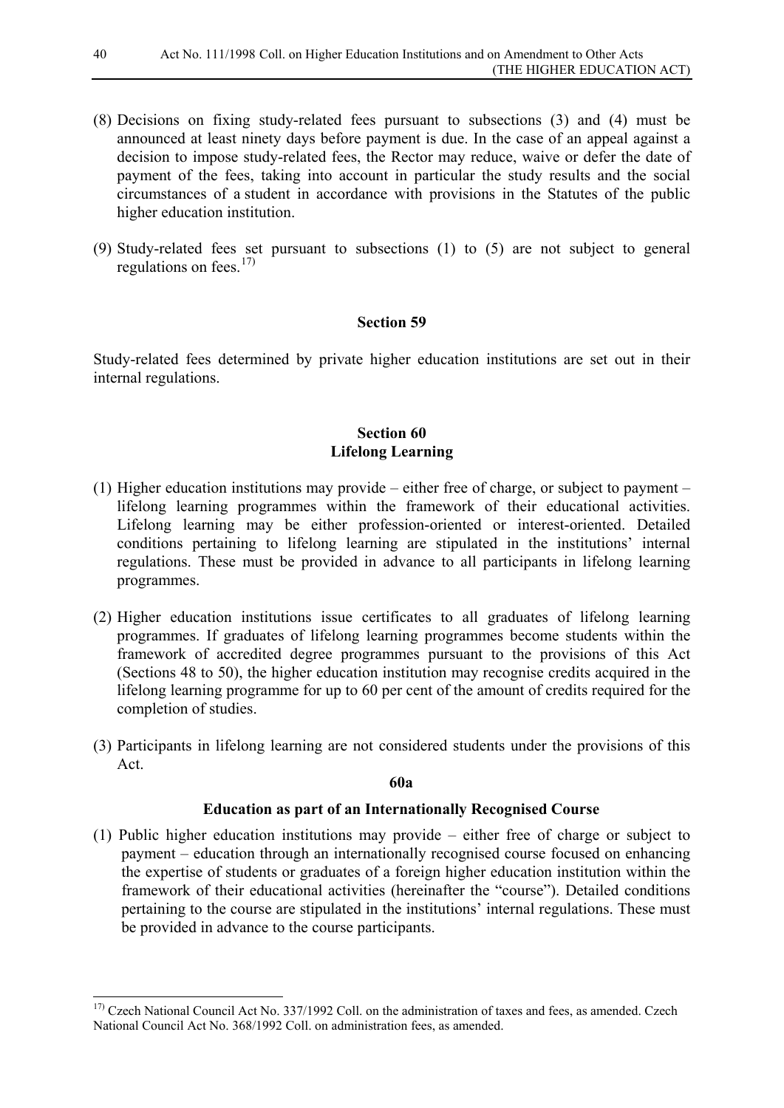- (8) Decisions on fixing study-related fees pursuant to subsections (3) and (4) must be announced at least ninety days before payment is due. In the case of an appeal against a decision to impose study-related fees, the Rector may reduce, waive or defer the date of payment of the fees, taking into account in particular the study results and the social circumstances of a student in accordance with provisions in the Statutes of the public higher education institution.
- (9) Study-related fees set pursuant to subsections (1) to (5) are not subject to general regulations on fees. $17$

Study-related fees determined by private higher education institutions are set out in their internal regulations.

## **Section 60 Lifelong Learning**

- (1) Higher education institutions may provide either free of charge, or subject to payment lifelong learning programmes within the framework of their educational activities. Lifelong learning may be either profession-oriented or interest-oriented. Detailed conditions pertaining to lifelong learning are stipulated in the institutions' internal regulations. These must be provided in advance to all participants in lifelong learning programmes.
- (2) Higher education institutions issue certificates to all graduates of lifelong learning programmes. If graduates of lifelong learning programmes become students within the framework of accredited degree programmes pursuant to the provisions of this Act (Sections 48 to 50), the higher education institution may recognise credits acquired in the lifelong learning programme for up to 60 per cent of the amount of credits required for the completion of studies.
- (3) Participants in lifelong learning are not considered students under the provisions of this Act.

#### **60a**

## **Education as part of an Internationally Recognised Course**

(1) Public higher education institutions may provide – either free of charge or subject to payment – education through an internationally recognised course focused on enhancing the expertise of students or graduates of a foreign higher education institution within the framework of their educational activities (hereinafter the "course"). Detailed conditions pertaining to the course are stipulated in the institutions' internal regulations. These must be provided in advance to the course participants.

<span id="page-39-0"></span><sup>&</sup>lt;sup>17)</sup> Czech National Council Act No. 337/1992 Coll. on the administration of taxes and fees, as amended. Czech National Council Act No. 368/1992 Coll. on administration fees, as amended.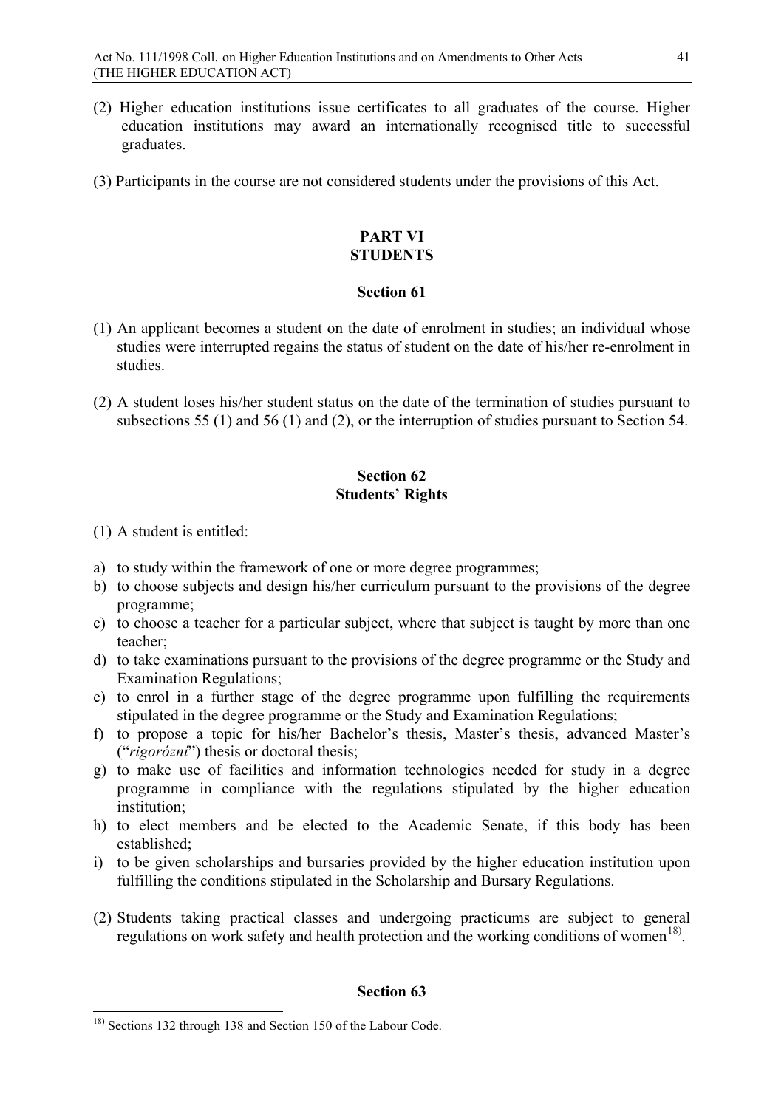- (2) Higher education institutions issue certificates to all graduates of the course. Higher education institutions may award an internationally recognised title to successful graduates.
- (3) Participants in the course are not considered students under the provisions of this Act.

# **PART VI STUDENTS**

## **Section 61**

- (1) An applicant becomes a student on the date of enrolment in studies; an individual whose studies were interrupted regains the status of student on the date of his/her re-enrolment in studies.
- (2) A student loses his/her student status on the date of the termination of studies pursuant to subsections 55 (1) and 56 (1) and (2), or the interruption of studies pursuant to Section 54.

# **Section 62 Students' Rights**

- (1) A student is entitled:
- a) to study within the framework of one or more degree programmes;
- b) to choose subjects and design his/her curriculum pursuant to the provisions of the degree programme;
- c) to choose a teacher for a particular subject, where that subject is taught by more than one teacher;
- d) to take examinations pursuant to the provisions of the degree programme or the Study and Examination Regulations;
- e) to enrol in a further stage of the degree programme upon fulfilling the requirements stipulated in the degree programme or the Study and Examination Regulations;
- f) to propose a topic for his/her Bachelor's thesis, Master's thesis, advanced Master's ("*rigorózní*") thesis or doctoral thesis;
- g) to make use of facilities and information technologies needed for study in a degree programme in compliance with the regulations stipulated by the higher education institution;
- h) to elect members and be elected to the Academic Senate, if this body has been established;
- i) to be given scholarships and bursaries provided by the higher education institution upon fulfilling the conditions stipulated in the Scholarship and Bursary Regulations.
- (2) Students taking practical classes and undergoing practicums are subject to general regulations on work safety and health protection and the working conditions of women<sup>18)</sup>.

<span id="page-40-0"></span> <sup>18)</sup> Sections 132 through 138 and Section 150 of the Labour Code.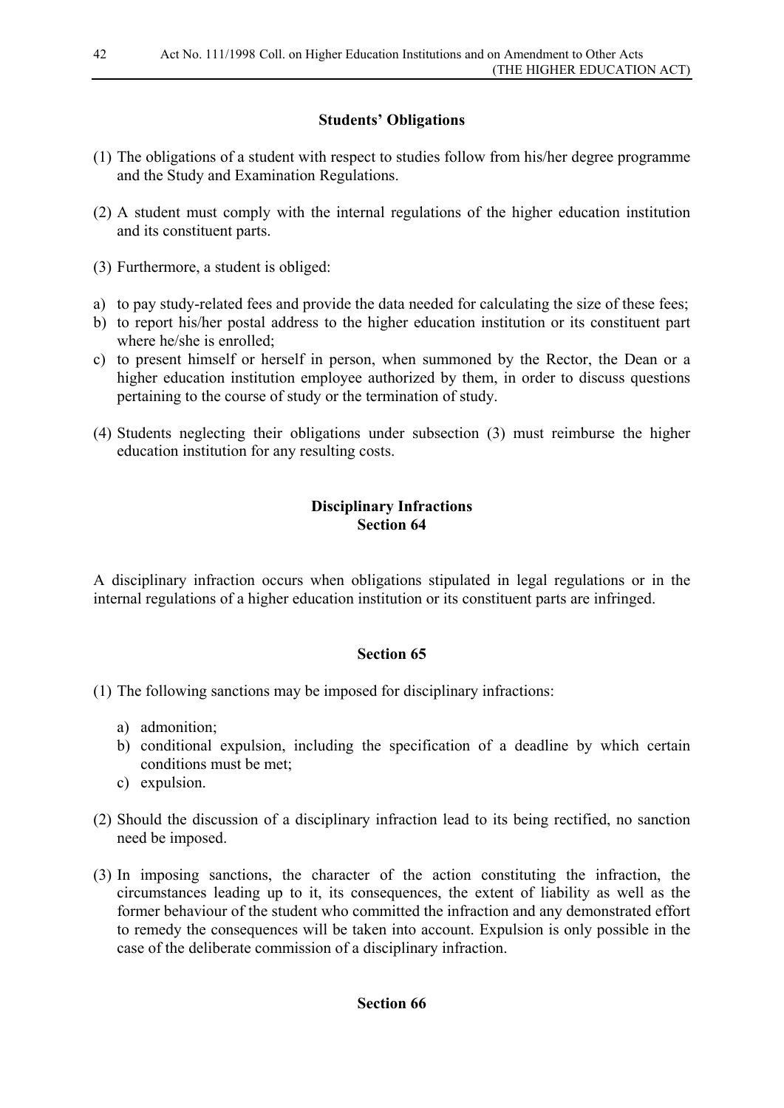# **Students' Obligations**

- (1) The obligations of a student with respect to studies follow from his/her degree programme and the Study and Examination Regulations.
- (2) A student must comply with the internal regulations of the higher education institution and its constituent parts.
- (3) Furthermore, a student is obliged:
- a) to pay study-related fees and provide the data needed for calculating the size of these fees;
- b) to report his/her postal address to the higher education institution or its constituent part where he/she is enrolled:
- c) to present himself or herself in person, when summoned by the Rector, the Dean or a higher education institution employee authorized by them, in order to discuss questions pertaining to the course of study or the termination of study.
- (4) Students neglecting their obligations under subsection (3) must reimburse the higher education institution for any resulting costs.

## **Disciplinary Infractions Section 64**

A disciplinary infraction occurs when obligations stipulated in legal regulations or in the internal regulations of a higher education institution or its constituent parts are infringed.

# **Section 65**

- (1) The following sanctions may be imposed for disciplinary infractions:
	- a) admonition;
	- b) conditional expulsion, including the specification of a deadline by which certain conditions must be met;
	- c) expulsion.
- (2) Should the discussion of a disciplinary infraction lead to its being rectified, no sanction need be imposed.
- (3) In imposing sanctions, the character of the action constituting the infraction, the circumstances leading up to it, its consequences, the extent of liability as well as the former behaviour of the student who committed the infraction and any demonstrated effort to remedy the consequences will be taken into account. Expulsion is only possible in the case of the deliberate commission of a disciplinary infraction.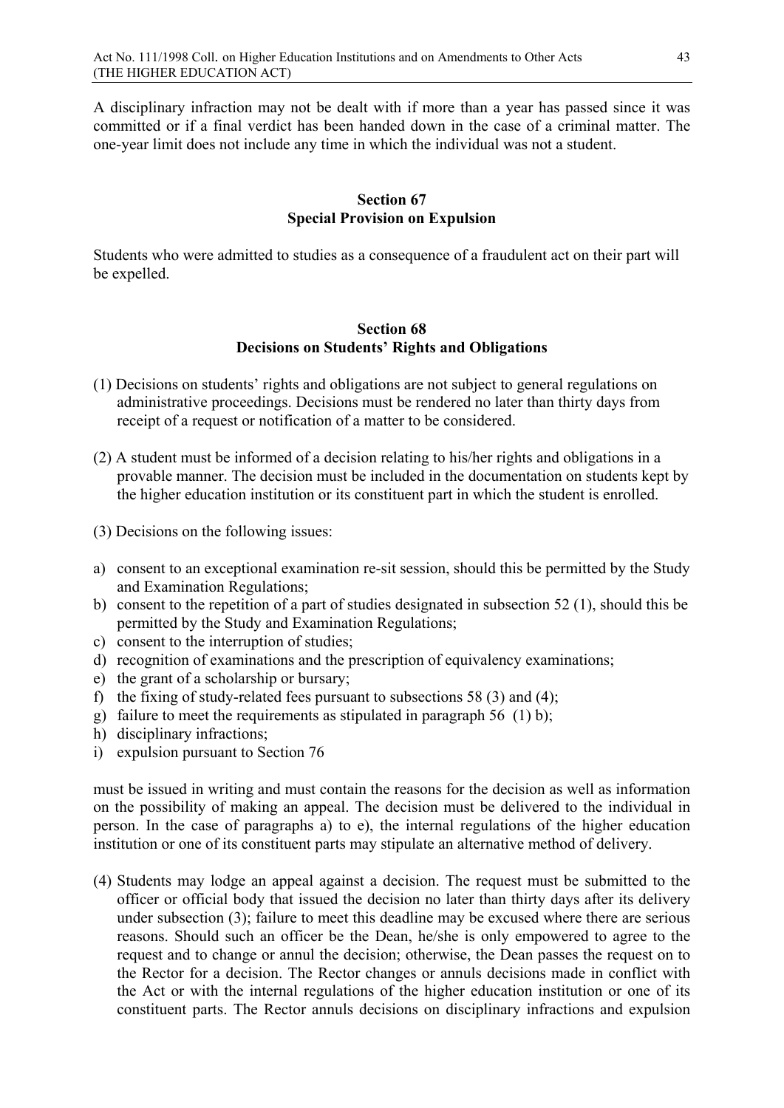A disciplinary infraction may not be dealt with if more than a year has passed since it was committed or if a final verdict has been handed down in the case of a criminal matter. The one-year limit does not include any time in which the individual was not a student.

## **Section 67 Special Provision on Expulsion**

Students who were admitted to studies as a consequence of a fraudulent act on their part will be expelled.

#### **Section 68 Decisions on Students' Rights and Obligations**

- (1) Decisions on students' rights and obligations are not subject to general regulations on administrative proceedings. Decisions must be rendered no later than thirty days from receipt of a request or notification of a matter to be considered.
- (2) A student must be informed of a decision relating to his/her rights and obligations in a provable manner. The decision must be included in the documentation on students kept by the higher education institution or its constituent part in which the student is enrolled.
- (3) Decisions on the following issues:
- a) consent to an exceptional examination re-sit session, should this be permitted by the Study and Examination Regulations;
- b) consent to the repetition of a part of studies designated in subsection 52 (1), should this be permitted by the Study and Examination Regulations;
- c) consent to the interruption of studies;
- d) recognition of examinations and the prescription of equivalency examinations;
- e) the grant of a scholarship or bursary;
- f) the fixing of study-related fees pursuant to subsections 58 (3) and (4);
- g) failure to meet the requirements as stipulated in paragraph 56 (1) b);
- h) disciplinary infractions;
- i) expulsion pursuant to Section 76

must be issued in writing and must contain the reasons for the decision as well as information on the possibility of making an appeal. The decision must be delivered to the individual in person. In the case of paragraphs a) to e), the internal regulations of the higher education institution or one of its constituent parts may stipulate an alternative method of delivery.

(4) Students may lodge an appeal against a decision. The request must be submitted to the officer or official body that issued the decision no later than thirty days after its delivery under subsection (3); failure to meet this deadline may be excused where there are serious reasons. Should such an officer be the Dean, he/she is only empowered to agree to the request and to change or annul the decision; otherwise, the Dean passes the request on to the Rector for a decision. The Rector changes or annuls decisions made in conflict with the Act or with the internal regulations of the higher education institution or one of its constituent parts. The Rector annuls decisions on disciplinary infractions and expulsion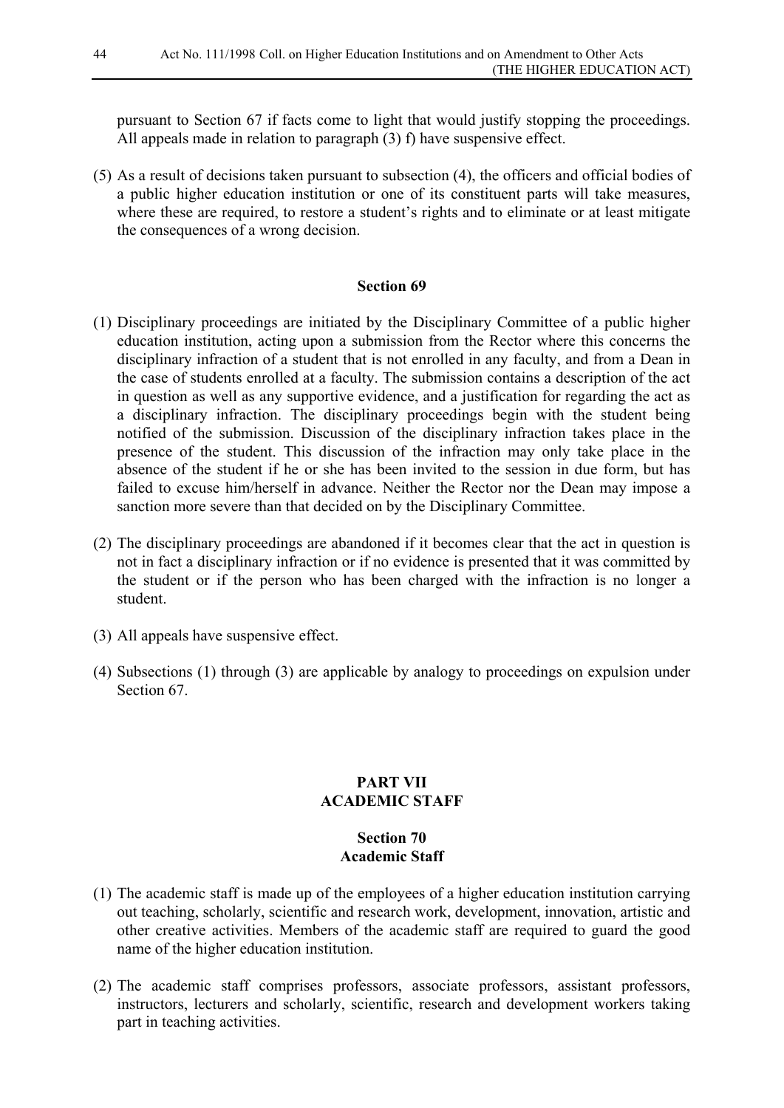pursuant to Section 67 if facts come to light that would justify stopping the proceedings. All appeals made in relation to paragraph (3) f) have suspensive effect.

(5) As a result of decisions taken pursuant to subsection (4), the officers and official bodies of a public higher education institution or one of its constituent parts will take measures, where these are required, to restore a student's rights and to eliminate or at least mitigate the consequences of a wrong decision.

## **Section 69**

- (1) Disciplinary proceedings are initiated by the Disciplinary Committee of a public higher education institution, acting upon a submission from the Rector where this concerns the disciplinary infraction of a student that is not enrolled in any faculty, and from a Dean in the case of students enrolled at a faculty. The submission contains a description of the act in question as well as any supportive evidence, and a justification for regarding the act as a disciplinary infraction. The disciplinary proceedings begin with the student being notified of the submission. Discussion of the disciplinary infraction takes place in the presence of the student. This discussion of the infraction may only take place in the absence of the student if he or she has been invited to the session in due form, but has failed to excuse him/herself in advance. Neither the Rector nor the Dean may impose a sanction more severe than that decided on by the Disciplinary Committee.
- (2) The disciplinary proceedings are abandoned if it becomes clear that the act in question is not in fact a disciplinary infraction or if no evidence is presented that it was committed by the student or if the person who has been charged with the infraction is no longer a student.
- (3) All appeals have suspensive effect.
- (4) Subsections (1) through (3) are applicable by analogy to proceedings on expulsion under Section 67.

## **PART VII ACADEMIC STAFF**

## **Section 70 Academic Staff**

- (1) The academic staff is made up of the employees of a higher education institution carrying out teaching, scholarly, scientific and research work, development, innovation, artistic and other creative activities. Members of the academic staff are required to guard the good name of the higher education institution.
- (2) The academic staff comprises professors, associate professors, assistant professors, instructors, lecturers and scholarly, scientific, research and development workers taking part in teaching activities.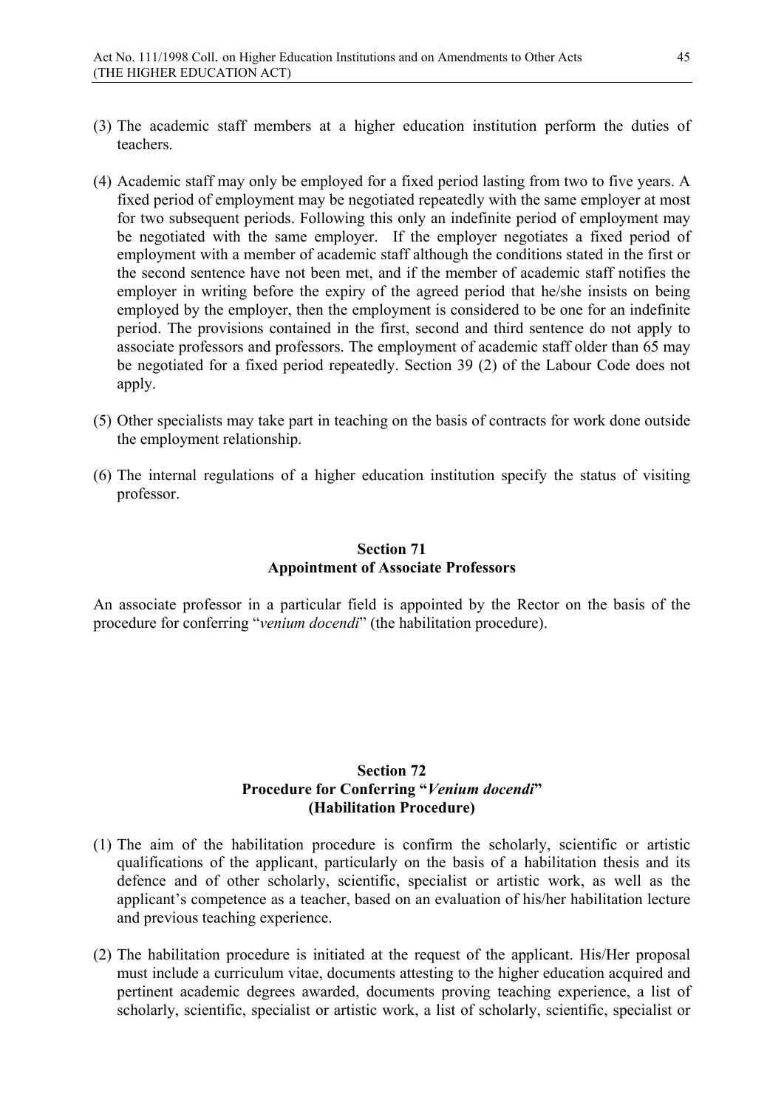- (3) The academic staff members at a higher education institution perform the duties of teachers.
- (4) Academic staff may only be employed for a fixed period lasting from two to five years. A fixed period of employment may be negotiated repeatedly with the same employer at most for two subsequent periods. Following this only an indefinite period of employment may be negotiated with the same employer. If the employer negotiates a fixed period of employment with a member of academic staff although the conditions stated in the first or the second sentence have not been met, and if the member of academic staff notifies the employer in writing before the expiry of the agreed period that he/she insists on being employed by the employer, then the employment is considered to be one for an indefinite period. The provisions contained in the first, second and third sentence do not apply to associate professors and professors. The employment of academic staff older than 65 may be negotiated for a fixed period repeatedly. Section 39 (2) of the Labour Code does not apply.
- (5) Other specialists may take part in teaching on the basis of contracts for work done outside the employment relationship.
- (6) The internal regulations of a higher education institution specify the status of visiting professor.

## **Section 71 Appointment of Associate Professors**

An associate professor in a particular field is appointed by the Rector on the basis of the procedure for conferring "*venium docendi*" (the habilitation procedure).

# **Section 72 Procedure for Conferring "***Venium docendi***" (Habilitation Procedure)**

- (1) The aim of the habilitation procedure is confirm the scholarly, scientific or artistic qualifications of the applicant, particularly on the basis of a habilitation thesis and its defence and of other scholarly, scientific, specialist or artistic work, as well as the applicant's competence as a teacher, based on an evaluation of his/her habilitation lecture and previous teaching experience.
- (2) The habilitation procedure is initiated at the request of the applicant. His/Her proposal must include a curriculum vitae, documents attesting to the higher education acquired and pertinent academic degrees awarded, documents proving teaching experience, a list of scholarly, scientific, specialist or artistic work, a list of scholarly, scientific, specialist or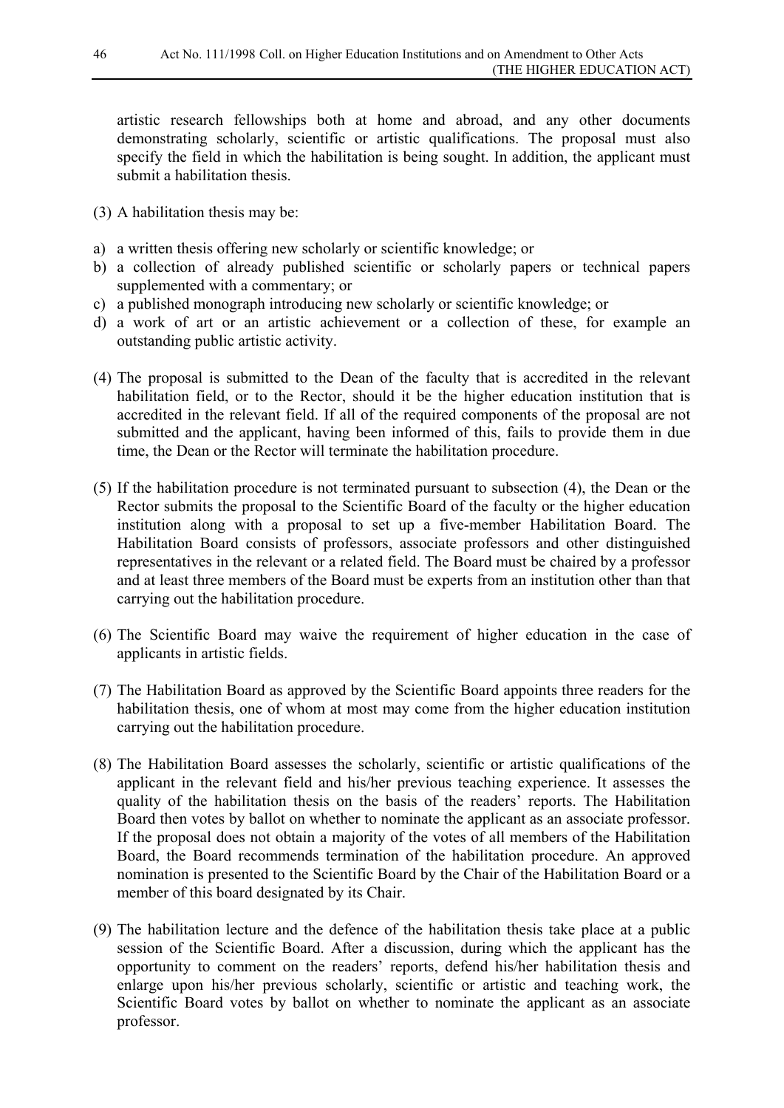artistic research fellowships both at home and abroad, and any other documents demonstrating scholarly, scientific or artistic qualifications. The proposal must also specify the field in which the habilitation is being sought. In addition, the applicant must submit a habilitation thesis.

- (3) A habilitation thesis may be:
- a) a written thesis offering new scholarly or scientific knowledge; or
- b) a collection of already published scientific or scholarly papers or technical papers supplemented with a commentary; or
- c) a published monograph introducing new scholarly or scientific knowledge; or
- d) a work of art or an artistic achievement or a collection of these, for example an outstanding public artistic activity.
- (4) The proposal is submitted to the Dean of the faculty that is accredited in the relevant habilitation field, or to the Rector, should it be the higher education institution that is accredited in the relevant field. If all of the required components of the proposal are not submitted and the applicant, having been informed of this, fails to provide them in due time, the Dean or the Rector will terminate the habilitation procedure.
- (5) If the habilitation procedure is not terminated pursuant to subsection (4), the Dean or the Rector submits the proposal to the Scientific Board of the faculty or the higher education institution along with a proposal to set up a five-member Habilitation Board. The Habilitation Board consists of professors, associate professors and other distinguished representatives in the relevant or a related field. The Board must be chaired by a professor and at least three members of the Board must be experts from an institution other than that carrying out the habilitation procedure.
- (6) The Scientific Board may waive the requirement of higher education in the case of applicants in artistic fields.
- (7) The Habilitation Board as approved by the Scientific Board appoints three readers for the habilitation thesis, one of whom at most may come from the higher education institution carrying out the habilitation procedure.
- (8) The Habilitation Board assesses the scholarly, scientific or artistic qualifications of the applicant in the relevant field and his/her previous teaching experience. It assesses the quality of the habilitation thesis on the basis of the readers' reports. The Habilitation Board then votes by ballot on whether to nominate the applicant as an associate professor. If the proposal does not obtain a majority of the votes of all members of the Habilitation Board, the Board recommends termination of the habilitation procedure. An approved nomination is presented to the Scientific Board by the Chair of the Habilitation Board or a member of this board designated by its Chair.
- (9) The habilitation lecture and the defence of the habilitation thesis take place at a public session of the Scientific Board. After a discussion, during which the applicant has the opportunity to comment on the readers' reports, defend his/her habilitation thesis and enlarge upon his/her previous scholarly, scientific or artistic and teaching work, the Scientific Board votes by ballot on whether to nominate the applicant as an associate professor.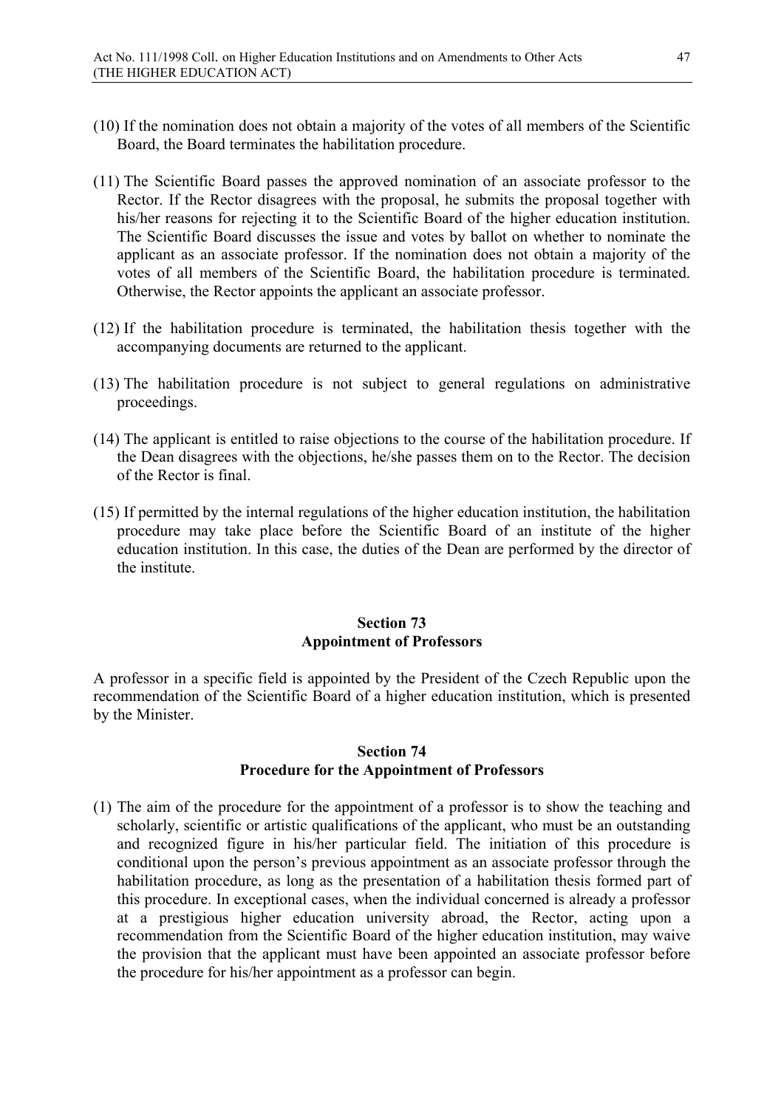- (10) If the nomination does not obtain a majority of the votes of all members of the Scientific Board, the Board terminates the habilitation procedure.
- (11) The Scientific Board passes the approved nomination of an associate professor to the Rector. If the Rector disagrees with the proposal, he submits the proposal together with his/her reasons for rejecting it to the Scientific Board of the higher education institution. The Scientific Board discusses the issue and votes by ballot on whether to nominate the applicant as an associate professor. If the nomination does not obtain a majority of the votes of all members of the Scientific Board, the habilitation procedure is terminated. Otherwise, the Rector appoints the applicant an associate professor.
- (12) If the habilitation procedure is terminated, the habilitation thesis together with the accompanying documents are returned to the applicant.
- (13) The habilitation procedure is not subject to general regulations on administrative proceedings.
- (14) The applicant is entitled to raise objections to the course of the habilitation procedure. If the Dean disagrees with the objections, he/she passes them on to the Rector. The decision of the Rector is final.
- (15) If permitted by the internal regulations of the higher education institution, the habilitation procedure may take place before the Scientific Board of an institute of the higher education institution. In this case, the duties of the Dean are performed by the director of the institute.

## **Section 73 Appointment of Professors**

A professor in a specific field is appointed by the President of the Czech Republic upon the recommendation of the Scientific Board of a higher education institution, which is presented by the Minister.

## **Section 74 Procedure for the Appointment of Professors**

(1) The aim of the procedure for the appointment of a professor is to show the teaching and scholarly, scientific or artistic qualifications of the applicant, who must be an outstanding and recognized figure in his/her particular field. The initiation of this procedure is conditional upon the person's previous appointment as an associate professor through the habilitation procedure, as long as the presentation of a habilitation thesis formed part of this procedure. In exceptional cases, when the individual concerned is already a professor at a prestigious higher education university abroad, the Rector, acting upon a recommendation from the Scientific Board of the higher education institution, may waive the provision that the applicant must have been appointed an associate professor before the procedure for his/her appointment as a professor can begin.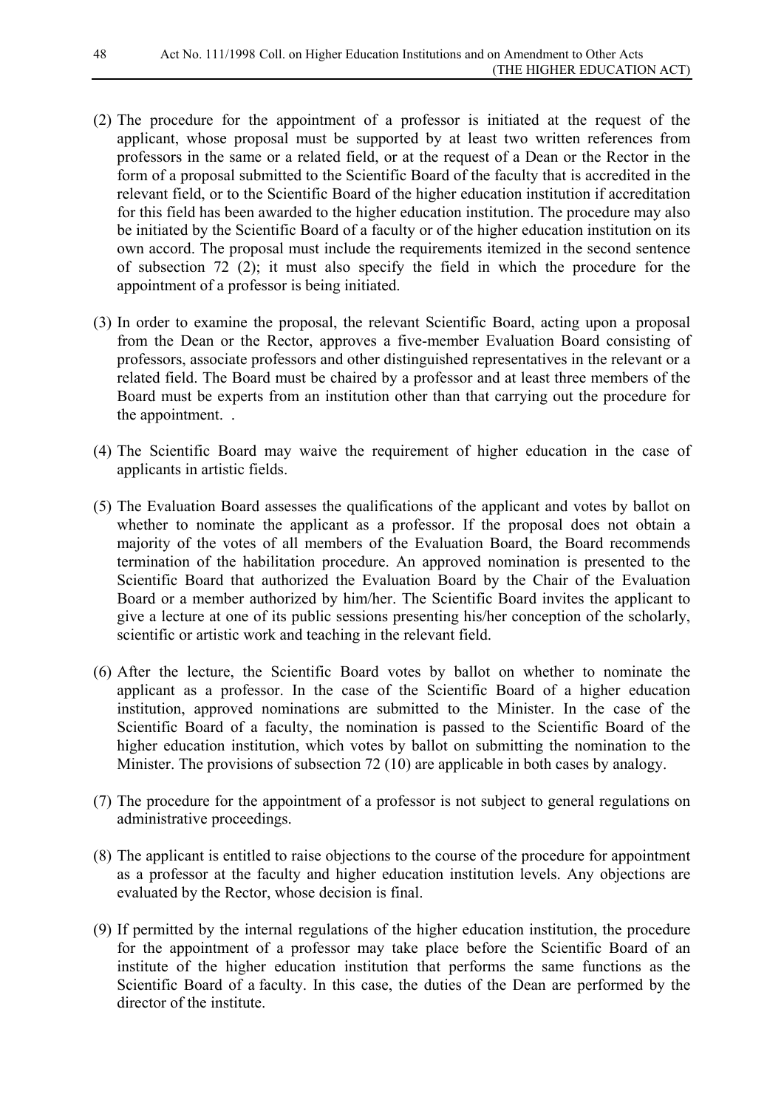- (2) The procedure for the appointment of a professor is initiated at the request of the applicant, whose proposal must be supported by at least two written references from professors in the same or a related field, or at the request of a Dean or the Rector in the form of a proposal submitted to the Scientific Board of the faculty that is accredited in the relevant field, or to the Scientific Board of the higher education institution if accreditation for this field has been awarded to the higher education institution. The procedure may also be initiated by the Scientific Board of a faculty or of the higher education institution on its own accord. The proposal must include the requirements itemized in the second sentence of subsection 72 (2); it must also specify the field in which the procedure for the appointment of a professor is being initiated.
- (3) In order to examine the proposal, the relevant Scientific Board, acting upon a proposal from the Dean or the Rector, approves a five-member Evaluation Board consisting of professors, associate professors and other distinguished representatives in the relevant or a related field. The Board must be chaired by a professor and at least three members of the Board must be experts from an institution other than that carrying out the procedure for the appointment. .
- (4) The Scientific Board may waive the requirement of higher education in the case of applicants in artistic fields.
- (5) The Evaluation Board assesses the qualifications of the applicant and votes by ballot on whether to nominate the applicant as a professor. If the proposal does not obtain a majority of the votes of all members of the Evaluation Board, the Board recommends termination of the habilitation procedure. An approved nomination is presented to the Scientific Board that authorized the Evaluation Board by the Chair of the Evaluation Board or a member authorized by him/her. The Scientific Board invites the applicant to give a lecture at one of its public sessions presenting his/her conception of the scholarly, scientific or artistic work and teaching in the relevant field.
- (6) After the lecture, the Scientific Board votes by ballot on whether to nominate the applicant as a professor. In the case of the Scientific Board of a higher education institution, approved nominations are submitted to the Minister. In the case of the Scientific Board of a faculty, the nomination is passed to the Scientific Board of the higher education institution, which votes by ballot on submitting the nomination to the Minister. The provisions of subsection 72 (10) are applicable in both cases by analogy.
- (7) The procedure for the appointment of a professor is not subject to general regulations on administrative proceedings.
- (8) The applicant is entitled to raise objections to the course of the procedure for appointment as a professor at the faculty and higher education institution levels. Any objections are evaluated by the Rector, whose decision is final.
- (9) If permitted by the internal regulations of the higher education institution, the procedure for the appointment of a professor may take place before the Scientific Board of an institute of the higher education institution that performs the same functions as the Scientific Board of a faculty. In this case, the duties of the Dean are performed by the director of the institute.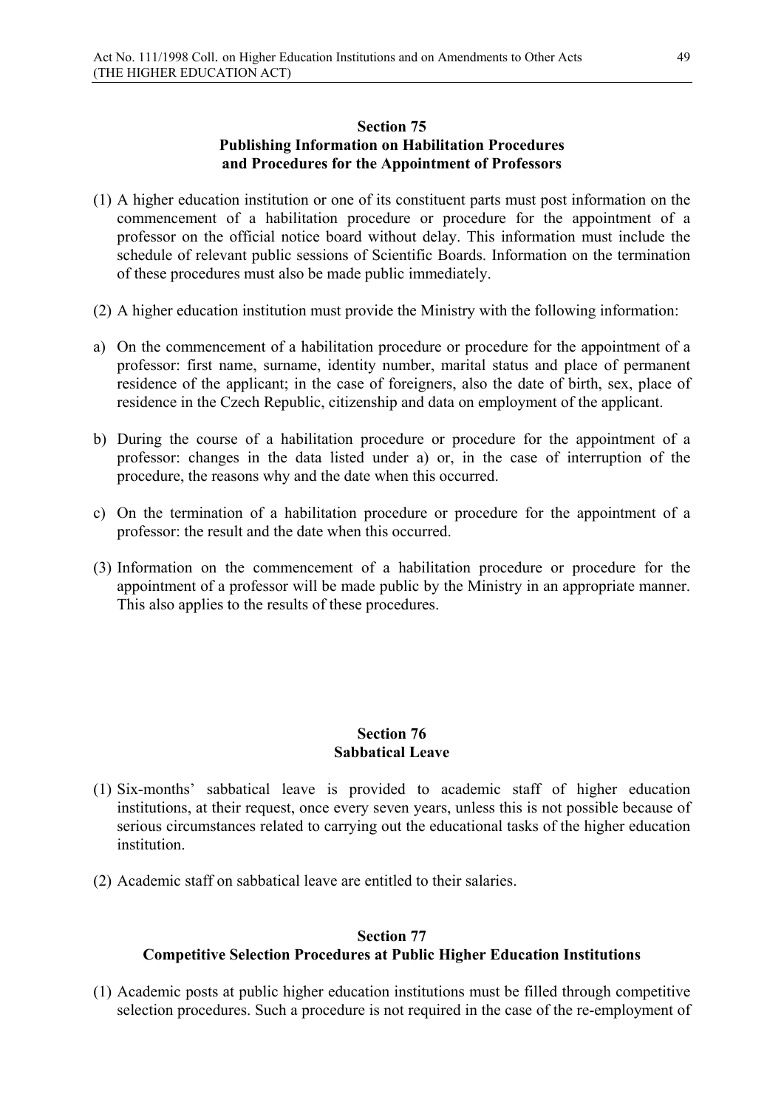## **Section 75 Publishing Information on Habilitation Procedures and Procedures for the Appointment of Professors**

- (1) A higher education institution or one of its constituent parts must post information on the commencement of a habilitation procedure or procedure for the appointment of a professor on the official notice board without delay. This information must include the schedule of relevant public sessions of Scientific Boards. Information on the termination of these procedures must also be made public immediately.
- (2) A higher education institution must provide the Ministry with the following information:
- a) On the commencement of a habilitation procedure or procedure for the appointment of a professor: first name, surname, identity number, marital status and place of permanent residence of the applicant; in the case of foreigners, also the date of birth, sex, place of residence in the Czech Republic, citizenship and data on employment of the applicant.
- b) During the course of a habilitation procedure or procedure for the appointment of a professor: changes in the data listed under a) or, in the case of interruption of the procedure, the reasons why and the date when this occurred.
- c) On the termination of a habilitation procedure or procedure for the appointment of a professor: the result and the date when this occurred.
- (3) Information on the commencement of a habilitation procedure or procedure for the appointment of a professor will be made public by the Ministry in an appropriate manner. This also applies to the results of these procedures.

## **Section 76 Sabbatical Leave**

- (1) Six-months' sabbatical leave is provided to academic staff of higher education institutions, at their request, once every seven years, unless this is not possible because of serious circumstances related to carrying out the educational tasks of the higher education *institution*
- (2) Academic staff on sabbatical leave are entitled to their salaries.

#### **Section 77**

#### **Competitive Selection Procedures at Public Higher Education Institutions**

(1) Academic posts at public higher education institutions must be filled through competitive selection procedures. Such a procedure is not required in the case of the re-employment of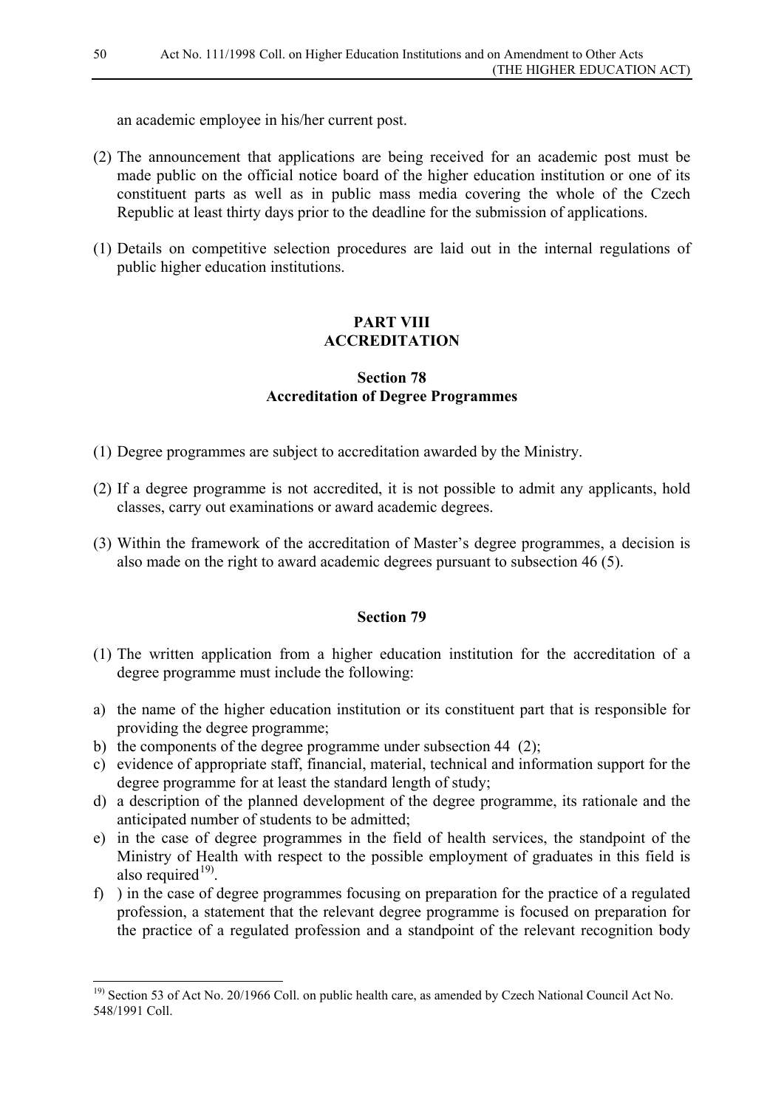an academic employee in his/her current post.

- (2) The announcement that applications are being received for an academic post must be made public on the official notice board of the higher education institution or one of its constituent parts as well as in public mass media covering the whole of the Czech Republic at least thirty days prior to the deadline for the submission of applications.
- (1) Details on competitive selection procedures are laid out in the internal regulations of public higher education institutions.

## **PART VIII ACCREDITATION**

## **Section 78 Accreditation of Degree Programmes**

- (1) Degree programmes are subject to accreditation awarded by the Ministry.
- (2) If a degree programme is not accredited, it is not possible to admit any applicants, hold classes, carry out examinations or award academic degrees.
- (3) Within the framework of the accreditation of Master's degree programmes, a decision is also made on the right to award academic degrees pursuant to subsection 46 (5).

- (1) The written application from a higher education institution for the accreditation of a degree programme must include the following:
- a) the name of the higher education institution or its constituent part that is responsible for providing the degree programme;
- b) the components of the degree programme under subsection 44 (2);
- c) evidence of appropriate staff, financial, material, technical and information support for the degree programme for at least the standard length of study;
- d) a description of the planned development of the degree programme, its rationale and the anticipated number of students to be admitted;
- e) in the case of degree programmes in the field of health services, the standpoint of the Ministry of Health with respect to the possible employment of graduates in this field is also required $19$ .
- f) ) in the case of degree programmes focusing on preparation for the practice of a regulated profession, a statement that the relevant degree programme is focused on preparation for the practice of a regulated profession and a standpoint of the relevant recognition body

<span id="page-49-0"></span><sup>&</sup>lt;sup>19)</sup> Section 53 of Act No. 20/1966 Coll. on public health care, as amended by Czech National Council Act No. 548/1991 Coll.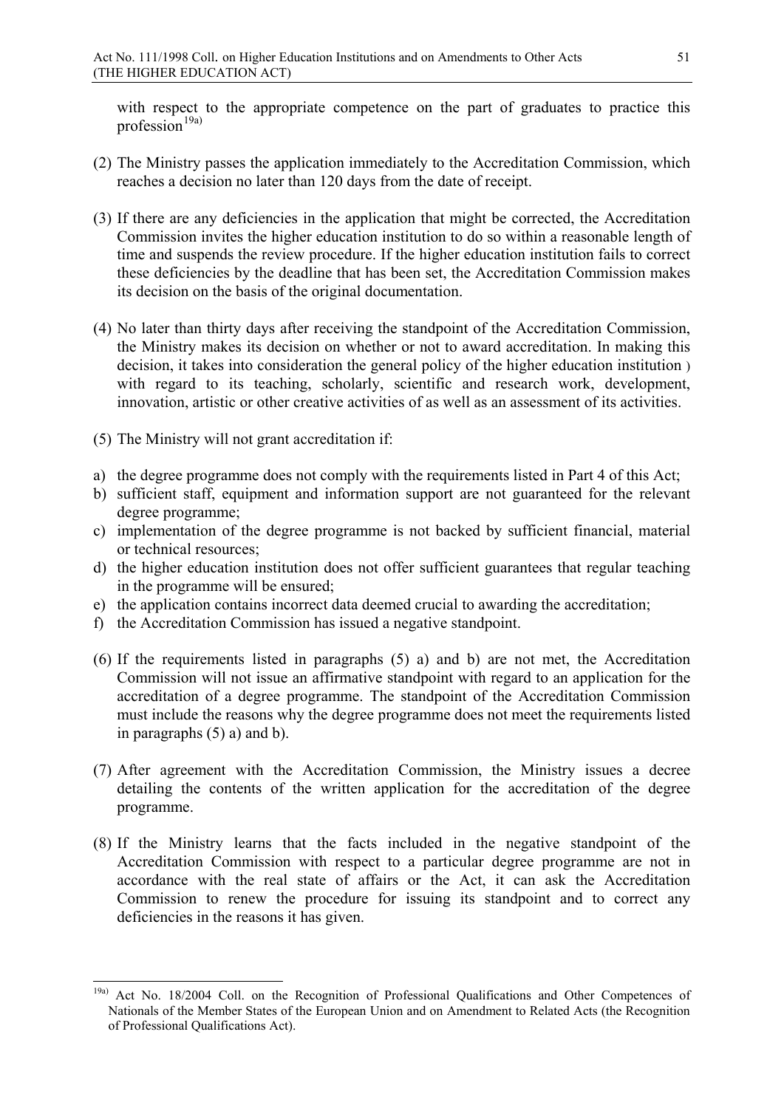with respect to the appropriate competence on the part of graduates to practice this profession $19a)$ 

- (2) The Ministry passes the application immediately to the Accreditation Commission, which reaches a decision no later than 120 days from the date of receipt.
- (3) If there are any deficiencies in the application that might be corrected, the Accreditation Commission invites the higher education institution to do so within a reasonable length of time and suspends the review procedure. If the higher education institution fails to correct these deficiencies by the deadline that has been set, the Accreditation Commission makes its decision on the basis of the original documentation.
- (4) No later than thirty days after receiving the standpoint of the Accreditation Commission, the Ministry makes its decision on whether or not to award accreditation. In making this decision, it takes into consideration the general policy of the higher education institution ) with regard to its teaching, scholarly, scientific and research work, development, innovation, artistic or other creative activities of as well as an assessment of its activities.
- (5) The Ministry will not grant accreditation if:
- a) the degree programme does not comply with the requirements listed in Part 4 of this Act;
- b) sufficient staff, equipment and information support are not guaranteed for the relevant degree programme;
- c) implementation of the degree programme is not backed by sufficient financial, material or technical resources;
- d) the higher education institution does not offer sufficient guarantees that regular teaching in the programme will be ensured;
- e) the application contains incorrect data deemed crucial to awarding the accreditation;
- f) the Accreditation Commission has issued a negative standpoint.
- (6) If the requirements listed in paragraphs (5) a) and b) are not met, the Accreditation Commission will not issue an affirmative standpoint with regard to an application for the accreditation of a degree programme. The standpoint of the Accreditation Commission must include the reasons why the degree programme does not meet the requirements listed in paragraphs (5) a) and b).
- (7) After agreement with the Accreditation Commission, the Ministry issues a decree detailing the contents of the written application for the accreditation of the degree programme.
- (8) If the Ministry learns that the facts included in the negative standpoint of the Accreditation Commission with respect to a particular degree programme are not in accordance with the real state of affairs or the Act, it can ask the Accreditation Commission to renew the procedure for issuing its standpoint and to correct any deficiencies in the reasons it has given.

<span id="page-50-0"></span> <sup>19</sup>a) Act No. 18/2004 Coll. on the Recognition of Professional Qualifications and Other Competences of Nationals of the Member States of the European Union and on Amendment to Related Acts (the Recognition of Professional Qualifications Act).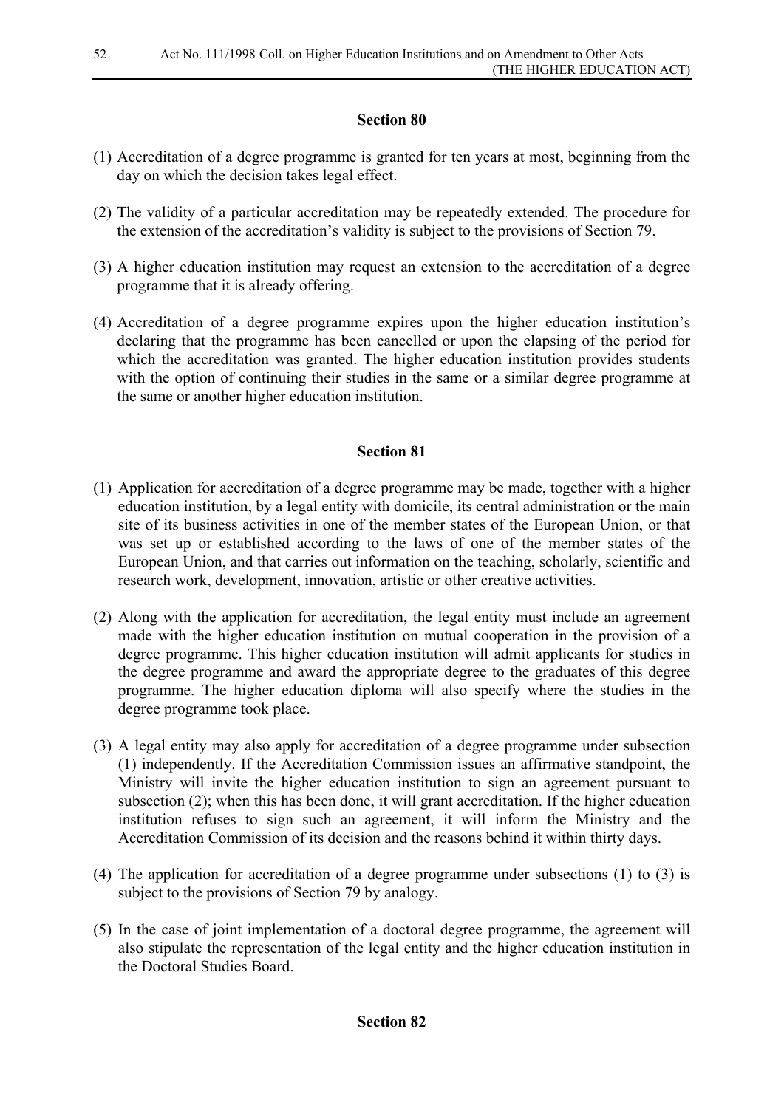- (1) Accreditation of a degree programme is granted for ten years at most, beginning from the day on which the decision takes legal effect.
- (2) The validity of a particular accreditation may be repeatedly extended. The procedure for the extension of the accreditation's validity is subject to the provisions of Section 79.
- (3) A higher education institution may request an extension to the accreditation of a degree programme that it is already offering.
- (4) Accreditation of a degree programme expires upon the higher education institution's declaring that the programme has been cancelled or upon the elapsing of the period for which the accreditation was granted. The higher education institution provides students with the option of continuing their studies in the same or a similar degree programme at the same or another higher education institution.

- (1) Application for accreditation of a degree programme may be made, together with a higher education institution, by a legal entity with domicile, its central administration or the main site of its business activities in one of the member states of the European Union, or that was set up or established according to the laws of one of the member states of the European Union, and that carries out information on the teaching, scholarly, scientific and research work, development, innovation, artistic or other creative activities.
- (2) Along with the application for accreditation, the legal entity must include an agreement made with the higher education institution on mutual cooperation in the provision of a degree programme. This higher education institution will admit applicants for studies in the degree programme and award the appropriate degree to the graduates of this degree programme. The higher education diploma will also specify where the studies in the degree programme took place.
- (3) A legal entity may also apply for accreditation of a degree programme under subsection (1) independently. If the Accreditation Commission issues an affirmative standpoint, the Ministry will invite the higher education institution to sign an agreement pursuant to subsection (2); when this has been done, it will grant accreditation. If the higher education institution refuses to sign such an agreement, it will inform the Ministry and the Accreditation Commission of its decision and the reasons behind it within thirty days.
- (4) The application for accreditation of a degree programme under subsections (1) to (3) is subject to the provisions of Section 79 by analogy.
- (5) In the case of joint implementation of a doctoral degree programme, the agreement will also stipulate the representation of the legal entity and the higher education institution in the Doctoral Studies Board.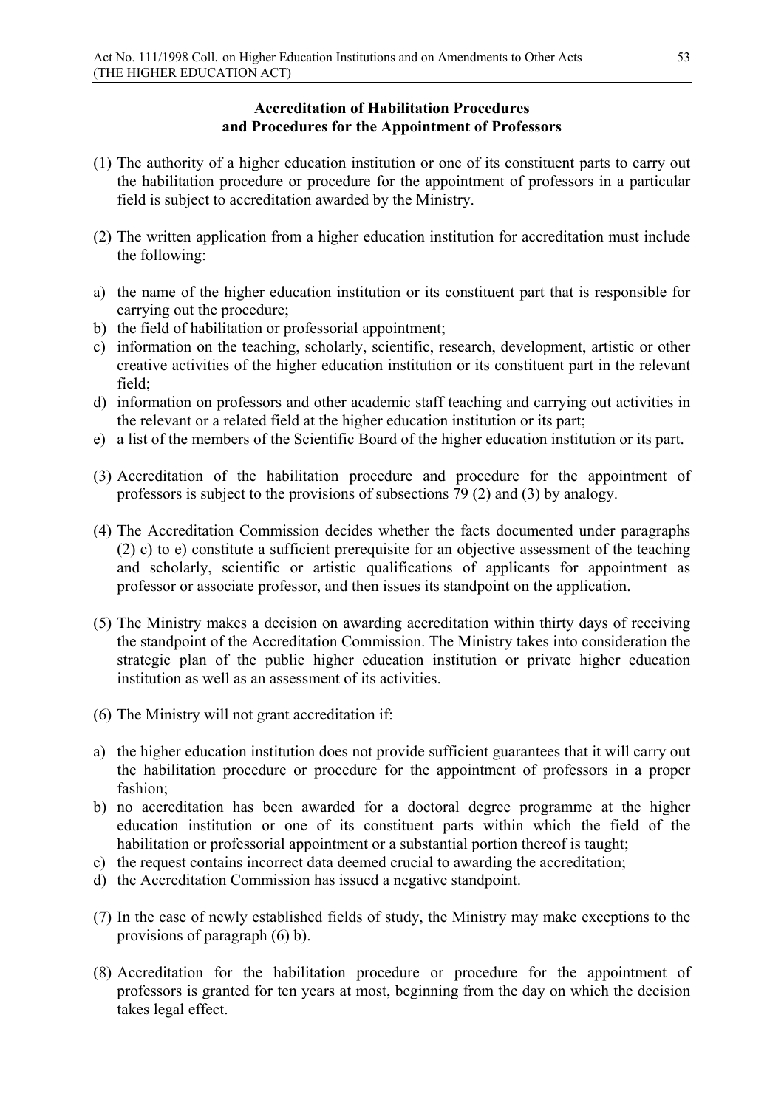# **Accreditation of Habilitation Procedures and Procedures for the Appointment of Professors**

- (1) The authority of a higher education institution or one of its constituent parts to carry out the habilitation procedure or procedure for the appointment of professors in a particular field is subject to accreditation awarded by the Ministry.
- (2) The written application from a higher education institution for accreditation must include the following:
- a) the name of the higher education institution or its constituent part that is responsible for carrying out the procedure;
- b) the field of habilitation or professorial appointment;
- c) information on the teaching, scholarly, scientific, research, development, artistic or other creative activities of the higher education institution or its constituent part in the relevant field;
- d) information on professors and other academic staff teaching and carrying out activities in the relevant or a related field at the higher education institution or its part;
- e) a list of the members of the Scientific Board of the higher education institution or its part.
- (3) Accreditation of the habilitation procedure and procedure for the appointment of professors is subject to the provisions of subsections 79 (2) and (3) by analogy.
- (4) The Accreditation Commission decides whether the facts documented under paragraphs (2) c) to e) constitute a sufficient prerequisite for an objective assessment of the teaching and scholarly, scientific or artistic qualifications of applicants for appointment as professor or associate professor, and then issues its standpoint on the application.
- (5) The Ministry makes a decision on awarding accreditation within thirty days of receiving the standpoint of the Accreditation Commission. The Ministry takes into consideration the strategic plan of the public higher education institution or private higher education institution as well as an assessment of its activities.
- (6) The Ministry will not grant accreditation if:
- a) the higher education institution does not provide sufficient guarantees that it will carry out the habilitation procedure or procedure for the appointment of professors in a proper fashion;
- b) no accreditation has been awarded for a doctoral degree programme at the higher education institution or one of its constituent parts within which the field of the habilitation or professorial appointment or a substantial portion thereof is taught;
- c) the request contains incorrect data deemed crucial to awarding the accreditation;
- d) the Accreditation Commission has issued a negative standpoint.
- (7) In the case of newly established fields of study, the Ministry may make exceptions to the provisions of paragraph (6) b).
- (8) Accreditation for the habilitation procedure or procedure for the appointment of professors is granted for ten years at most, beginning from the day on which the decision takes legal effect.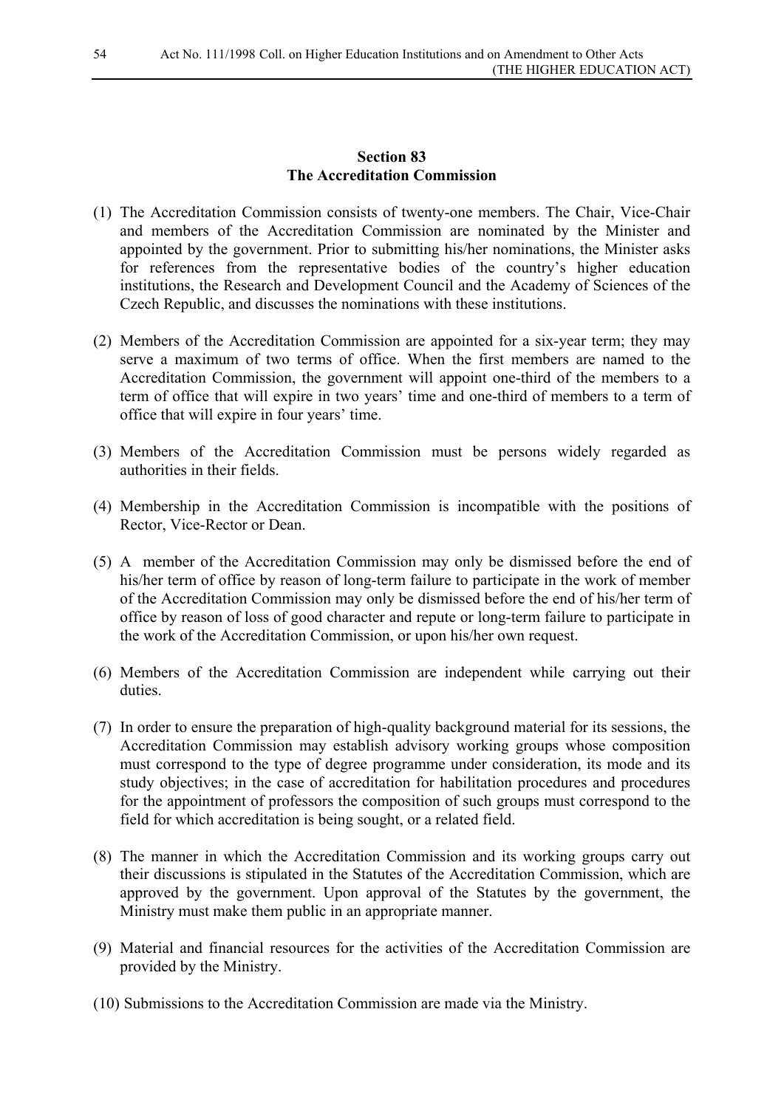## **Section 83 The Accreditation Commission**

- (1) The Accreditation Commission consists of twenty-one members. The Chair, Vice-Chair and members of the Accreditation Commission are nominated by the Minister and appointed by the government. Prior to submitting his/her nominations, the Minister asks for references from the representative bodies of the country's higher education institutions, the Research and Development Council and the Academy of Sciences of the Czech Republic, and discusses the nominations with these institutions.
- (2) Members of the Accreditation Commission are appointed for a six-year term; they may serve a maximum of two terms of office. When the first members are named to the Accreditation Commission, the government will appoint one-third of the members to a term of office that will expire in two years' time and one-third of members to a term of office that will expire in four years' time.
- (3) Members of the Accreditation Commission must be persons widely regarded as authorities in their fields.
- (4) Membership in the Accreditation Commission is incompatible with the positions of Rector, Vice-Rector or Dean.
- (5) A member of the Accreditation Commission may only be dismissed before the end of his/her term of office by reason of long-term failure to participate in the work of member of the Accreditation Commission may only be dismissed before the end of his/her term of office by reason of loss of good character and repute or long-term failure to participate in the work of the Accreditation Commission, or upon his/her own request.
- (6) Members of the Accreditation Commission are independent while carrying out their duties.
- (7) In order to ensure the preparation of high-quality background material for its sessions, the Accreditation Commission may establish advisory working groups whose composition must correspond to the type of degree programme under consideration, its mode and its study objectives; in the case of accreditation for habilitation procedures and procedures for the appointment of professors the composition of such groups must correspond to the field for which accreditation is being sought, or a related field.
- (8) The manner in which the Accreditation Commission and its working groups carry out their discussions is stipulated in the Statutes of the Accreditation Commission, which are approved by the government. Upon approval of the Statutes by the government, the Ministry must make them public in an appropriate manner.
- (9) Material and financial resources for the activities of the Accreditation Commission are provided by the Ministry.
- (10) Submissions to the Accreditation Commission are made via the Ministry.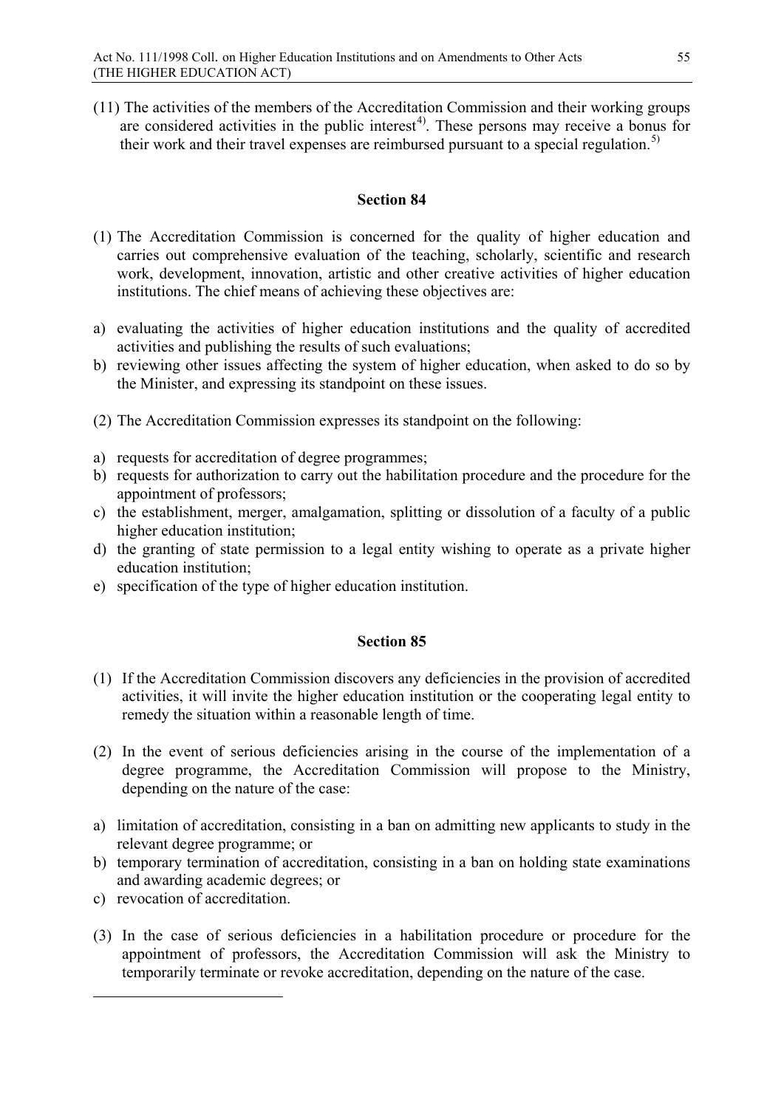(11) The activities of the members of the Accreditation Commission and their working groups are considered activities in the public interest<sup>4)</sup>. These persons may receive a bonus for their work and their travel expenses are reimbursed pursuant to a special regulation.<sup>[5\)](#page-54-1)</sup>

## **Section 84**

- (1) The Accreditation Commission is concerned for the quality of higher education and carries out comprehensive evaluation of the teaching, scholarly, scientific and research work, development, innovation, artistic and other creative activities of higher education institutions. The chief means of achieving these objectives are:
- a) evaluating the activities of higher education institutions and the quality of accredited activities and publishing the results of such evaluations;
- b) reviewing other issues affecting the system of higher education, when asked to do so by the Minister, and expressing its standpoint on these issues.
- (2) The Accreditation Commission expresses its standpoint on the following:
- a) requests for accreditation of degree programmes;
- b) requests for authorization to carry out the habilitation procedure and the procedure for the appointment of professors;
- c) the establishment, merger, amalgamation, splitting or dissolution of a faculty of a public higher education institution;
- d) the granting of state permission to a legal entity wishing to operate as a private higher education institution;
- e) specification of the type of higher education institution.

## **Section 85**

- (1) If the Accreditation Commission discovers any deficiencies in the provision of accredited activities, it will invite the higher education institution or the cooperating legal entity to remedy the situation within a reasonable length of time.
- (2) In the event of serious deficiencies arising in the course of the implementation of a degree programme, the Accreditation Commission will propose to the Ministry, depending on the nature of the case:
- a) limitation of accreditation, consisting in a ban on admitting new applicants to study in the relevant degree programme; or
- b) temporary termination of accreditation, consisting in a ban on holding state examinations and awarding academic degrees; or
- c) revocation of accreditation.

<span id="page-54-1"></span><span id="page-54-0"></span>-

(3) In the case of serious deficiencies in a habilitation procedure or procedure for the appointment of professors, the Accreditation Commission will ask the Ministry to temporarily terminate or revoke accreditation, depending on the nature of the case.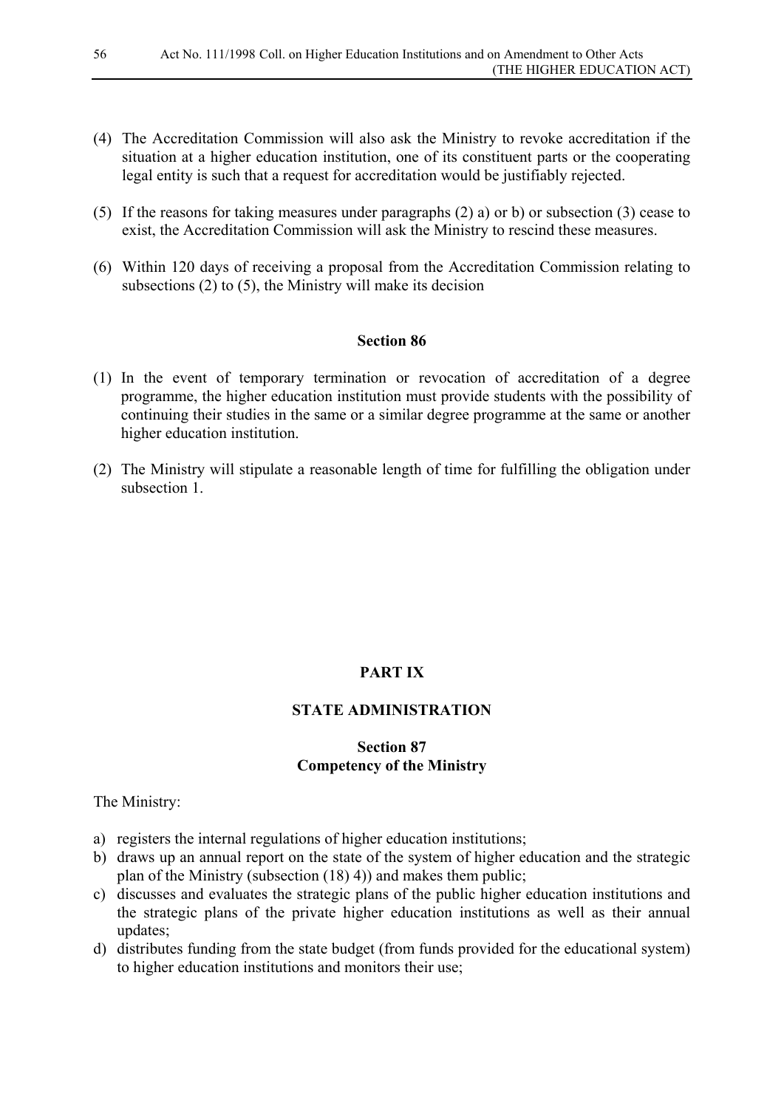- (4) The Accreditation Commission will also ask the Ministry to revoke accreditation if the situation at a higher education institution, one of its constituent parts or the cooperating legal entity is such that a request for accreditation would be justifiably rejected.
- (5) If the reasons for taking measures under paragraphs (2) a) or b) or subsection (3) cease to exist, the Accreditation Commission will ask the Ministry to rescind these measures.
- (6) Within 120 days of receiving a proposal from the Accreditation Commission relating to subsections (2) to (5), the Ministry will make its decision

- (1) In the event of temporary termination or revocation of accreditation of a degree programme, the higher education institution must provide students with the possibility of continuing their studies in the same or a similar degree programme at the same or another higher education institution.
- (2) The Ministry will stipulate a reasonable length of time for fulfilling the obligation under subsection 1

# **PART IX**

## **STATE ADMINISTRATION**

## **Section 87 Competency of the Ministry**

The Ministry:

- a) registers the internal regulations of higher education institutions;
- b) draws up an annual report on the state of the system of higher education and the strategic plan of the Ministry (subsection (18) 4)) and makes them public;
- c) discusses and evaluates the strategic plans of the public higher education institutions and the strategic plans of the private higher education institutions as well as their annual updates;
- d) distributes funding from the state budget (from funds provided for the educational system) to higher education institutions and monitors their use;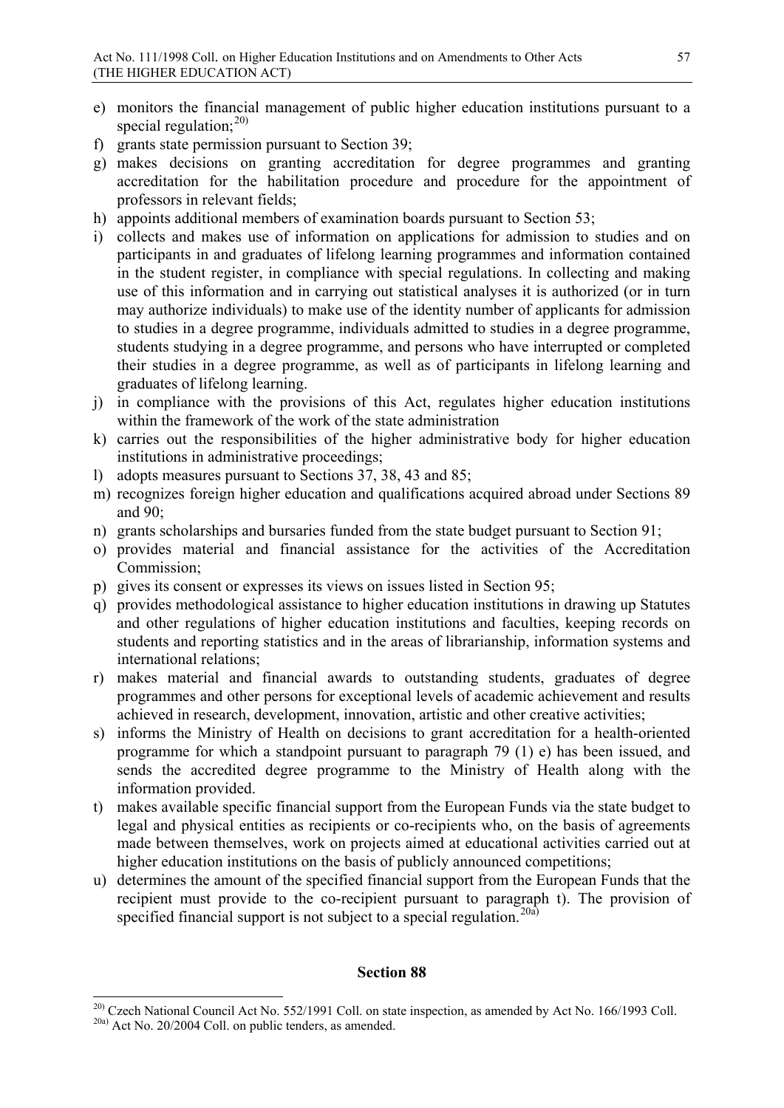- e) monitors the financial management of public higher education institutions pursuant to a special regulation: $^{20)}$  $^{20)}$  $^{20)}$
- f) grants state permission pursuant to Section 39;
- g) makes decisions on granting accreditation for degree programmes and granting accreditation for the habilitation procedure and procedure for the appointment of professors in relevant fields;
- h) appoints additional members of examination boards pursuant to Section 53;
- i) collects and makes use of information on applications for admission to studies and on participants in and graduates of lifelong learning programmes and information contained in the student register, in compliance with special regulations. In collecting and making use of this information and in carrying out statistical analyses it is authorized (or in turn may authorize individuals) to make use of the identity number of applicants for admission to studies in a degree programme, individuals admitted to studies in a degree programme, students studying in a degree programme, and persons who have interrupted or completed their studies in a degree programme, as well as of participants in lifelong learning and graduates of lifelong learning.
- j) in compliance with the provisions of this Act, regulates higher education institutions within the framework of the work of the state administration
- k) carries out the responsibilities of the higher administrative body for higher education institutions in administrative proceedings;
- l) adopts measures pursuant to Sections 37, 38, 43 and 85;
- m) recognizes foreign higher education and qualifications acquired abroad under Sections 89 and 90;
- n) grants scholarships and bursaries funded from the state budget pursuant to Section 91;
- o) provides material and financial assistance for the activities of the Accreditation Commission;
- p) gives its consent or expresses its views on issues listed in Section 95;
- q) provides methodological assistance to higher education institutions in drawing up Statutes and other regulations of higher education institutions and faculties, keeping records on students and reporting statistics and in the areas of librarianship, information systems and international relations;
- r) makes material and financial awards to outstanding students, graduates of degree programmes and other persons for exceptional levels of academic achievement and results achieved in research, development, innovation, artistic and other creative activities;
- s) informs the Ministry of Health on decisions to grant accreditation for a health-oriented programme for which a standpoint pursuant to paragraph 79 (1) e) has been issued, and sends the accredited degree programme to the Ministry of Health along with the information provided.
- t) makes available specific financial support from the European Funds via the state budget to legal and physical entities as recipients or co-recipients who, on the basis of agreements made between themselves, work on projects aimed at educational activities carried out at higher education institutions on the basis of publicly announced competitions;
- u) determines the amount of the specified financial support from the European Funds that the recipient must provide to the co-recipient pursuant to paragraph t). The provision of specified financial support is not subject to a special regulation.<sup>[20a\)](#page-56-1)</sup>

<span id="page-56-1"></span><span id="page-56-0"></span><sup>&</sup>lt;sup>20)</sup> Czech National Council Act No. 552/1991 Coll. on state inspection, as amended by Act No. 166/1993 Coll. 20a) Act No. 20/2004 Coll. on public tenders, as amended.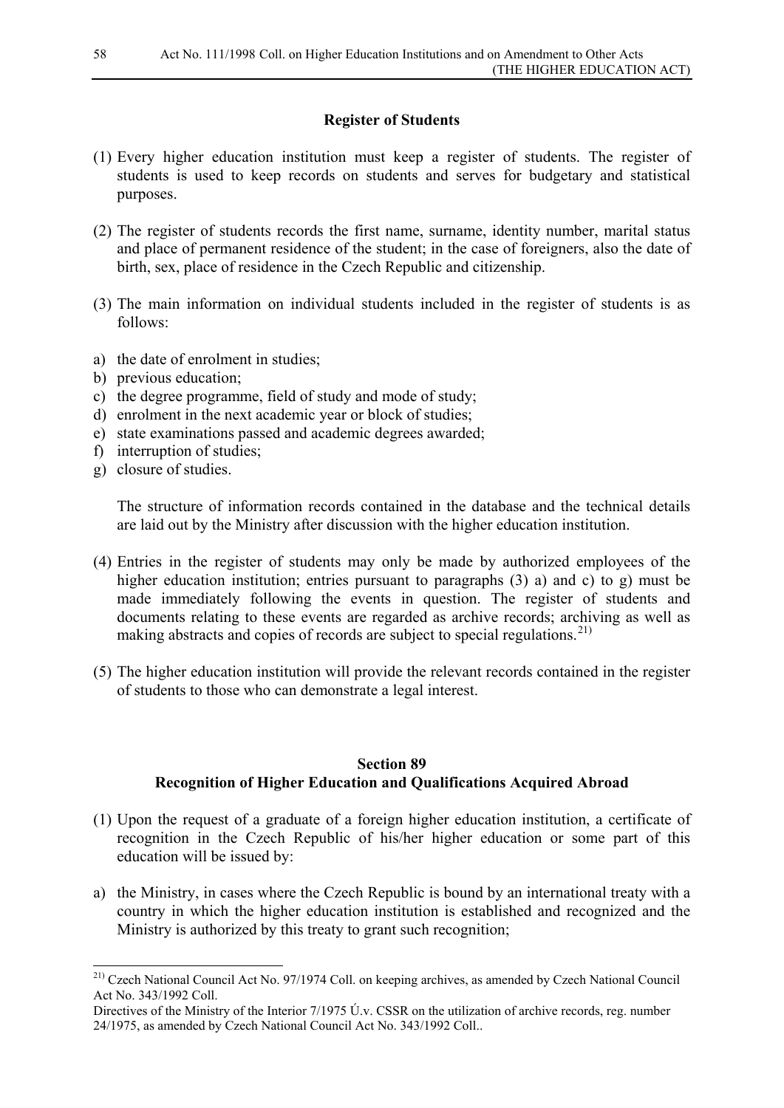# **Register of Students**

- (1) Every higher education institution must keep a register of students. The register of students is used to keep records on students and serves for budgetary and statistical purposes.
- (2) The register of students records the first name, surname, identity number, marital status and place of permanent residence of the student; in the case of foreigners, also the date of birth, sex, place of residence in the Czech Republic and citizenship.
- (3) The main information on individual students included in the register of students is as follows:
- a) the date of enrolment in studies;
- b) previous education;
- c) the degree programme, field of study and mode of study;
- d) enrolment in the next academic year or block of studies;
- e) state examinations passed and academic degrees awarded;
- f) interruption of studies;
- g) closure of studies.

The structure of information records contained in the database and the technical details are laid out by the Ministry after discussion with the higher education institution.

- (4) Entries in the register of students may only be made by authorized employees of the higher education institution; entries pursuant to paragraphs (3) a) and c) to g) must be made immediately following the events in question. The register of students and documents relating to these events are regarded as archive records; archiving as well as making abstracts and copies of records are subject to special regulations.<sup>[21\)](#page-57-0)</sup>
- (5) The higher education institution will provide the relevant records contained in the register of students to those who can demonstrate a legal interest.

# **Section 89 Recognition of Higher Education and Qualifications Acquired Abroad**

- (1) Upon the request of a graduate of a foreign higher education institution, a certificate of recognition in the Czech Republic of his/her higher education or some part of this education will be issued by:
- a) the Ministry, in cases where the Czech Republic is bound by an international treaty with a country in which the higher education institution is established and recognized and the Ministry is authorized by this treaty to grant such recognition;

<span id="page-57-0"></span><sup>&</sup>lt;sup>21)</sup> Czech National Council Act No. 97/1974 Coll. on keeping archives, as amended by Czech National Council Act No. 343/1992 Coll.

Directives of the Ministry of the Interior 7/1975 Ú.v. CSSR on the utilization of archive records, reg. number 24/1975, as amended by Czech National Council Act No. 343/1992 Coll..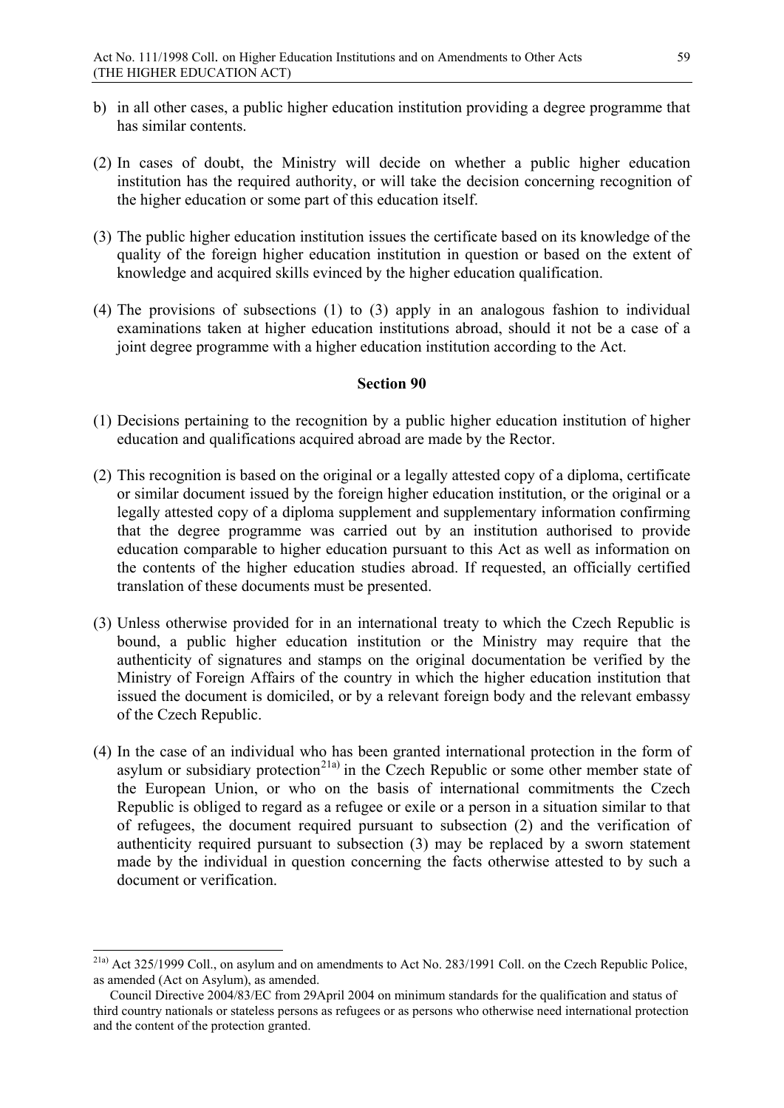- b) in all other cases, a public higher education institution providing a degree programme that has similar contents.
- (2) In cases of doubt, the Ministry will decide on whether a public higher education institution has the required authority, or will take the decision concerning recognition of the higher education or some part of this education itself.
- (3) The public higher education institution issues the certificate based on its knowledge of the quality of the foreign higher education institution in question or based on the extent of knowledge and acquired skills evinced by the higher education qualification.
- (4) The provisions of subsections (1) to (3) apply in an analogous fashion to individual examinations taken at higher education institutions abroad, should it not be a case of a joint degree programme with a higher education institution according to the Act.

- (1) Decisions pertaining to the recognition by a public higher education institution of higher education and qualifications acquired abroad are made by the Rector.
- (2) This recognition is based on the original or a legally attested copy of a diploma, certificate or similar document issued by the foreign higher education institution, or the original or a legally attested copy of a diploma supplement and supplementary information confirming that the degree programme was carried out by an institution authorised to provide education comparable to higher education pursuant to this Act as well as information on the contents of the higher education studies abroad. If requested, an officially certified translation of these documents must be presented.
- (3) Unless otherwise provided for in an international treaty to which the Czech Republic is bound, a public higher education institution or the Ministry may require that the authenticity of signatures and stamps on the original documentation be verified by the Ministry of Foreign Affairs of the country in which the higher education institution that issued the document is domiciled, or by a relevant foreign body and the relevant embassy of the Czech Republic.
- (4) In the case of an individual who has been granted international protection in the form of asylum or subsidiary protection<sup>[21a\)](#page-58-0)</sup> in the Czech Republic or some other member state of the European Union, or who on the basis of international commitments the Czech Republic is obliged to regard as a refugee or exile or a person in a situation similar to that of refugees, the document required pursuant to subsection (2) and the verification of authenticity required pursuant to subsection (3) may be replaced by a sworn statement made by the individual in question concerning the facts otherwise attested to by such a document or verification.

<span id="page-58-0"></span> <sup>21</sup>a) Act 325/1999 Coll., on asylum and on amendments to Act No. 283/1991 Coll. on the Czech Republic Police, as amended (Act on Asylum), as amended.

Council Directive 2004/83/EC from 29April 2004 on minimum standards for the qualification and status of third country nationals or stateless persons as refugees or as persons who otherwise need international protection and the content of the protection granted.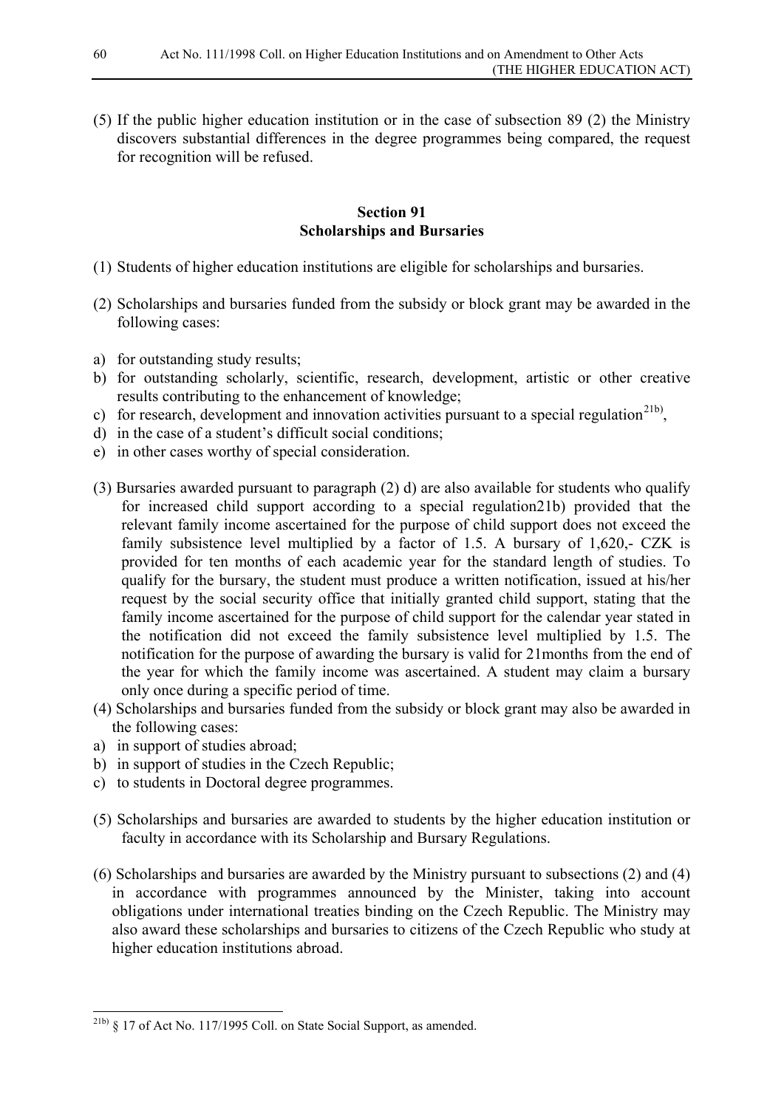(5) If the public higher education institution or in the case of subsection 89 (2) the Ministry discovers substantial differences in the degree programmes being compared, the request for recognition will be refused.

## **Section 91 Scholarships and Bursaries**

- (1) Students of higher education institutions are eligible for scholarships and bursaries.
- (2) Scholarships and bursaries funded from the subsidy or block grant may be awarded in the following cases:
- a) for outstanding study results;
- b) for outstanding scholarly, scientific, research, development, artistic or other creative results contributing to the enhancement of knowledge;
- c) for research, development and innovation activities pursuant to a special regulation<sup>21b)</sup>.
- d) in the case of a student's difficult social conditions;
- e) in other cases worthy of special consideration.
- (3) Bursaries awarded pursuant to paragraph (2) d) are also available for students who qualify for increased child support according to a special regulation21b) provided that the relevant family income ascertained for the purpose of child support does not exceed the family subsistence level multiplied by a factor of 1.5. A bursary of 1,620,- CZK is provided for ten months of each academic year for the standard length of studies. To qualify for the bursary, the student must produce a written notification, issued at his/her request by the social security office that initially granted child support, stating that the family income ascertained for the purpose of child support for the calendar year stated in the notification did not exceed the family subsistence level multiplied by 1.5. The notification for the purpose of awarding the bursary is valid for 21months from the end of the year for which the family income was ascertained. A student may claim a bursary only once during a specific period of time.
- (4) Scholarships and bursaries funded from the subsidy or block grant may also be awarded in the following cases:
- a) in support of studies abroad;
- b) in support of studies in the Czech Republic;
- c) to students in Doctoral degree programmes.
- (5) Scholarships and bursaries are awarded to students by the higher education institution or faculty in accordance with its Scholarship and Bursary Regulations.
- (6) Scholarships and bursaries are awarded by the Ministry pursuant to subsections (2) and (4) in accordance with programmes announced by the Minister, taking into account obligations under international treaties binding on the Czech Republic. The Ministry may also award these scholarships and bursaries to citizens of the Czech Republic who study at higher education institutions abroad.

<span id="page-59-0"></span> $^{21b}$  § 17 of Act No. 117/1995 Coll. on State Social Support, as amended.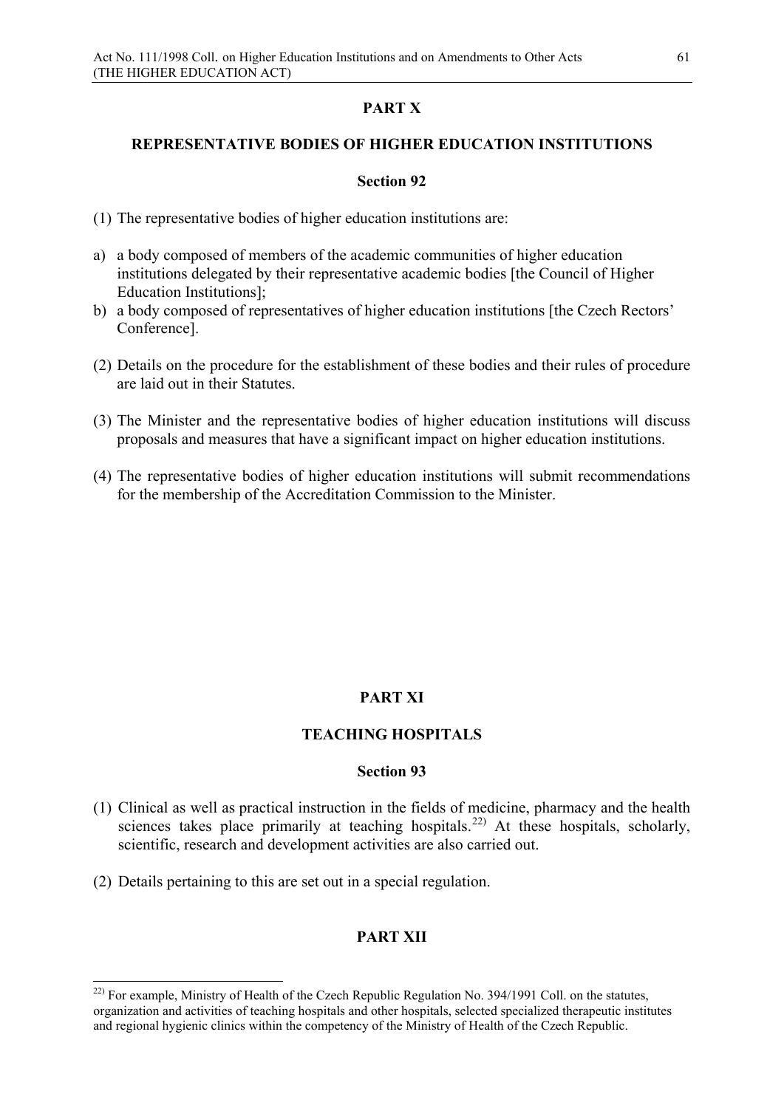# **PART X**

## **REPRESENTATIVE BODIES OF HIGHER EDUCATION INSTITUTIONS**

## **Section 92**

- (1) The representative bodies of higher education institutions are:
- a) a body composed of members of the academic communities of higher education institutions delegated by their representative academic bodies [the Council of Higher Education Institutions];
- b) a body composed of representatives of higher education institutions [the Czech Rectors' Conference].
- (2) Details on the procedure for the establishment of these bodies and their rules of procedure are laid out in their Statutes.
- (3) The Minister and the representative bodies of higher education institutions will discuss proposals and measures that have a significant impact on higher education institutions.
- (4) The representative bodies of higher education institutions will submit recommendations for the membership of the Accreditation Commission to the Minister.

# **PART XI**

## **TEACHING HOSPITALS**

## **Section 93**

- (1) Clinical as well as practical instruction in the fields of medicine, pharmacy and the health sciences takes place primarily at teaching hospitals.<sup>[22\)](#page-60-0)</sup> At these hospitals, scholarly, scientific, research and development activities are also carried out.
- (2) Details pertaining to this are set out in a special regulation.

## **PART XII**

<span id="page-60-0"></span><sup>&</sup>lt;sup>22)</sup> For example, Ministry of Health of the Czech Republic Regulation No. 394/1991 Coll. on the statutes, organization and activities of teaching hospitals and other hospitals, selected specialized therapeutic institutes and regional hygienic clinics within the competency of the Ministry of Health of the Czech Republic.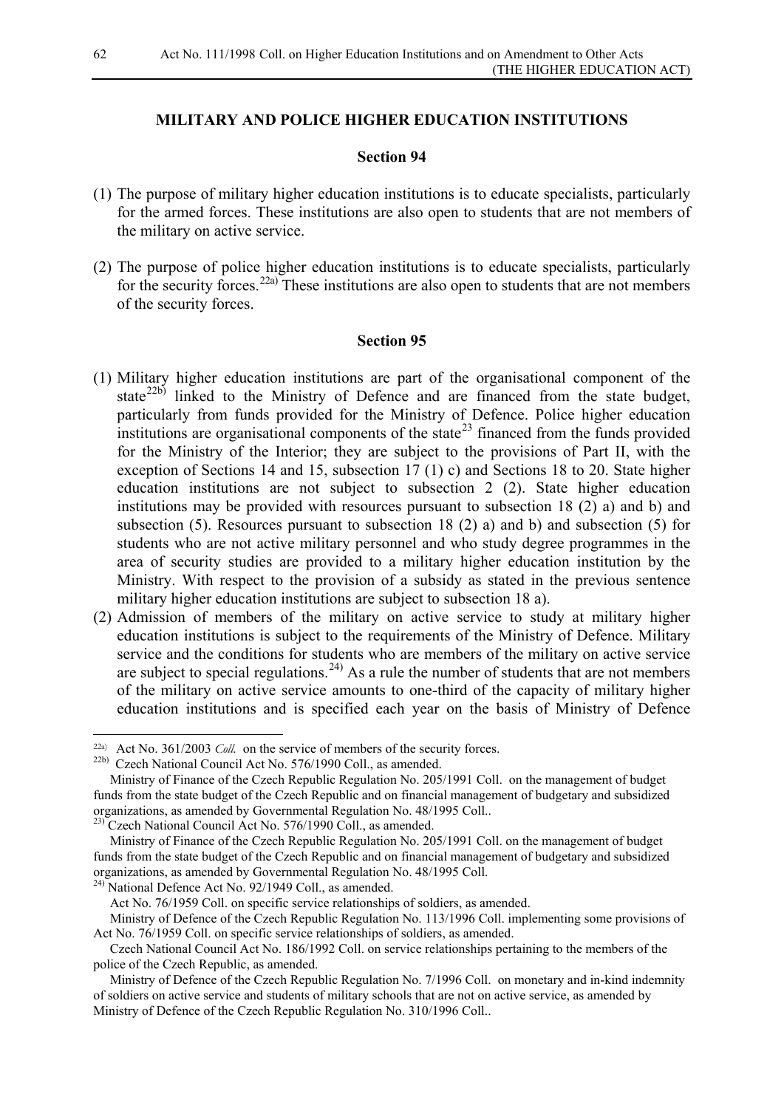#### **MILITARY AND POLICE HIGHER EDUCATION INSTITUTIONS**

#### **Section 94**

- (1) The purpose of military higher education institutions is to educate specialists, particularly for the armed forces. These institutions are also open to students that are not members of the military on active service.
- (2) The purpose of police higher education institutions is to educate specialists, particularly for the security forces.<sup>[22a\)](#page-61-0)</sup> These institutions are also open to students that are not members of the security forces.

#### **Section 95**

- (1) Military higher education institutions are part of the organisational component of the state<sup>[22b\)](#page-61-1)</sup> linked to the Ministry of Defence and are financed from the state budget, particularly from funds provided for the Ministry of Defence. Police higher education institutions are organisational components of the state<sup>[23](#page-61-2)</sup> financed from the funds provided for the Ministry of the Interior; they are subject to the provisions of Part II, with the exception of Sections 14 and 15, subsection 17 (1) c) and Sections 18 to 20. State higher education institutions are not subject to subsection 2 (2). State higher education institutions may be provided with resources pursuant to subsection 18 (2) a) and b) and subsection (5). Resources pursuant to subsection 18 (2) a) and b) and subsection (5) for students who are not active military personnel and who study degree programmes in the area of security studies are provided to a military higher education institution by the Ministry. With respect to the provision of a subsidy as stated in the previous sentence military higher education institutions are subject to subsection 18 a).
- (2) Admission of members of the military on active service to study at military higher education institutions is subject to the requirements of the Ministry of Defence. Military service and the conditions for students who are members of the military on active service are subject to special regulations.<sup>[24\)](#page-61-3)</sup> As a rule the number of students that are not members of the military on active service amounts to one-third of the capacity of military higher education institutions and is specified each year on the basis of Ministry of Defence

-

<span id="page-61-0"></span><sup>22</sup>a) Act No. 361/2003 *Coll.* on the service of members of the security forces.

<span id="page-61-1"></span><sup>22</sup>b) Czech National Council Act No. 576/1990 Coll., as amended.

Ministry of Finance of the Czech Republic Regulation No. 205/1991 Coll. on the management of budget funds from the state budget of the Czech Republic and on financial management of budgetary and subsidized organizations, as amended by Governmental Regulation No. 48/1995 Coll..

<span id="page-61-2"></span> $2^{23}$  Czech National Council Act No. 576/1990 Coll., as amended.

Ministry of Finance of the Czech Republic Regulation No. 205/1991 Coll. on the management of budget funds from the state budget of the Czech Republic and on financial management of budgetary and subsidized organizations, as amended by Governmental Regulation No. 48/1995 Coll.

<span id="page-61-3"></span><sup>24)</sup> National Defence Act No. 92/1949 Coll., as amended.

Act No. 76/1959 Coll. on specific service relationships of soldiers, as amended.

Ministry of Defence of the Czech Republic Regulation No. 113/1996 Coll. implementing some provisions of Act No. 76/1959 Coll. on specific service relationships of soldiers, as amended.

Czech National Council Act No. 186/1992 Coll. on service relationships pertaining to the members of the police of the Czech Republic, as amended.

Ministry of Defence of the Czech Republic Regulation No. 7/1996 Coll. on monetary and in-kind indemnity of soldiers on active service and students of military schools that are not on active service, as amended by Ministry of Defence of the Czech Republic Regulation No. 310/1996 Coll..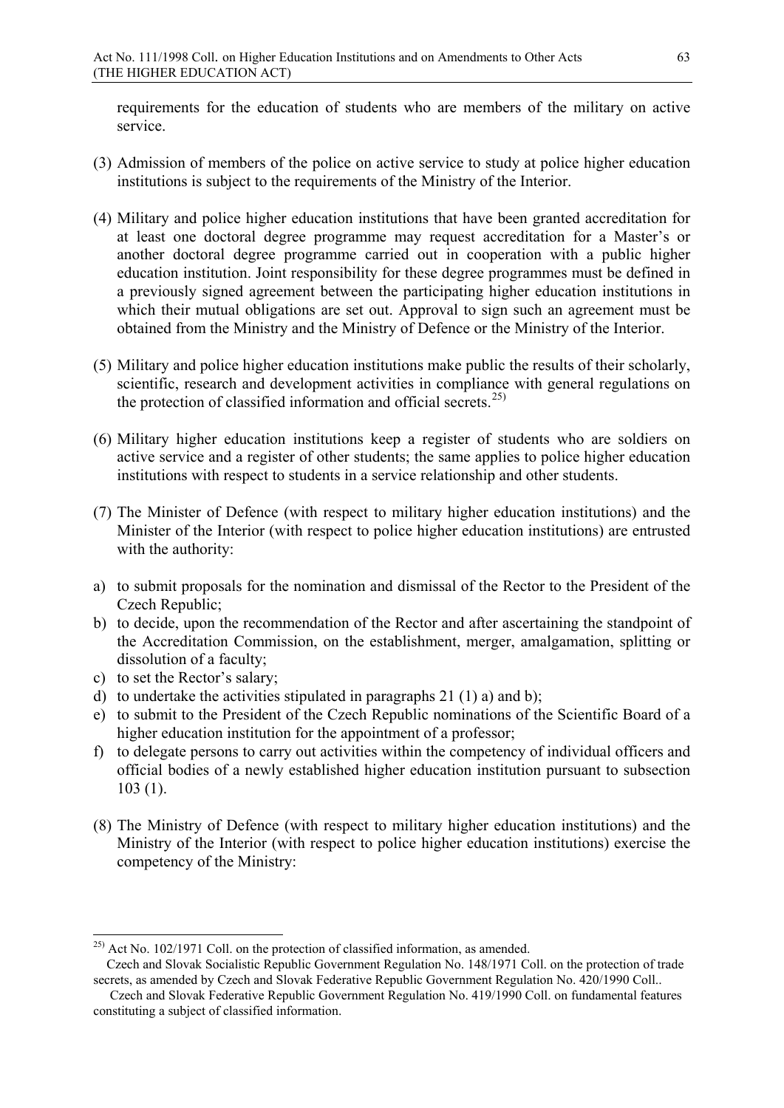requirements for the education of students who are members of the military on active service.

- (3) Admission of members of the police on active service to study at police higher education institutions is subject to the requirements of the Ministry of the Interior.
- (4) Military and police higher education institutions that have been granted accreditation for at least one doctoral degree programme may request accreditation for a Master's or another doctoral degree programme carried out in cooperation with a public higher education institution. Joint responsibility for these degree programmes must be defined in a previously signed agreement between the participating higher education institutions in which their mutual obligations are set out. Approval to sign such an agreement must be obtained from the Ministry and the Ministry of Defence or the Ministry of the Interior.
- (5) Military and police higher education institutions make public the results of their scholarly, scientific, research and development activities in compliance with general regulations on the protection of classified information and official secrets.<sup>[25\)](#page-62-0)</sup>
- (6) Military higher education institutions keep a register of students who are soldiers on active service and a register of other students; the same applies to police higher education institutions with respect to students in a service relationship and other students.
- (7) The Minister of Defence (with respect to military higher education institutions) and the Minister of the Interior (with respect to police higher education institutions) are entrusted with the authority:
- a) to submit proposals for the nomination and dismissal of the Rector to the President of the Czech Republic;
- b) to decide, upon the recommendation of the Rector and after ascertaining the standpoint of the Accreditation Commission, on the establishment, merger, amalgamation, splitting or dissolution of a faculty;
- c) to set the Rector's salary;
- d) to undertake the activities stipulated in paragraphs 21 (1) a) and b);
- e) to submit to the President of the Czech Republic nominations of the Scientific Board of a higher education institution for the appointment of a professor;
- f) to delegate persons to carry out activities within the competency of individual officers and official bodies of a newly established higher education institution pursuant to subsection 103 (1).
- (8) The Ministry of Defence (with respect to military higher education institutions) and the Ministry of the Interior (with respect to police higher education institutions) exercise the competency of the Ministry:

<span id="page-62-0"></span> $25$ ) Act No. 102/1971 Coll. on the protection of classified information, as amended.

Czech and Slovak Socialistic Republic Government Regulation No. 148/1971 Coll. on the protection of trade secrets, as amended by Czech and Slovak Federative Republic Government Regulation No. 420/1990 Coll..

Czech and Slovak Federative Republic Government Regulation No. 419/1990 Coll. on fundamental features constituting a subject of classified information.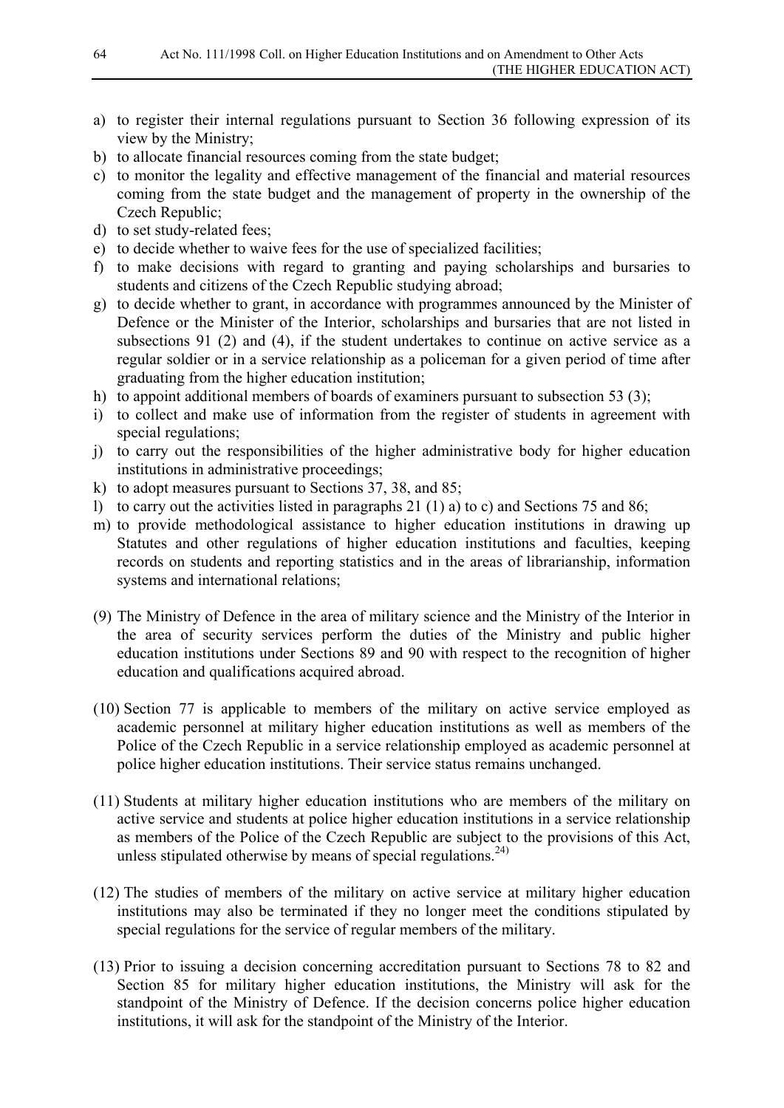- a) to register their internal regulations pursuant to Section 36 following expression of its view by the Ministry;
- b) to allocate financial resources coming from the state budget;
- c) to monitor the legality and effective management of the financial and material resources coming from the state budget and the management of property in the ownership of the Czech Republic;
- d) to set study-related fees;
- e) to decide whether to waive fees for the use of specialized facilities;
- f) to make decisions with regard to granting and paying scholarships and bursaries to students and citizens of the Czech Republic studying abroad;
- g) to decide whether to grant, in accordance with programmes announced by the Minister of Defence or the Minister of the Interior, scholarships and bursaries that are not listed in subsections 91 (2) and (4), if the student undertakes to continue on active service as a regular soldier or in a service relationship as a policeman for a given period of time after graduating from the higher education institution;
- h) to appoint additional members of boards of examiners pursuant to subsection 53 (3);
- i) to collect and make use of information from the register of students in agreement with special regulations;
- j) to carry out the responsibilities of the higher administrative body for higher education institutions in administrative proceedings;
- k) to adopt measures pursuant to Sections 37, 38, and 85;
- l) to carry out the activities listed in paragraphs 21 (1) a) to c) and Sections 75 and 86;
- m) to provide methodological assistance to higher education institutions in drawing up Statutes and other regulations of higher education institutions and faculties, keeping records on students and reporting statistics and in the areas of librarianship, information systems and international relations;
- (9) The Ministry of Defence in the area of military science and the Ministry of the Interior in the area of security services perform the duties of the Ministry and public higher education institutions under Sections 89 and 90 with respect to the recognition of higher education and qualifications acquired abroad.
- (10) Section 77 is applicable to members of the military on active service employed as academic personnel at military higher education institutions as well as members of the Police of the Czech Republic in a service relationship employed as academic personnel at police higher education institutions. Their service status remains unchanged.
- (11) Students at military higher education institutions who are members of the military on active service and students at police higher education institutions in a service relationship as members of the Police of the Czech Republic are subject to the provisions of this Act, unless stipulated otherwise by means of special regulations.<sup>24)</sup>
- (12) The studies of members of the military on active service at military higher education institutions may also be terminated if they no longer meet the conditions stipulated by special regulations for the service of regular members of the military.
- (13) Prior to issuing a decision concerning accreditation pursuant to Sections 78 to 82 and Section 85 for military higher education institutions, the Ministry will ask for the standpoint of the Ministry of Defence. If the decision concerns police higher education institutions, it will ask for the standpoint of the Ministry of the Interior.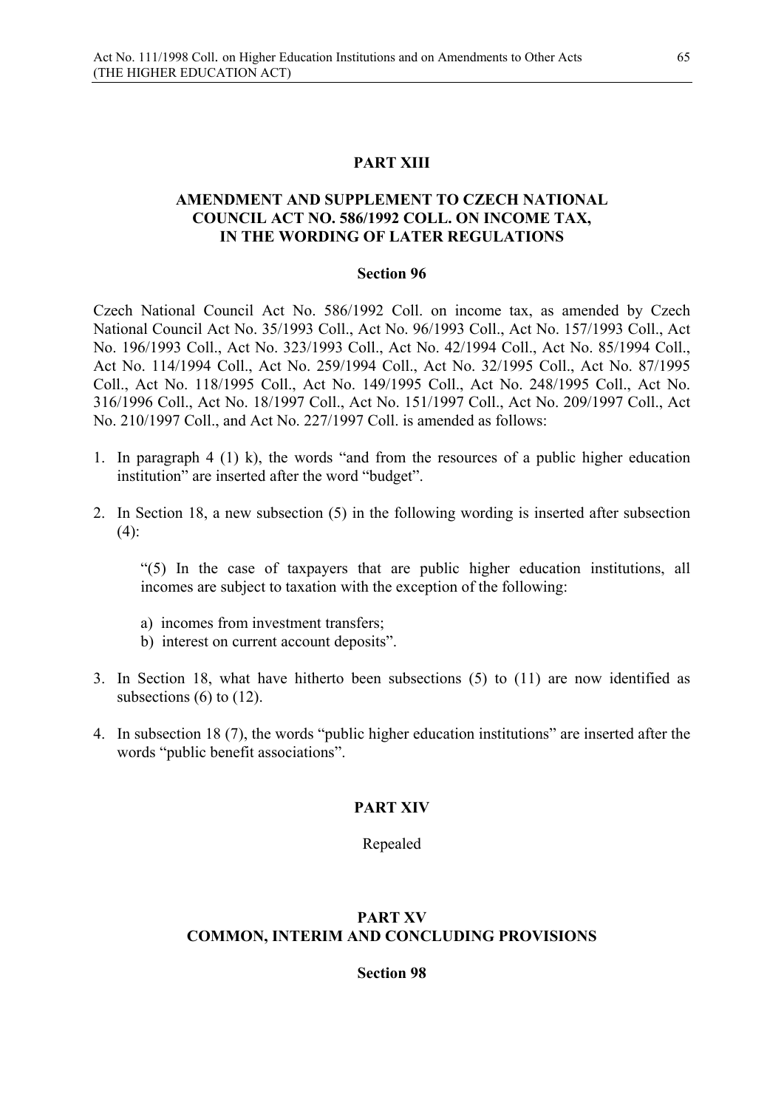#### **PART XIII**

## **AMENDMENT AND SUPPLEMENT TO CZECH NATIONAL COUNCIL ACT NO. 586/1992 COLL. ON INCOME TAX, IN THE WORDING OF LATER REGULATIONS**

#### **Section 96**

Czech National Council Act No. 586/1992 Coll. on income tax, as amended by Czech National Council Act No. 35/1993 Coll., Act No. 96/1993 Coll., Act No. 157/1993 Coll., Act No. 196/1993 Coll., Act No. 323/1993 Coll., Act No. 42/1994 Coll., Act No. 85/1994 Coll., Act No. 114/1994 Coll., Act No. 259/1994 Coll., Act No. 32/1995 Coll., Act No. 87/1995 Coll., Act No. 118/1995 Coll., Act No. 149/1995 Coll., Act No. 248/1995 Coll., Act No. 316/1996 Coll., Act No. 18/1997 Coll., Act No. 151/1997 Coll., Act No. 209/1997 Coll., Act No. 210/1997 Coll., and Act No. 227/1997 Coll. is amended as follows:

- 1. In paragraph 4 (1) k), the words "and from the resources of a public higher education institution" are inserted after the word "budget".
- 2. In Section 18, a new subsection (5) in the following wording is inserted after subsection  $(4)$ :

"(5) In the case of taxpayers that are public higher education institutions, all incomes are subject to taxation with the exception of the following:

- a) incomes from investment transfers;
- b) interest on current account deposits".
- 3. In Section 18, what have hitherto been subsections (5) to (11) are now identified as subsections  $(6)$  to  $(12)$ .
- 4. In subsection 18 (7), the words "public higher education institutions" are inserted after the words "public benefit associations".

#### **PART XIV**

Repealed

#### **PART XV COMMON, INTERIM AND CONCLUDING PROVISIONS**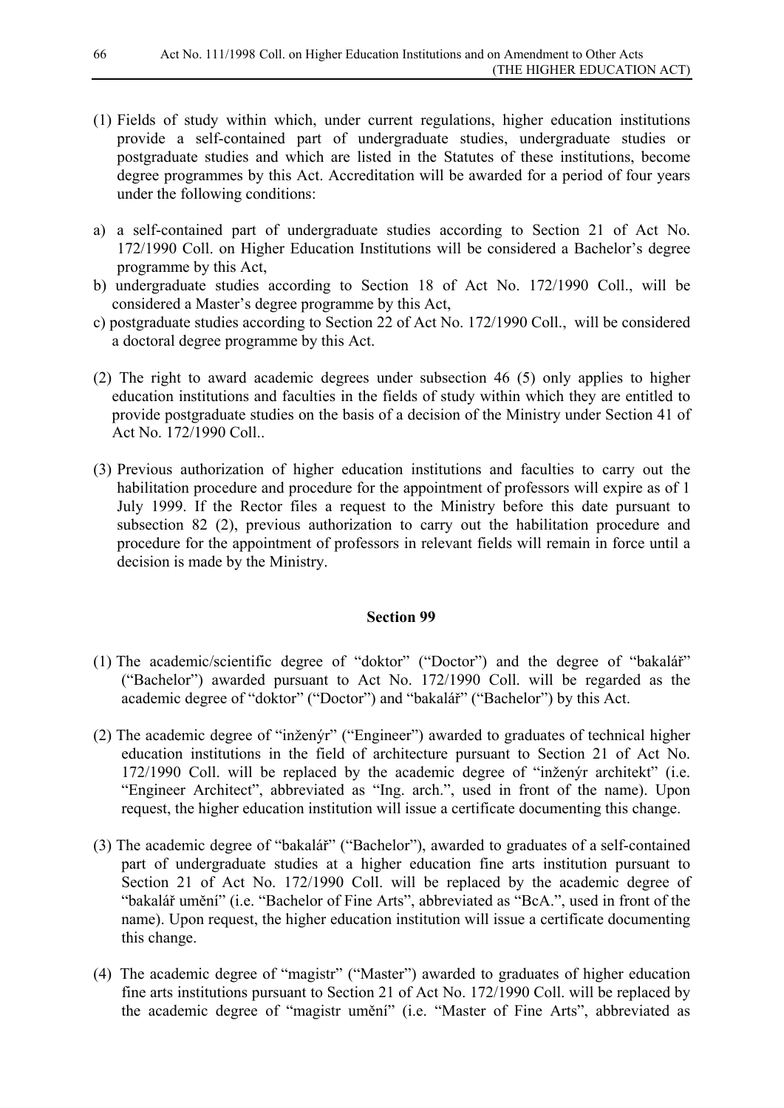- (1) Fields of study within which, under current regulations, higher education institutions provide a self-contained part of undergraduate studies, undergraduate studies or postgraduate studies and which are listed in the Statutes of these institutions, become degree programmes by this Act. Accreditation will be awarded for a period of four years under the following conditions:
- a) a self-contained part of undergraduate studies according to Section 21 of Act No. 172/1990 Coll. on Higher Education Institutions will be considered a Bachelor's degree programme by this Act,
- b) undergraduate studies according to Section 18 of Act No. 172/1990 Coll., will be considered a Master's degree programme by this Act,
- c) postgraduate studies according to Section 22 of Act No. 172/1990 Coll., will be considered a doctoral degree programme by this Act.
- (2) The right to award academic degrees under subsection 46 (5) only applies to higher education institutions and faculties in the fields of study within which they are entitled to provide postgraduate studies on the basis of a decision of the Ministry under Section 41 of Act No. 172/1990 Coll..
- (3) Previous authorization of higher education institutions and faculties to carry out the habilitation procedure and procedure for the appointment of professors will expire as of 1 July 1999. If the Rector files a request to the Ministry before this date pursuant to subsection 82 (2), previous authorization to carry out the habilitation procedure and procedure for the appointment of professors in relevant fields will remain in force until a decision is made by the Ministry.

- (1) The academic/scientific degree of "doktor" ("Doctor") and the degree of "bakalář" ("Bachelor") awarded pursuant to Act No. 172/1990 Coll. will be regarded as the academic degree of "doktor" ("Doctor") and "bakalář" ("Bachelor") by this Act.
- (2) The academic degree of "inženýr" ("Engineer") awarded to graduates of technical higher education institutions in the field of architecture pursuant to Section 21 of Act No. 172/1990 Coll. will be replaced by the academic degree of "inženýr architekt" (i.e. "Engineer Architect", abbreviated as "Ing. arch.", used in front of the name). Upon request, the higher education institution will issue a certificate documenting this change.
- (3) The academic degree of "bakalář" ("Bachelor"), awarded to graduates of a self-contained part of undergraduate studies at a higher education fine arts institution pursuant to Section 21 of Act No. 172/1990 Coll. will be replaced by the academic degree of "bakalář umění" (i.e. "Bachelor of Fine Arts", abbreviated as "BcA.", used in front of the name). Upon request, the higher education institution will issue a certificate documenting this change.
- (4) The academic degree of "magistr" ("Master") awarded to graduates of higher education fine arts institutions pursuant to Section 21 of Act No. 172/1990 Coll. will be replaced by the academic degree of "magistr umění" (i.e. "Master of Fine Arts", abbreviated as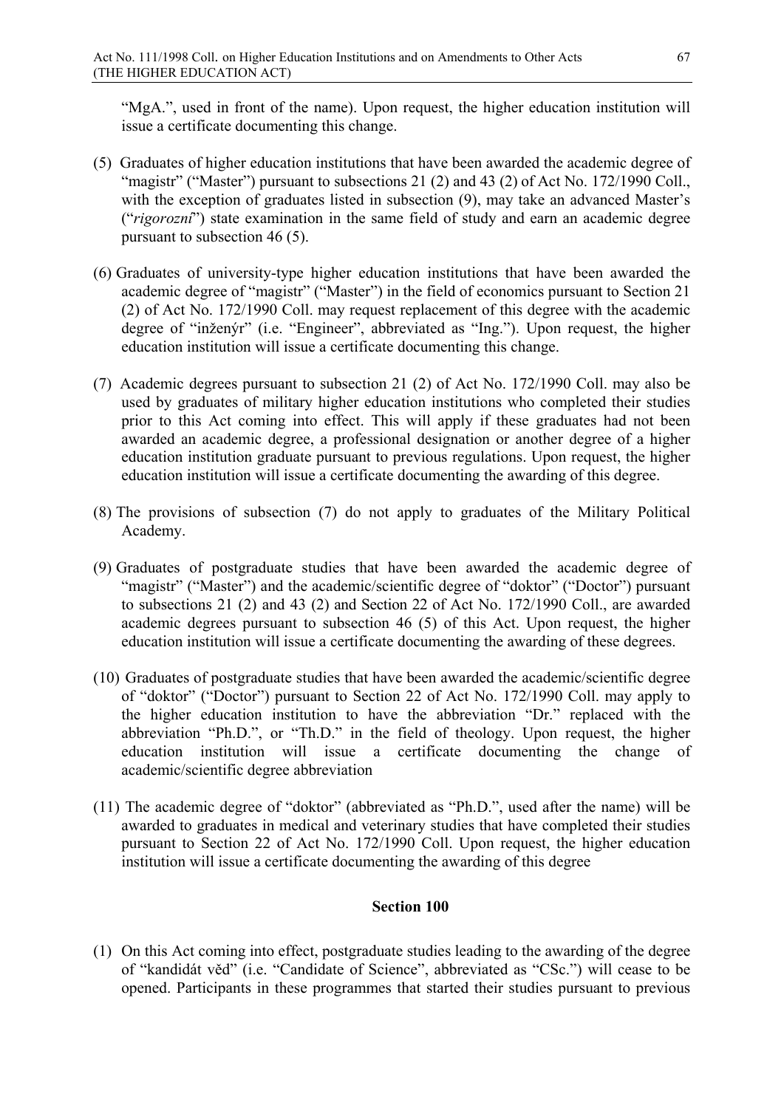"MgA.", used in front of the name). Upon request, the higher education institution will issue a certificate documenting this change.

- (5) Graduates of higher education institutions that have been awarded the academic degree of "magistr" ("Master") pursuant to subsections 21 (2) and 43 (2) of Act No. 172/1990 Coll., with the exception of graduates listed in subsection (9), may take an advanced Master's ("*rigorozní*") state examination in the same field of study and earn an academic degree pursuant to subsection 46 (5).
- (6) Graduates of university-type higher education institutions that have been awarded the academic degree of "magistr" ("Master") in the field of economics pursuant to Section 21 (2) of Act No. 172/1990 Coll. may request replacement of this degree with the academic degree of "inženýr" (i.e. "Engineer", abbreviated as "Ing."). Upon request, the higher education institution will issue a certificate documenting this change.
- (7) Academic degrees pursuant to subsection 21 (2) of Act No. 172/1990 Coll. may also be used by graduates of military higher education institutions who completed their studies prior to this Act coming into effect. This will apply if these graduates had not been awarded an academic degree, a professional designation or another degree of a higher education institution graduate pursuant to previous regulations. Upon request, the higher education institution will issue a certificate documenting the awarding of this degree.
- (8) The provisions of subsection (7) do not apply to graduates of the Military Political Academy.
- (9) Graduates of postgraduate studies that have been awarded the academic degree of "magistr" ("Master") and the academic/scientific degree of "doktor" ("Doctor") pursuant to subsections 21 (2) and 43 (2) and Section 22 of Act No. 172/1990 Coll., are awarded academic degrees pursuant to subsection 46 (5) of this Act. Upon request, the higher education institution will issue a certificate documenting the awarding of these degrees.
- (10) Graduates of postgraduate studies that have been awarded the academic/scientific degree of "doktor" ("Doctor") pursuant to Section 22 of Act No. 172/1990 Coll. may apply to the higher education institution to have the abbreviation "Dr." replaced with the abbreviation "Ph.D.", or "Th.D." in the field of theology. Upon request, the higher education institution will issue a certificate documenting the change of academic/scientific degree abbreviation
- (11) The academic degree of "doktor" (abbreviated as "Ph.D.", used after the name) will be awarded to graduates in medical and veterinary studies that have completed their studies pursuant to Section 22 of Act No. 172/1990 Coll. Upon request, the higher education institution will issue a certificate documenting the awarding of this degree

## **Section 100**

(1) On this Act coming into effect, postgraduate studies leading to the awarding of the degree of "kandidát věd" (i.e. "Candidate of Science", abbreviated as "CSc.") will cease to be opened. Participants in these programmes that started their studies pursuant to previous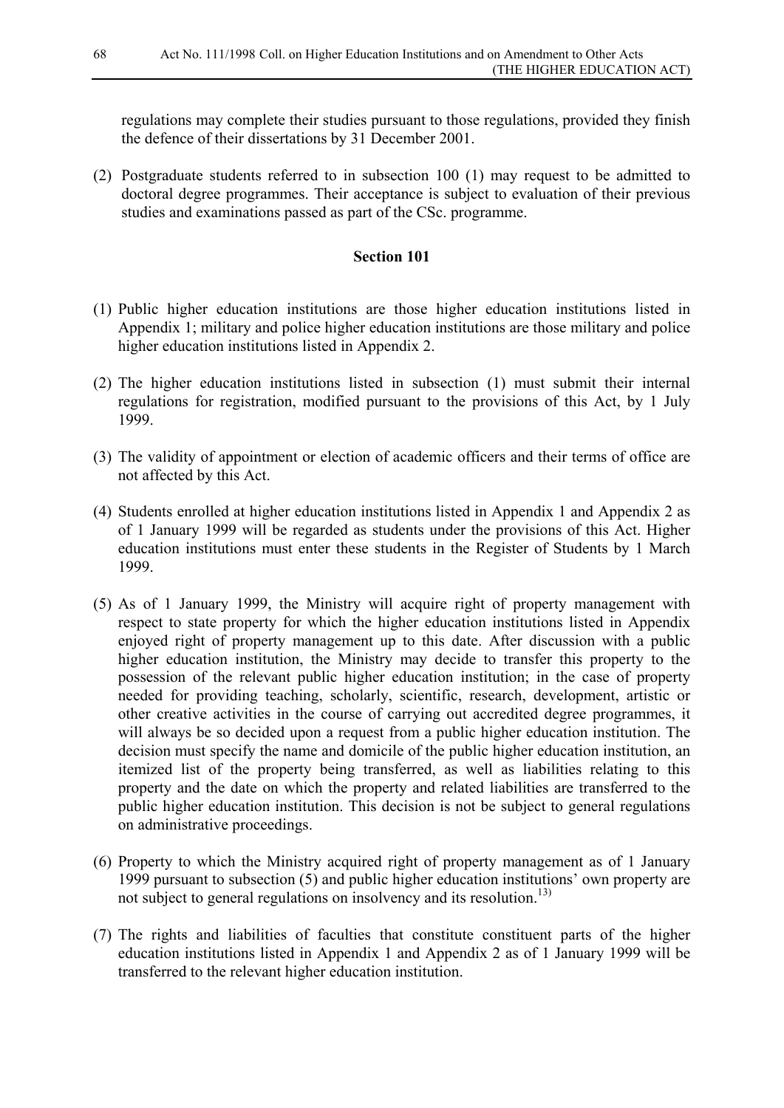regulations may complete their studies pursuant to those regulations, provided they finish the defence of their dissertations by 31 December 2001.

(2) Postgraduate students referred to in subsection 100 (1) may request to be admitted to doctoral degree programmes. Their acceptance is subject to evaluation of their previous studies and examinations passed as part of the CSc. programme.

- (1) Public higher education institutions are those higher education institutions listed in Appendix 1; military and police higher education institutions are those military and police higher education institutions listed in Appendix 2.
- (2) The higher education institutions listed in subsection (1) must submit their internal regulations for registration, modified pursuant to the provisions of this Act, by 1 July 1999.
- (3) The validity of appointment or election of academic officers and their terms of office are not affected by this Act.
- (4) Students enrolled at higher education institutions listed in Appendix 1 and Appendix 2 as of 1 January 1999 will be regarded as students under the provisions of this Act. Higher education institutions must enter these students in the Register of Students by 1 March 1999.
- (5) As of 1 January 1999, the Ministry will acquire right of property management with respect to state property for which the higher education institutions listed in Appendix enjoyed right of property management up to this date. After discussion with a public higher education institution, the Ministry may decide to transfer this property to the possession of the relevant public higher education institution; in the case of property needed for providing teaching, scholarly, scientific, research, development, artistic or other creative activities in the course of carrying out accredited degree programmes, it will always be so decided upon a request from a public higher education institution. The decision must specify the name and domicile of the public higher education institution, an itemized list of the property being transferred, as well as liabilities relating to this property and the date on which the property and related liabilities are transferred to the public higher education institution. This decision is not be subject to general regulations on administrative proceedings.
- (6) Property to which the Ministry acquired right of property management as of 1 January 1999 pursuant to subsection (5) and public higher education institutions' own property are not subject to general regulations on insolvency and its resolution. 13)
- (7) The rights and liabilities of faculties that constitute constituent parts of the higher education institutions listed in Appendix 1 and Appendix 2 as of 1 January 1999 will be transferred to the relevant higher education institution.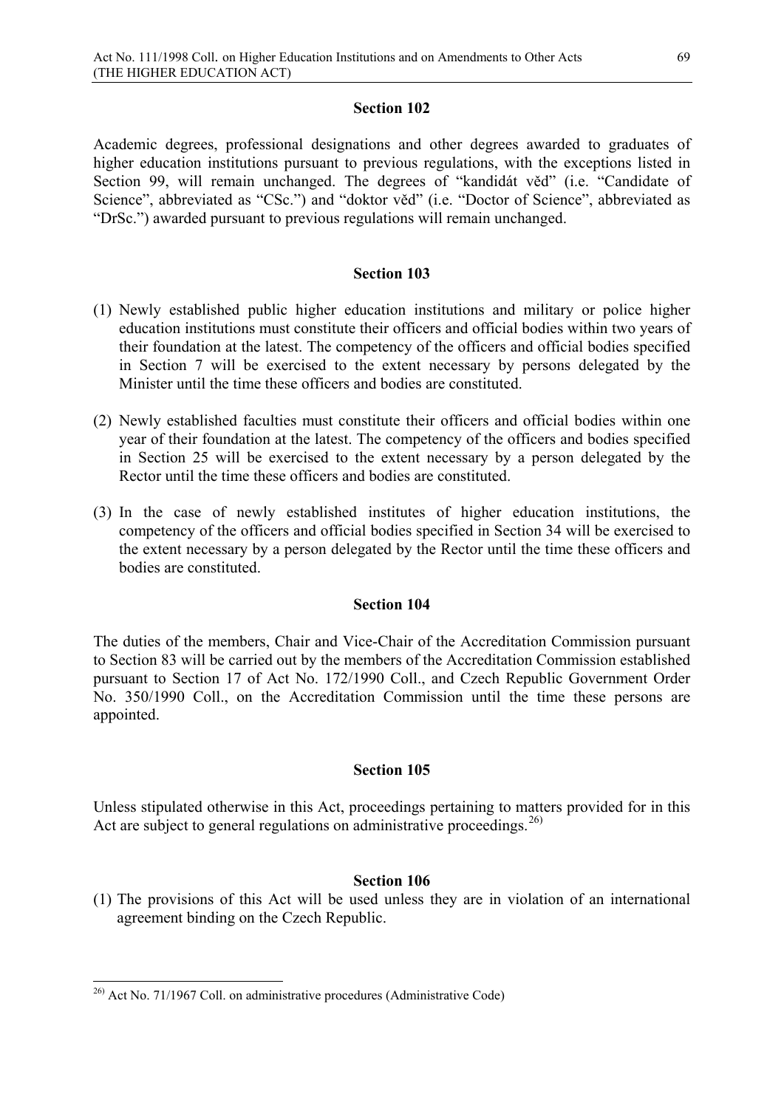Academic degrees, professional designations and other degrees awarded to graduates of higher education institutions pursuant to previous regulations, with the exceptions listed in Section 99, will remain unchanged. The degrees of "kandidát věd" (i.e. "Candidate of Science", abbreviated as "CSc.") and "doktor věd" (i.e. "Doctor of Science", abbreviated as "DrSc.") awarded pursuant to previous regulations will remain unchanged.

## **Section 103**

- (1) Newly established public higher education institutions and military or police higher education institutions must constitute their officers and official bodies within two years of their foundation at the latest. The competency of the officers and official bodies specified in Section 7 will be exercised to the extent necessary by persons delegated by the Minister until the time these officers and bodies are constituted.
- (2) Newly established faculties must constitute their officers and official bodies within one year of their foundation at the latest. The competency of the officers and bodies specified in Section 25 will be exercised to the extent necessary by a person delegated by the Rector until the time these officers and bodies are constituted.
- (3) In the case of newly established institutes of higher education institutions, the competency of the officers and official bodies specified in Section 34 will be exercised to the extent necessary by a person delegated by the Rector until the time these officers and bodies are constituted.

## **Section 104**

The duties of the members, Chair and Vice-Chair of the Accreditation Commission pursuant to Section 83 will be carried out by the members of the Accreditation Commission established pursuant to Section 17 of Act No. 172/1990 Coll., and Czech Republic Government Order No. 350/1990 Coll., on the Accreditation Commission until the time these persons are appointed.

## **Section 105**

Unless stipulated otherwise in this Act, proceedings pertaining to matters provided for in this Act are subject to general regulations on administrative proceedings.<sup>[26\)](#page-68-0)</sup>

## **Section 106**

(1) The provisions of this Act will be used unless they are in violation of an international agreement binding on the Czech Republic.

<span id="page-68-0"></span> $26$ ) Act No. 71/1967 Coll. on administrative procedures (Administrative Code)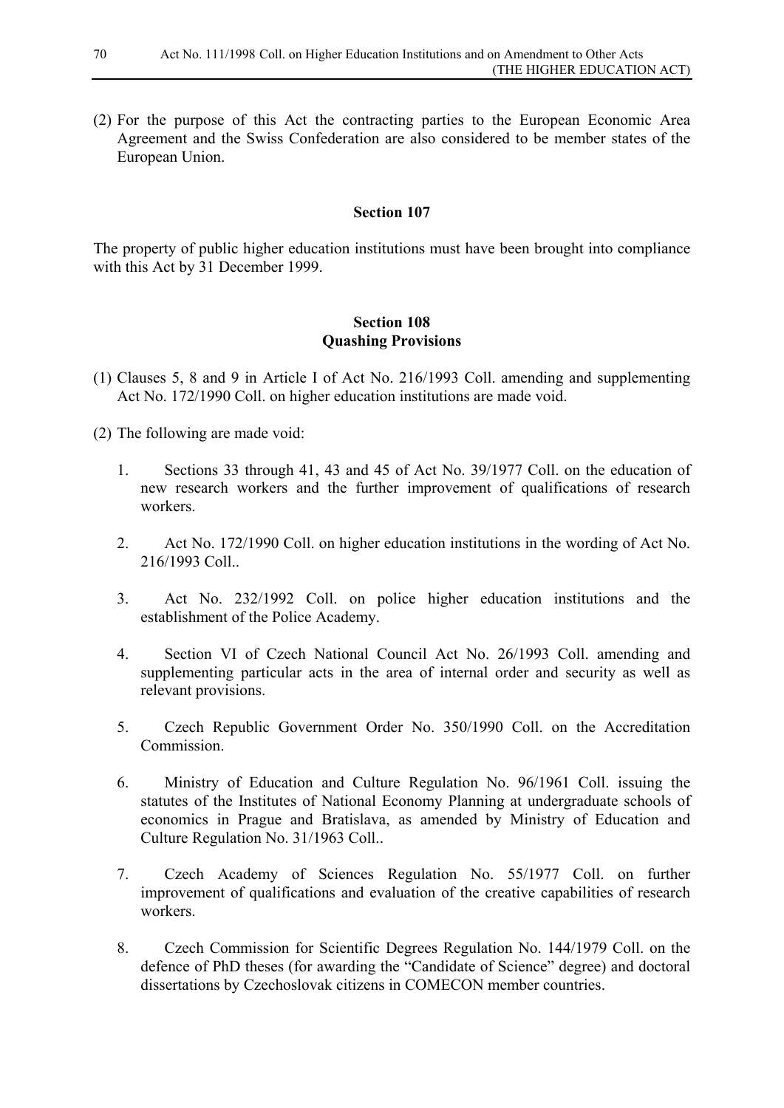(2) For the purpose of this Act the contracting parties to the European Economic Area Agreement and the Swiss Confederation are also considered to be member states of the European Union.

#### **Section 107**

The property of public higher education institutions must have been brought into compliance with this Act by 31 December 1999.

## **Section 108 Quashing Provisions**

- (1) Clauses 5, 8 and 9 in Article I of Act No. 216/1993 Coll. amending and supplementing Act No. 172/1990 Coll. on higher education institutions are made void.
- (2) The following are made void:
	- 1. Sections 33 through 41, 43 and 45 of Act No. 39/1977 Coll. on the education of new research workers and the further improvement of qualifications of research workers.
	- 2. Act No. 172/1990 Coll. on higher education institutions in the wording of Act No. 216/1993 Coll..
	- 3. Act No. 232/1992 Coll. on police higher education institutions and the establishment of the Police Academy.
	- 4. Section VI of Czech National Council Act No. 26/1993 Coll. amending and supplementing particular acts in the area of internal order and security as well as relevant provisions.
	- 5. Czech Republic Government Order No. 350/1990 Coll. on the Accreditation Commission.
	- 6. Ministry of Education and Culture Regulation No. 96/1961 Coll. issuing the statutes of the Institutes of National Economy Planning at undergraduate schools of economics in Prague and Bratislava, as amended by Ministry of Education and Culture Regulation No. 31/1963 Coll..
	- 7. Czech Academy of Sciences Regulation No. 55/1977 Coll. on further improvement of qualifications and evaluation of the creative capabilities of research workers.
	- 8. Czech Commission for Scientific Degrees Regulation No. 144/1979 Coll. on the defence of PhD theses (for awarding the "Candidate of Science" degree) and doctoral dissertations by Czechoslovak citizens in COMECON member countries.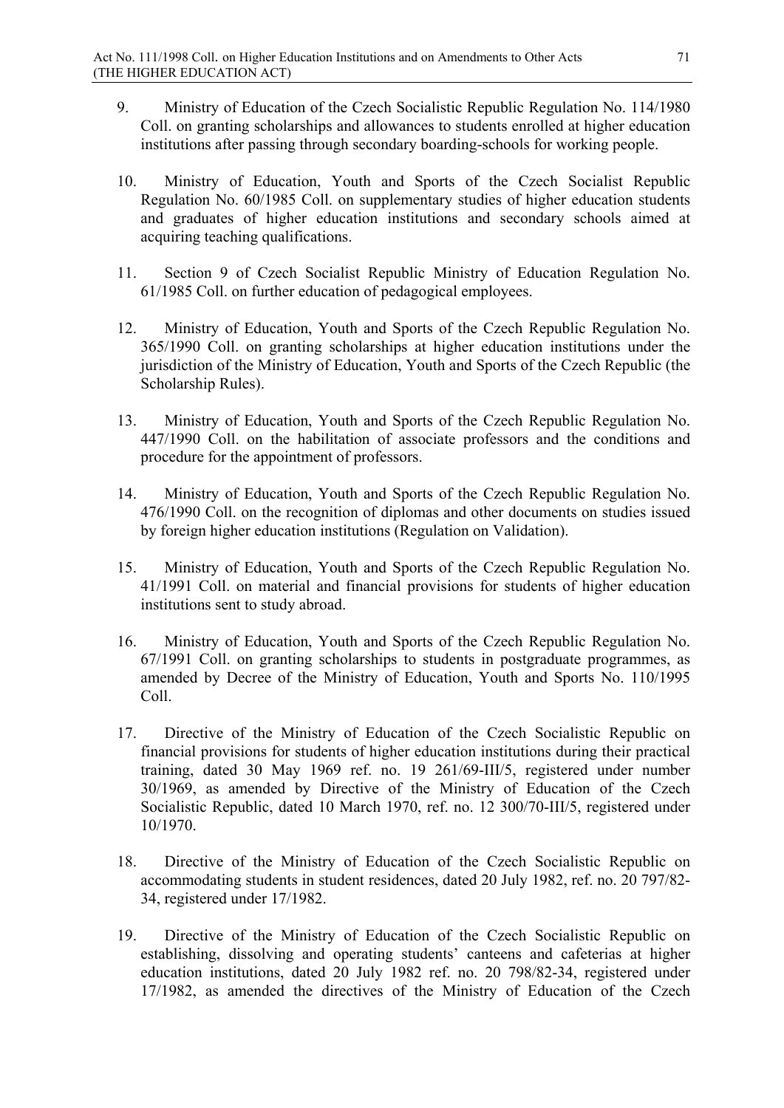- 9. Ministry of Education of the Czech Socialistic Republic Regulation No. 114/1980 Coll. on granting scholarships and allowances to students enrolled at higher education institutions after passing through secondary boarding-schools for working people.
- 10. Ministry of Education, Youth and Sports of the Czech Socialist Republic Regulation No. 60/1985 Coll. on supplementary studies of higher education students and graduates of higher education institutions and secondary schools aimed at acquiring teaching qualifications.
- 11. Section 9 of Czech Socialist Republic Ministry of Education Regulation No. 61/1985 Coll. on further education of pedagogical employees.
- 12. Ministry of Education, Youth and Sports of the Czech Republic Regulation No. 365/1990 Coll. on granting scholarships at higher education institutions under the jurisdiction of the Ministry of Education, Youth and Sports of the Czech Republic (the Scholarship Rules).
- 13. Ministry of Education, Youth and Sports of the Czech Republic Regulation No. 447/1990 Coll. on the habilitation of associate professors and the conditions and procedure for the appointment of professors.
- 14. Ministry of Education, Youth and Sports of the Czech Republic Regulation No. 476/1990 Coll. on the recognition of diplomas and other documents on studies issued by foreign higher education institutions (Regulation on Validation).
- 15. Ministry of Education, Youth and Sports of the Czech Republic Regulation No. 41/1991 Coll. on material and financial provisions for students of higher education institutions sent to study abroad.
- 16. Ministry of Education, Youth and Sports of the Czech Republic Regulation No. 67/1991 Coll. on granting scholarships to students in postgraduate programmes, as amended by Decree of the Ministry of Education, Youth and Sports No. 110/1995 Coll.
- 17. Directive of the Ministry of Education of the Czech Socialistic Republic on financial provisions for students of higher education institutions during their practical training, dated 30 May 1969 ref. no. 19 261/69-III/5, registered under number 30/1969, as amended by Directive of the Ministry of Education of the Czech Socialistic Republic, dated 10 March 1970, ref. no. 12 300/70-III/5, registered under 10/1970.
- 18. Directive of the Ministry of Education of the Czech Socialistic Republic on accommodating students in student residences, dated 20 July 1982, ref. no. 20 797/82- 34, registered under 17/1982.
- 19. Directive of the Ministry of Education of the Czech Socialistic Republic on establishing, dissolving and operating students' canteens and cafeterias at higher education institutions, dated 20 July 1982 ref. no. 20 798/82-34, registered under 17/1982, as amended the directives of the Ministry of Education of the Czech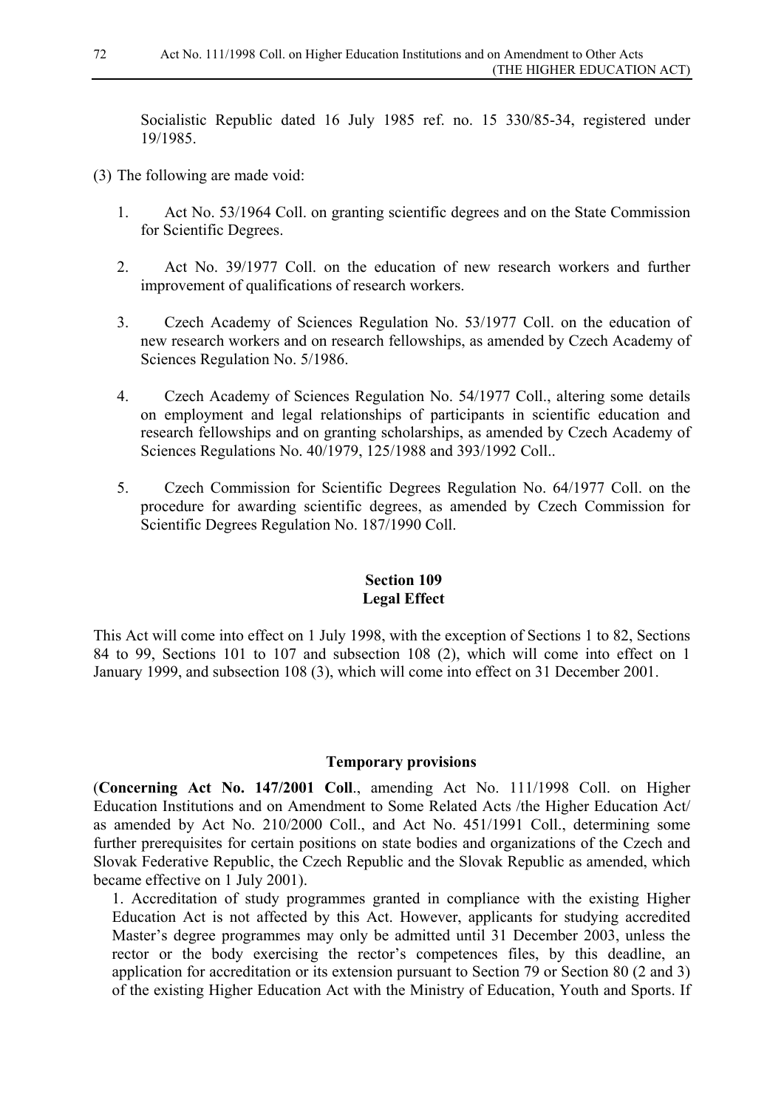Socialistic Republic dated 16 July 1985 ref. no. 15 330/85-34, registered under 19/1985.

- (3) The following are made void:
	- 1. Act No. 53/1964 Coll. on granting scientific degrees and on the State Commission for Scientific Degrees.
	- 2. Act No. 39/1977 Coll. on the education of new research workers and further improvement of qualifications of research workers.
	- 3. Czech Academy of Sciences Regulation No. 53/1977 Coll. on the education of new research workers and on research fellowships, as amended by Czech Academy of Sciences Regulation No. 5/1986.
	- 4. Czech Academy of Sciences Regulation No. 54/1977 Coll., altering some details on employment and legal relationships of participants in scientific education and research fellowships and on granting scholarships, as amended by Czech Academy of Sciences Regulations No. 40/1979, 125/1988 and 393/1992 Coll..
	- 5. Czech Commission for Scientific Degrees Regulation No. 64/1977 Coll. on the procedure for awarding scientific degrees, as amended by Czech Commission for Scientific Degrees Regulation No. 187/1990 Coll.

# **Section 109 Legal Effect**

This Act will come into effect on 1 July 1998, with the exception of Sections 1 to 82, Sections 84 to 99, Sections 101 to 107 and subsection 108 (2), which will come into effect on 1 January 1999, and subsection 108 (3), which will come into effect on 31 December 2001.

#### **Temporary provisions**

(**Concerning Act No. 147/2001 Coll**., amending Act No. 111/1998 Coll. on Higher Education Institutions and on Amendment to Some Related Acts /the Higher Education Act/ as amended by Act No. 210/2000 Coll., and Act No. 451/1991 Coll., determining some further prerequisites for certain positions on state bodies and organizations of the Czech and Slovak Federative Republic, the Czech Republic and the Slovak Republic as amended, which became effective on 1 July 2001).

1. Accreditation of study programmes granted in compliance with the existing Higher Education Act is not affected by this Act. However, applicants for studying accredited Master's degree programmes may only be admitted until 31 December 2003, unless the rector or the body exercising the rector's competences files, by this deadline, an application for accreditation or its extension pursuant to Section 79 or Section 80 (2 and 3) of the existing Higher Education Act with the Ministry of Education, Youth and Sports. If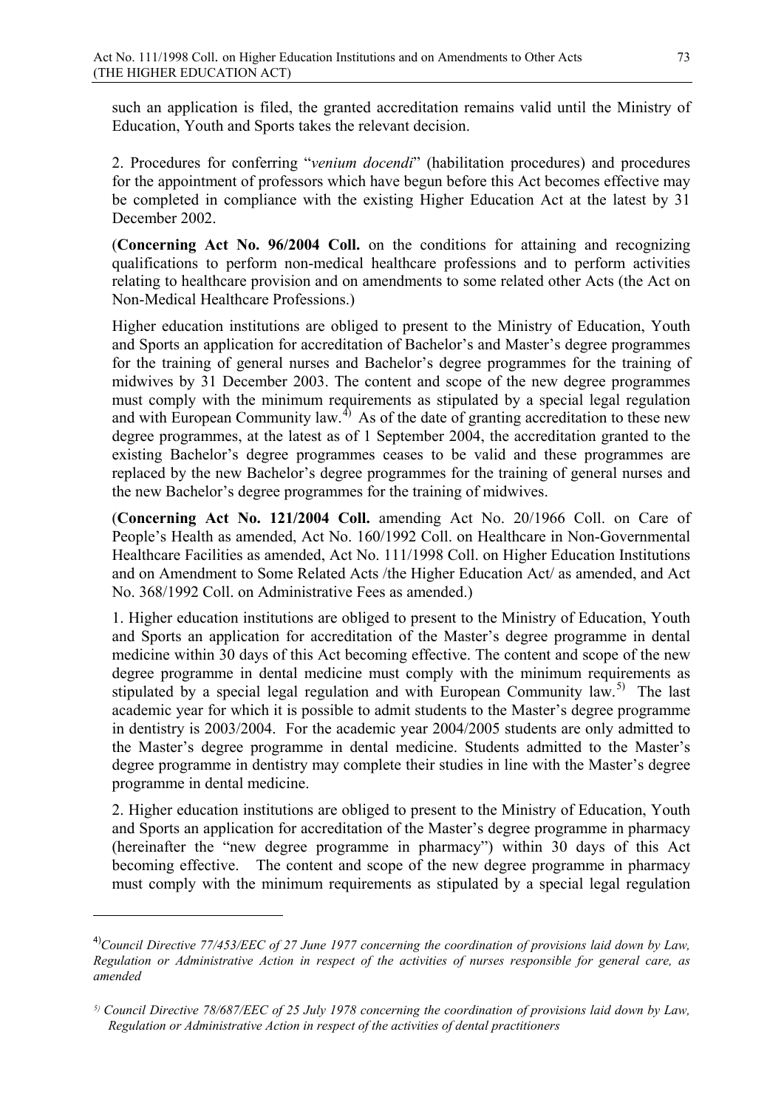such an application is filed, the granted accreditation remains valid until the Ministry of Education, Youth and Sports takes the relevant decision.

2. Procedures for conferring "*venium docendi*" (habilitation procedures) and procedures for the appointment of professors which have begun before this Act becomes effective may be completed in compliance with the existing Higher Education Act at the latest by 31 December 2002.

(**Concerning Act No. 96/2004 Coll.** on the conditions for attaining and recognizing qualifications to perform non-medical healthcare professions and to perform activities relating to healthcare provision and on amendments to some related other Acts (the Act on Non-Medical Healthcare Professions.)

Higher education institutions are obliged to present to the Ministry of Education, Youth and Sports an application for accreditation of Bachelor's and Master's degree programmes for the training of general nurses and Bachelor's degree programmes for the training of midwives by 31 December 2003. The content and scope of the new degree programmes must comply with the minimum requirements as stipulated by a special legal regulation and with European Community law.<sup>[4](#page-72-0))</sup> As of the date of granting accreditation to these new degree programmes, at the latest as of 1 September 2004, the accreditation granted to the existing Bachelor's degree programmes ceases to be valid and these programmes are replaced by the new Bachelor's degree programmes for the training of general nurses and the new Bachelor's degree programmes for the training of midwives.

(**Concerning Act No. 121/2004 Coll.** amending Act No. 20/1966 Coll. on Care of People's Health as amended, Act No. 160/1992 Coll. on Healthcare in Non-Governmental Healthcare Facilities as amended, Act No. 111/1998 Coll. on Higher Education Institutions and on Amendment to Some Related Acts /the Higher Education Act/ as amended, and Act No. 368/1992 Coll. on Administrative Fees as amended.)

1. Higher education institutions are obliged to present to the Ministry of Education, Youth and Sports an application for accreditation of the Master's degree programme in dental medicine within 30 days of this Act becoming effective. The content and scope of the new degree programme in dental medicine must comply with the minimum requirements as stipulated by a special legal regulation and with European Community law.<sup>[5](#page-72-1))</sup> The last academic year for which it is possible to admit students to the Master's degree programme in dentistry is 2003/2004. For the academic year 2004/2005 students are only admitted to the Master's degree programme in dental medicine. Students admitted to the Master's degree programme in dentistry may complete their studies in line with the Master's degree programme in dental medicine.

2. Higher education institutions are obliged to present to the Ministry of Education, Youth and Sports an application for accreditation of the Master's degree programme in pharmacy (hereinafter the "new degree programme in pharmacy") within 30 days of this Act becoming effective. The content and scope of the new degree programme in pharmacy must comply with the minimum requirements as stipulated by a special legal regulation

-

<span id="page-72-0"></span><sup>4)</sup> *Council Directive 77/453/EEC of 27 June 1977 concerning the coordination of provisions laid down by Law, Regulation or Administrative Action in respect of the activities of nurses responsible for general care, as amended*

<span id="page-72-1"></span>*<sup>5)</sup> Council Directive 78/687/EEC of 25 July 1978 concerning the coordination of provisions laid down by Law, Regulation or Administrative Action in respect of the activities of dental practitioners*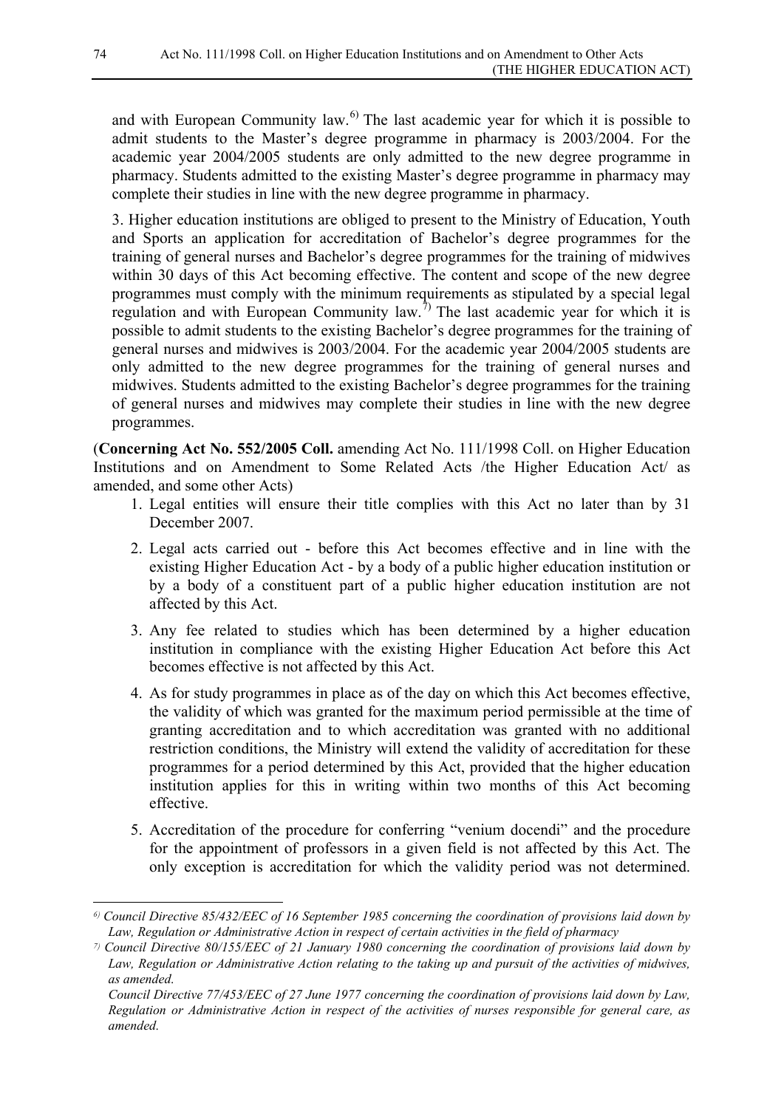and with European Community law. $^{6}$  The last academic year for which it is possible to admit students to the Master's degree programme in pharmacy is 2003/2004. For the academic year 2004/2005 students are only admitted to the new degree programme in pharmacy. Students admitted to the existing Master's degree programme in pharmacy may complete their studies in line with the new degree programme in pharmacy.

3. Higher education institutions are obliged to present to the Ministry of Education, Youth and Sports an application for accreditation of Bachelor's degree programmes for the training of general nurses and Bachelor's degree programmes for the training of midwives within 30 days of this Act becoming effective. The content and scope of the new degree programmes must comply with the minimum requirements as stipulated by a special legal regulation and with European Community law.<sup>[7\)](#page-73-1)</sup> The last academic year for which it is possible to admit students to the existing Bachelor's degree programmes for the training of general nurses and midwives is 2003/2004. For the academic year 2004/2005 students are only admitted to the new degree programmes for the training of general nurses and midwives. Students admitted to the existing Bachelor's degree programmes for the training of general nurses and midwives may complete their studies in line with the new degree programmes.

(**Concerning Act No. 552/2005 Coll.** amending Act No. 111/1998 Coll. on Higher Education Institutions and on Amendment to Some Related Acts /the Higher Education Act/ as amended, and some other Acts)

- 1. Legal entities will ensure their title complies with this Act no later than by 31 December 2007.
- 2. Legal acts carried out before this Act becomes effective and in line with the existing Higher Education Act - by a body of a public higher education institution or by a body of a constituent part of a public higher education institution are not affected by this Act.
- 3. Any fee related to studies which has been determined by a higher education institution in compliance with the existing Higher Education Act before this Act becomes effective is not affected by this Act.
- 4. As for study programmes in place as of the day on which this Act becomes effective, the validity of which was granted for the maximum period permissible at the time of granting accreditation and to which accreditation was granted with no additional restriction conditions, the Ministry will extend the validity of accreditation for these programmes for a period determined by this Act, provided that the higher education institution applies for this in writing within two months of this Act becoming effective.
- 5. Accreditation of the procedure for conferring "venium docendi" and the procedure for the appointment of professors in a given field is not affected by this Act. The only exception is accreditation for which the validity period was not determined.

-

<span id="page-73-0"></span>*<sup>6)</sup> Council Directive 85/432/EEC of 16 September 1985 concerning the coordination of provisions laid down by Law, Regulation or Administrative Action in respect of certain activities in the field of pharmacy*

<span id="page-73-1"></span>*<sup>7)</sup> Council Directive 80/155/EEC of 21 January 1980 concerning the coordination of provisions laid down by Law, Regulation or Administrative Action relating to the taking up and pursuit of the activities of midwives, as amended.*

*Council Directive 77/453/EEC of 27 June 1977 concerning the coordination of provisions laid down by Law, Regulation or Administrative Action in respect of the activities of nurses responsible for general care, as amended.*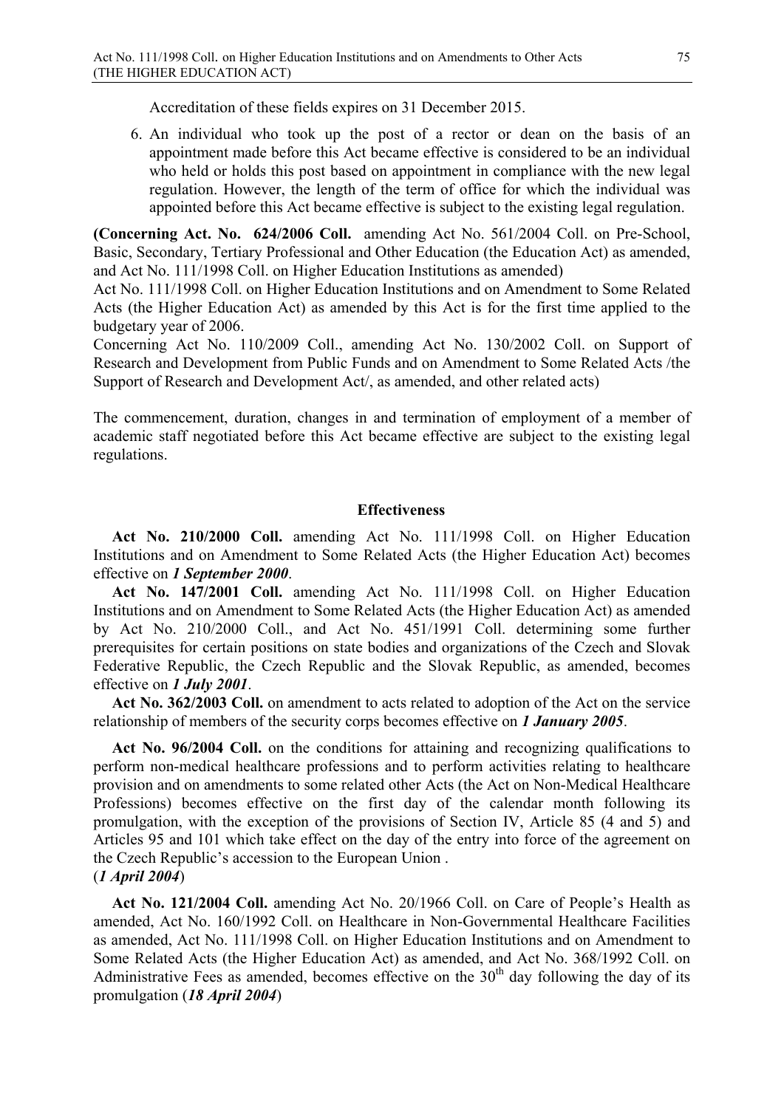Accreditation of these fields expires on 31 December 2015.

6. An individual who took up the post of a rector or dean on the basis of an appointment made before this Act became effective is considered to be an individual who held or holds this post based on appointment in compliance with the new legal regulation. However, the length of the term of office for which the individual was appointed before this Act became effective is subject to the existing legal regulation.

**(Concerning Act. No. 624/2006 Coll.** amending Act No. 561/2004 Coll. on Pre-School, Basic, Secondary, Tertiary Professional and Other Education (the Education Act) as amended, and Act No. 111/1998 Coll. on Higher Education Institutions as amended)

Act No. 111/1998 Coll. on Higher Education Institutions and on Amendment to Some Related Acts (the Higher Education Act) as amended by this Act is for the first time applied to the budgetary year of 2006.

Concerning Act No. 110/2009 Coll., amending Act No. 130/2002 Coll. on Support of Research and Development from Public Funds and on Amendment to Some Related Acts /the Support of Research and Development Act/, as amended, and other related acts)

The commencement, duration, changes in and termination of employment of a member of academic staff negotiated before this Act became effective are subject to the existing legal regulations.

#### **Effectiveness**

**Act No. 210/2000 Coll.** amending Act No. 111/1998 Coll. on Higher Education Institutions and on Amendment to Some Related Acts (the Higher Education Act) becomes effective on *1 September 2000*.

**Act No. 147/2001 Coll.** amending Act No. 111/1998 Coll. on Higher Education Institutions and on Amendment to Some Related Acts (the Higher Education Act) as amended by Act No. 210/2000 Coll., and Act No. 451/1991 Coll. determining some further prerequisites for certain positions on state bodies and organizations of the Czech and Slovak Federative Republic, the Czech Republic and the Slovak Republic, as amended, becomes effective on *1 July 2001*.

**Act No. 362/2003 Coll.** on amendment to acts related to adoption of the Act on the service relationship of members of the security corps becomes effective on *1 January 2005*.

Act No. 96/2004 Coll. on the conditions for attaining and recognizing qualifications to perform non-medical healthcare professions and to perform activities relating to healthcare provision and on amendments to some related other Acts (the Act on Non-Medical Healthcare Professions) becomes effective on the first day of the calendar month following its promulgation, with the exception of the provisions of Section IV, Article 85 (4 and 5) and Articles 95 and 101 which take effect on the day of the entry into force of the agreement on the Czech Republic's accession to the European Union . (*1 April 2004*)

**Act No. 121/2004 Coll.** amending Act No. 20/1966 Coll. on Care of People's Health as amended, Act No. 160/1992 Coll. on Healthcare in Non-Governmental Healthcare Facilities as amended, Act No. 111/1998 Coll. on Higher Education Institutions and on Amendment to Some Related Acts (the Higher Education Act) as amended, and Act No. 368/1992 Coll. on Administrative Fees as amended, becomes effective on the  $30<sup>th</sup>$  day following the day of its promulgation (*18 April 2004*)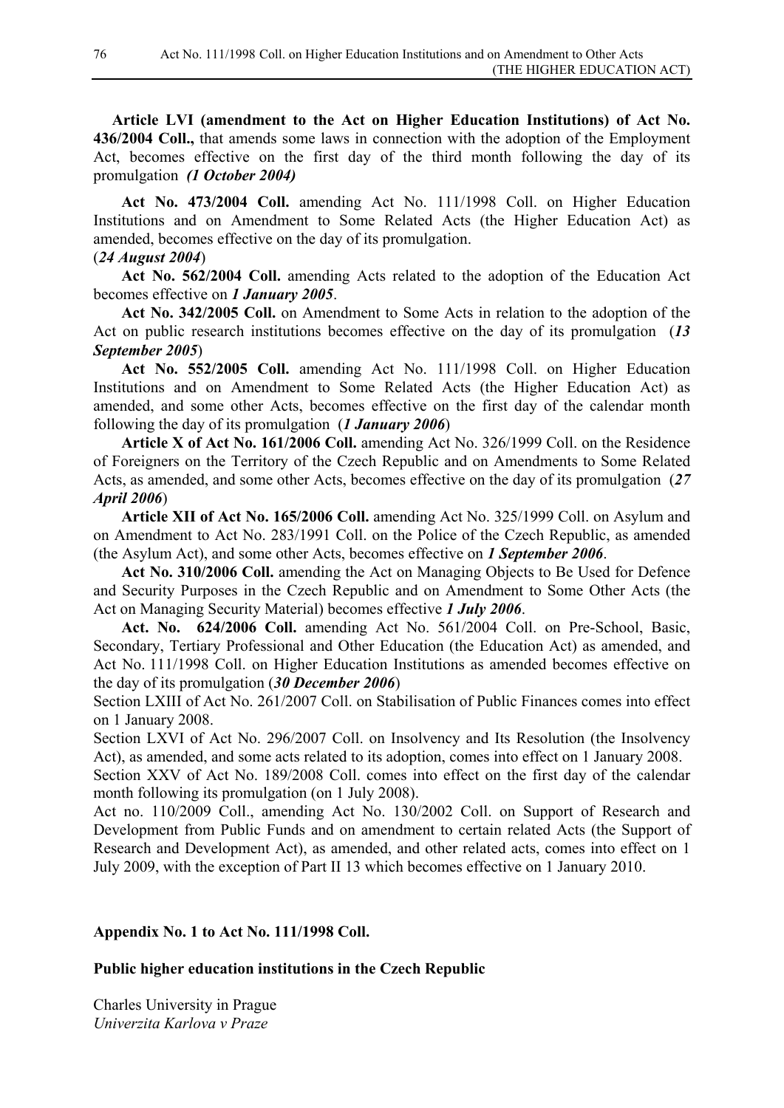**Article LVI (amendment to the Act on Higher Education Institutions) of Act No. 436/2004 Coll.,** that amends some laws in connection with the adoption of the Employment Act, becomes effective on the first day of the third month following the day of its promulgation *(1 October 2004)*

**Act No. 473/2004 Coll.** amending Act No. 111/1998 Coll. on Higher Education Institutions and on Amendment to Some Related Acts (the Higher Education Act) as amended, becomes effective on the day of its promulgation.

### (*24 August 2004*)

**Act No. 562/2004 Coll.** amending Acts related to the adoption of the Education Act becomes effective on *1 January 2005*.

**Act No. 342/2005 Coll.** on Amendment to Some Acts in relation to the adoption of the Act on public research institutions becomes effective on the day of its promulgation (*13 September 2005*)

**Act No. 552/2005 Coll.** amending Act No. 111/1998 Coll. on Higher Education Institutions and on Amendment to Some Related Acts (the Higher Education Act) as amended, and some other Acts, becomes effective on the first day of the calendar month following the day of its promulgation (*1 January 2006*)

**Article X of Act No. 161/2006 Coll.** amending Act No. 326/1999 Coll. on the Residence of Foreigners on the Territory of the Czech Republic and on Amendments to Some Related Acts, as amended, and some other Acts, becomes effective on the day of its promulgation (*27 April 2006*)

**Article XII of Act No. 165/2006 Coll.** amending Act No. 325/1999 Coll. on Asylum and on Amendment to Act No. 283/1991 Coll. on the Police of the Czech Republic, as amended (the Asylum Act), and some other Acts, becomes effective on *1 September 2006*.

**Act No. 310/2006 Coll.** amending the Act on Managing Objects to Be Used for Defence and Security Purposes in the Czech Republic and on Amendment to Some Other Acts (the Act on Managing Security Material) becomes effective *1 July 2006*.

**Act. No. 624/2006 Coll.** amending Act No. 561/2004 Coll. on Pre-School, Basic, Secondary, Tertiary Professional and Other Education (the Education Act) as amended, and Act No. 111/1998 Coll. on Higher Education Institutions as amended becomes effective on the day of its promulgation (*30 December 2006*)

Section LXIII of Act No. 261/2007 Coll. on Stabilisation of Public Finances comes into effect on 1 January 2008.

Section LXVI of Act No. 296/2007 Coll. on Insolvency and Its Resolution (the Insolvency Act), as amended, and some acts related to its adoption, comes into effect on 1 January 2008.

Section XXV of Act No. 189/2008 Coll. comes into effect on the first day of the calendar month following its promulgation (on 1 July 2008).

Act no. 110/2009 Coll., amending Act No. 130/2002 Coll. on Support of Research and Development from Public Funds and on amendment to certain related Acts (the Support of Research and Development Act), as amended, and other related acts, comes into effect on 1 July 2009, with the exception of Part II 13 which becomes effective on 1 January 2010.

# **Appendix No. 1 to Act No. 111/1998 Coll.**

### **Public higher education institutions in the Czech Republic**

Charles University in Prague *Univerzita Karlova v Praze*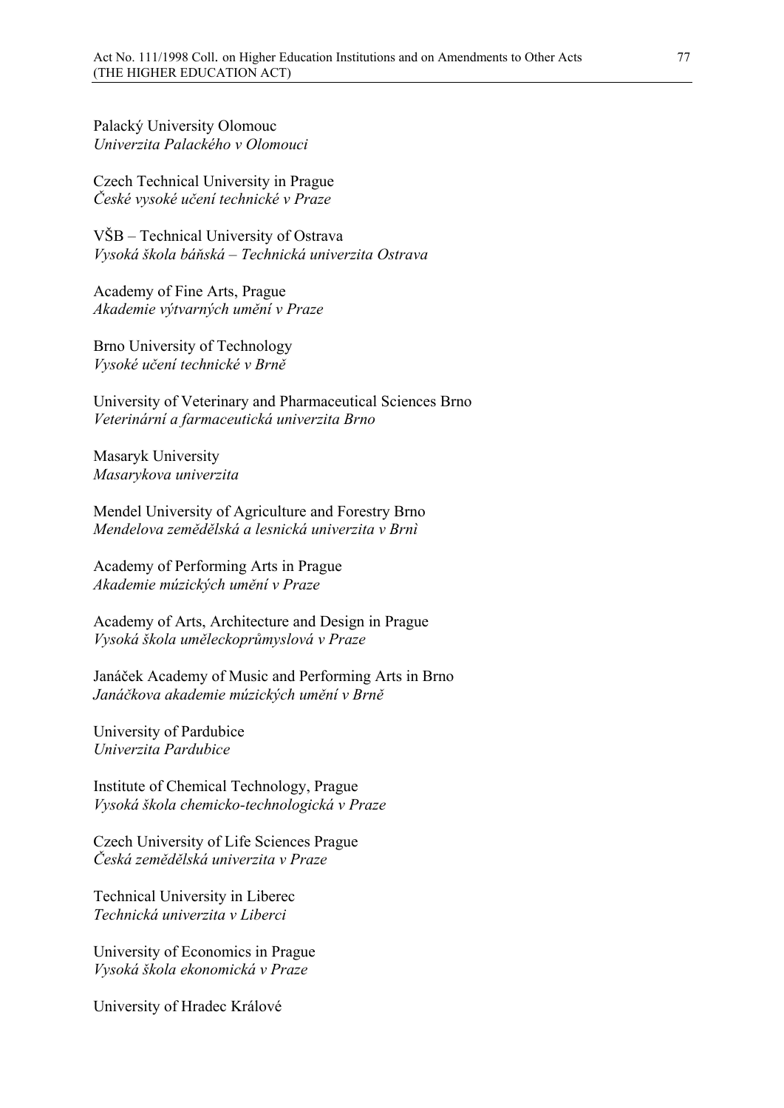Palacký University Olomouc *Univerzita Palackého v Olomouci*

Czech Technical University in Prague *České vysoké učení technické v Praze*

VŠB – Technical University of Ostrava *Vysoká škola báňská – Technická univerzita Ostrava*

Academy of Fine Arts, Prague *Akademie výtvarných umění v Praze*

Brno University of Technology *Vysoké učení technické v Brně*

University of Veterinary and Pharmaceutical Sciences Brno *Veterinární a farmaceutická univerzita Brno*

Masaryk University *Masarykova univerzita* 

Mendel University of Agriculture and Forestry Brno *Mendelova zemědělská a lesnická univerzita v Brnì*

Academy of Performing Arts in Prague *Akademie múzických umění v Praze*

Academy of Arts, Architecture and Design in Prague *Vysoká škola uměleckoprůmyslová v Praze*

Janáček Academy of Music and Performing Arts in Brno *Janáčkova akademie múzických umění v Brně*

University of Pardubice *Univerzita Pardubice*

Institute of Chemical Technology, Prague *Vysoká škola chemicko-technologická v Praze*

Czech University of Life Sciences Prague *Česká zemědělská univerzita v Praze*

Technical University in Liberec *Technická univerzita v Liberci*

University of Economics in Prague *Vysoká škola ekonomická v Praze*

University of Hradec Králové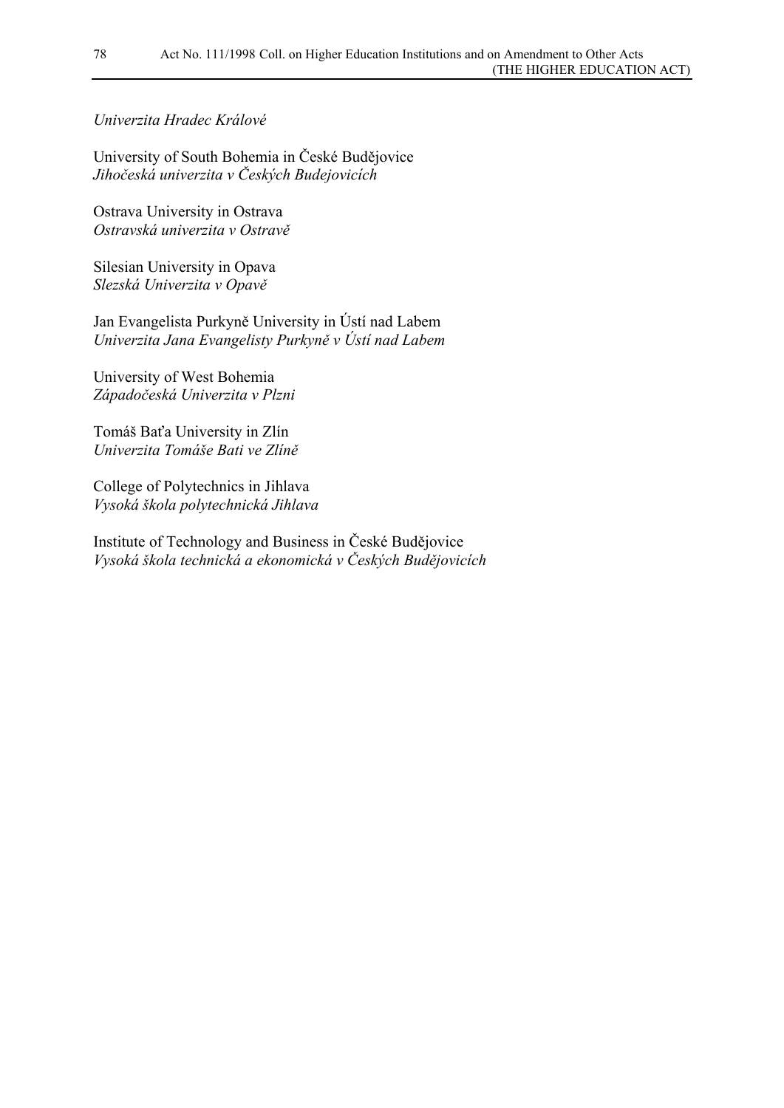## *Univerzita Hradec Králové*

University of South Bohemia in České Budějovice *Jihočeská univerzita v Českých Budejovicích*

Ostrava University in Ostrava *Ostravská univerzita v Ostravě*

Silesian University in Opava *Slezská Univerzita v Opavě*

Jan Evangelista Purkyně University in Ústí nad Labem *Univerzita Jana Evangelisty Purkyně v Ústí nad Labem*

University of West Bohemia *Západočeská Univerzita v Plzni*

Tomáš Baťa University in Zlín *Univerzita Tomáše Bati ve Zlíně* 

College of Polytechnics in Jihlava *Vysoká škola polytechnická Jihlava*

Institute of Technology and Business in České Budějovice *Vysoká škola technická a ekonomická v Českých Budějovicích*